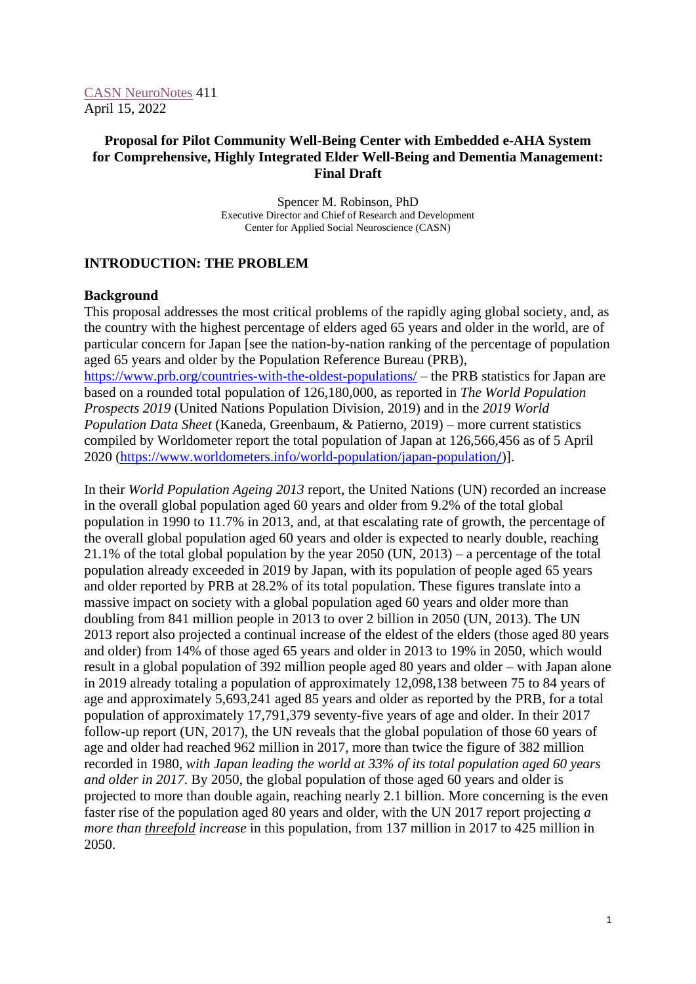# **Proposal for Pilot Community Well-Being Center with Embedded e-AHA System for Comprehensive, Highly Integrated Elder Well-Being and Dementia Management: Final Draft**

Spencer M. Robinson, PhD Executive Director and Chief of Research and Development Center for Applied Social Neuroscience (CASN)

# **INTRODUCTION: THE PROBLEM**

## **Background**

This proposal addresses the most critical problems of the rapidly aging global society, and, as the country with the highest percentage of elders aged 65 years and older in the world, are of particular concern for Japan [see the nation-by-nation ranking of the percentage of population aged 65 years and older by the Population Reference Bureau (PRB), <https://www.prb.org/countries-with-the-oldest-populations/> – the PRB statistics for Japan are based on a rounded total population of 126,180,000, as reported in *The World Population Prospects 2019* (United Nations Population Division, 2019) and in the *2019 World Population Data Sheet* (Kaneda, Greenbaum, & Patierno, 2019) – more current statistics compiled by Worldometer report the total population of Japan at 126,566,456 as of 5 April 2020 [\(https://www.worldometers.info/world-population/japan-population](https://www.worldometers.info/world-population/japan-population/)[/](https://www.worldometers.info/world-population/japan-population/))].

In their *World Population Ageing 2013* report, the United Nations (UN) recorded an increase in the overall global population aged 60 years and older from 9.2% of the total global population in 1990 to 11.7% in 2013, and, at that escalating rate of growth, the percentage of the overall global population aged 60 years and older is expected to nearly double, reaching 21.1% of the total global population by the year 2050 (UN, 2013) – a percentage of the total population already exceeded in 2019 by Japan, with its population of people aged 65 years and older reported by PRB at 28.2% of its total population. These figures translate into a massive impact on society with a global population aged 60 years and older more than doubling from 841 million people in 2013 to over 2 billion in 2050 (UN, 2013). The UN 2013 report also projected a continual increase of the eldest of the elders (those aged 80 years and older) from 14% of those aged 65 years and older in 2013 to 19% in 2050, which would result in a global population of 392 million people aged 80 years and older – with Japan alone in 2019 already totaling a population of approximately 12,098,138 between 75 to 84 years of age and approximately 5,693,241 aged 85 years and older as reported by the PRB, for a total population of approximately 17,791,379 seventy-five years of age and older. In their 2017 follow-up report (UN, 2017), the UN reveals that the global population of those 60 years of age and older had reached 962 million in 2017, more than twice the figure of 382 million recorded in 1980, *with Japan leading the world at 33% of its total population aged 60 years and older in 2017*. By 2050, the global population of those aged 60 years and older is projected to more than double again, reaching nearly 2.1 billion. More concerning is the even faster rise of the population aged 80 years and older, with the UN 2017 report projecting *a more than threefold increase* in this population, from 137 million in 2017 to 425 million in 2050.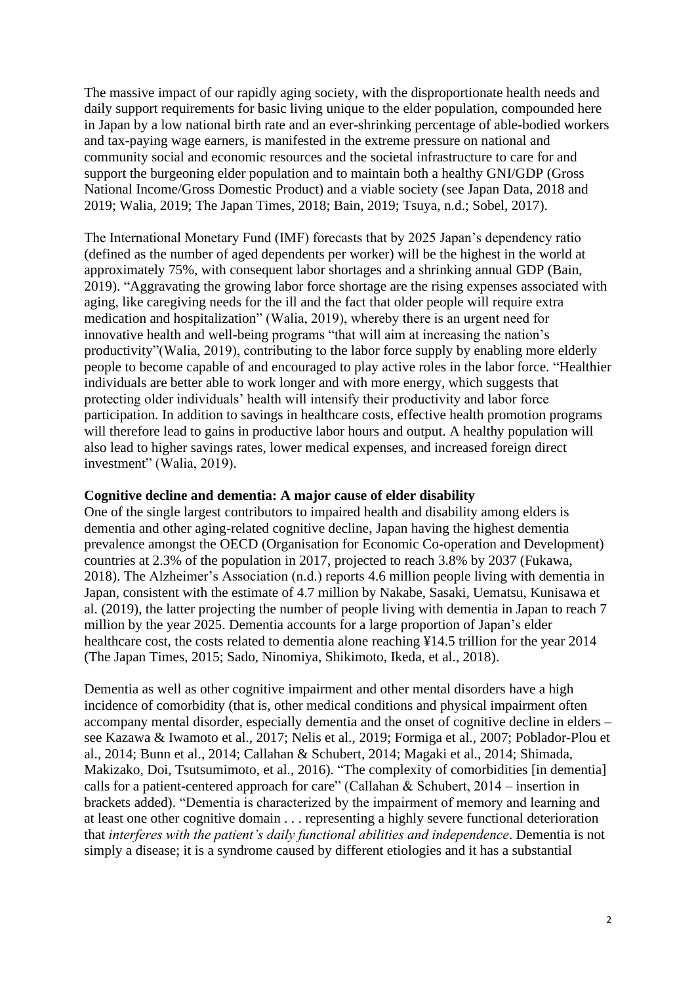The massive impact of our rapidly aging society, with the disproportionate health needs and daily support requirements for basic living unique to the elder population, compounded here in Japan by a low national birth rate and an ever-shrinking percentage of able-bodied workers and tax-paying wage earners, is manifested in the extreme pressure on national and community social and economic resources and the societal infrastructure to care for and support the burgeoning elder population and to maintain both a healthy GNI/GDP (Gross National Income/Gross Domestic Product) and a viable society (see Japan Data, 2018 and 2019; Walia, 2019; The Japan Times, 2018; Bain, 2019; Tsuya, n.d.; Sobel, 2017).

The International Monetary Fund (IMF) forecasts that by 2025 Japan's dependency ratio (defined as the number of aged dependents per worker) will be the highest in the world at approximately 75%, with consequent labor shortages and a shrinking annual GDP (Bain, 2019). "Aggravating the growing labor force shortage are the rising expenses associated with aging, like caregiving needs for the ill and the fact that older people will require extra medication and hospitalization" (Walia, 2019), whereby there is an urgent need for innovative health and well-being programs "that will aim at increasing the nation's productivity"(Walia, 2019), contributing to the labor force supply by enabling more elderly people to become capable of and encouraged to play active roles in the labor force. "Healthier individuals are better able to work longer and with more energy, which suggests that protecting older individuals' health will intensify their productivity and labor force participation. In addition to savings in healthcare costs, effective health promotion programs will therefore lead to gains in productive labor hours and output. A healthy population will also lead to higher savings rates, lower medical expenses, and increased foreign direct investment" (Walia, 2019).

#### **Cognitive decline and dementia: A major cause of elder disability**

One of the single largest contributors to impaired health and disability among elders is dementia and other aging-related cognitive decline, Japan having the highest dementia prevalence amongst the OECD (Organisation for Economic Co-operation and Development) countries at 2.3% of the population in 2017, projected to reach 3.8% by 2037 (Fukawa, 2018). The Alzheimer's Association (n.d.) reports 4.6 million people living with dementia in Japan, consistent with the estimate of 4.7 million by Nakabe, Sasaki, Uematsu, Kunisawa et al. (2019), the latter projecting the number of people living with dementia in Japan to reach 7 million by the year 2025. Dementia accounts for a large proportion of Japan's elder healthcare cost, the costs related to dementia alone reaching ¥14.5 trillion for the year 2014 (The Japan Times, 2015; Sado, Ninomiya, Shikimoto, Ikeda, et al., 2018).

Dementia as well as other cognitive impairment and other mental disorders have a high incidence of comorbidity (that is, other medical conditions and physical impairment often accompany mental disorder, especially dementia and the onset of cognitive decline in elders – see Kazawa & Iwamoto et al., 2017; Nelis et al., 2019; Formiga et al., 2007; Poblador-Plou et al., 2014; Bunn et al., 2014; Callahan & Schubert, 2014; Magaki et al., 2014; Shimada, Makizako, Doi, Tsutsumimoto, et al., 2016). "The complexity of comorbidities [in dementia] calls for a patient-centered approach for care" (Callahan & Schubert,  $2014$  – insertion in brackets added). "Dementia is characterized by the impairment of memory and learning and at least one other cognitive domain . . . representing a highly severe functional deterioration that *interferes with the patient's daily functional abilities and independence*. Dementia is not simply a disease; it is a syndrome caused by different etiologies and it has a substantial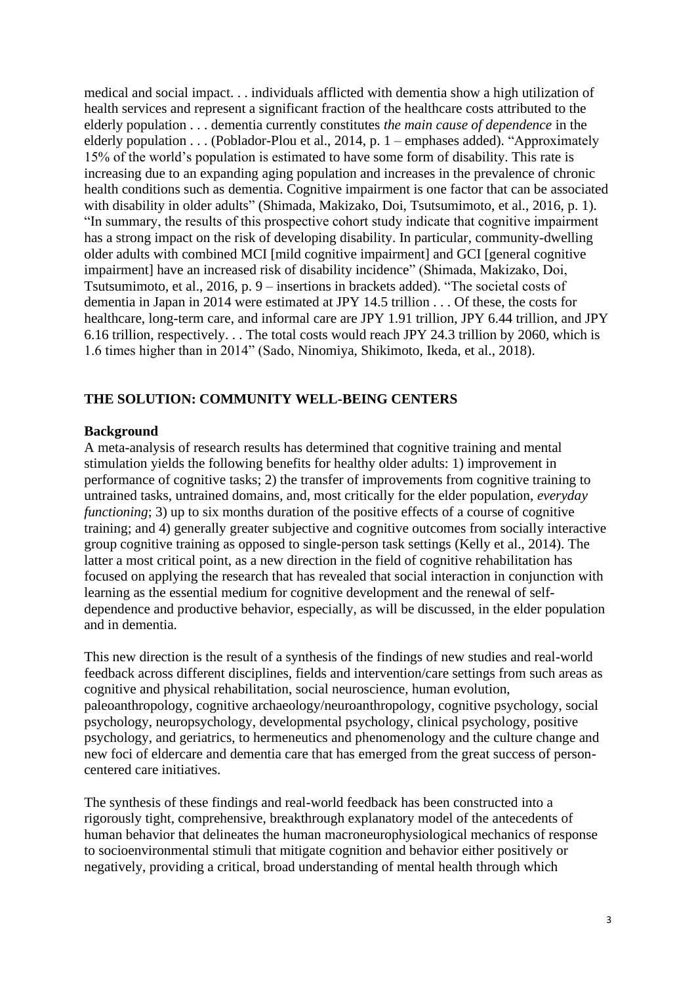medical and social impact. . . individuals afflicted with dementia show a high utilization of health services and represent a significant fraction of the healthcare costs attributed to the elderly population . . . dementia currently constitutes *the main cause of dependence* in the elderly population . . . (Poblador-Plou et al., 2014, p. 1 – emphases added). "Approximately 15% of the world's population is estimated to have some form of disability. This rate is increasing due to an expanding aging population and increases in the prevalence of chronic health conditions such as dementia. Cognitive impairment is one factor that can be associated with disability in older adults" (Shimada, Makizako, Doi, Tsutsumimoto, et al., 2016, p. 1). "In summary, the results of this prospective cohort study indicate that cognitive impairment has a strong impact on the risk of developing disability. In particular, community-dwelling older adults with combined MCI [mild cognitive impairment] and GCI [general cognitive impairment] have an increased risk of disability incidence" (Shimada, Makizako, Doi, Tsutsumimoto, et al., 2016, p. 9 – insertions in brackets added). "The societal costs of dementia in Japan in 2014 were estimated at JPY 14.5 trillion . . . Of these, the costs for healthcare, long-term care, and informal care are JPY 1.91 trillion, JPY 6.44 trillion, and JPY 6.16 trillion, respectively. . . The total costs would reach JPY 24.3 trillion by 2060, which is 1.6 times higher than in 2014" (Sado, Ninomiya, Shikimoto, Ikeda, et al., 2018).

## **THE SOLUTION: COMMUNITY WELL-BEING CENTERS**

## **Background**

A meta-analysis of research results has determined that cognitive training and mental stimulation yields the following benefits for healthy older adults: 1) improvement in performance of cognitive tasks; 2) the transfer of improvements from cognitive training to untrained tasks, untrained domains, and, most critically for the elder population, *everyday functioning*; 3) up to six months duration of the positive effects of a course of cognitive training; and 4) generally greater subjective and cognitive outcomes from socially interactive group cognitive training as opposed to single-person task settings (Kelly et al., 2014). The latter a most critical point, as a new direction in the field of cognitive rehabilitation has focused on applying the research that has revealed that social interaction in conjunction with learning as the essential medium for cognitive development and the renewal of selfdependence and productive behavior, especially, as will be discussed, in the elder population and in dementia.

This new direction is the result of a synthesis of the findings of new studies and real-world feedback across different disciplines, fields and intervention/care settings from such areas as cognitive and physical rehabilitation, social neuroscience, human evolution, paleoanthropology, cognitive archaeology/neuroanthropology, cognitive psychology, social psychology, neuropsychology, developmental psychology, clinical psychology, positive psychology, and geriatrics, to hermeneutics and phenomenology and the culture change and new foci of eldercare and dementia care that has emerged from the great success of personcentered care initiatives.

The synthesis of these findings and real-world feedback has been constructed into a rigorously tight, comprehensive, breakthrough explanatory model of the antecedents of human behavior that delineates the human macroneurophysiological mechanics of response to socioenvironmental stimuli that mitigate cognition and behavior either positively or negatively, providing a critical, broad understanding of mental health through which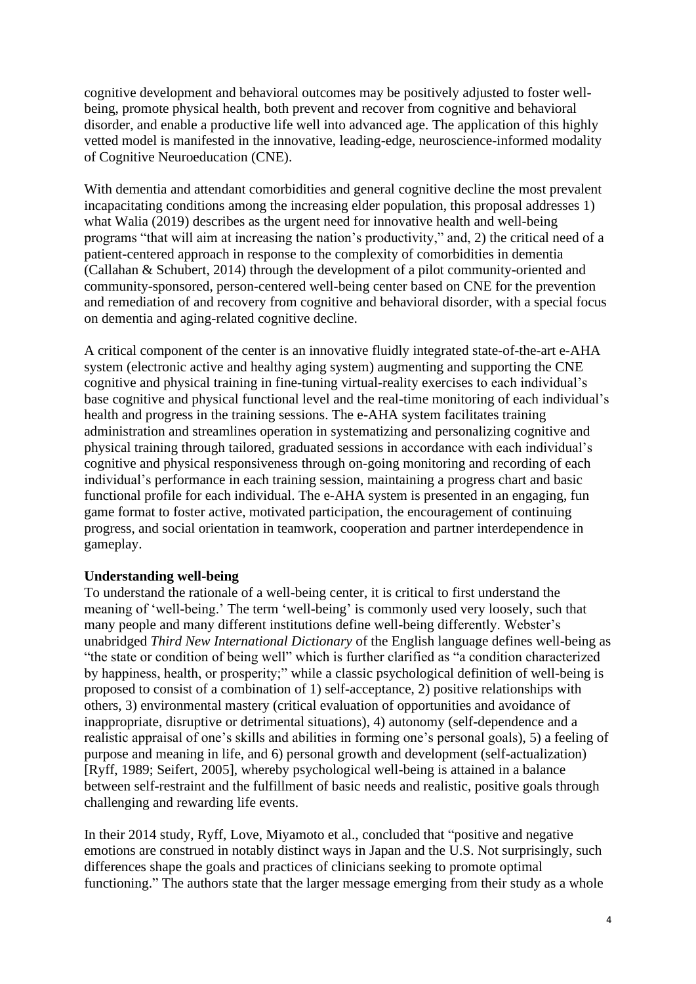cognitive development and behavioral outcomes may be positively adjusted to foster wellbeing, promote physical health, both prevent and recover from cognitive and behavioral disorder, and enable a productive life well into advanced age. The application of this highly vetted model is manifested in the innovative, leading-edge, neuroscience-informed modality of Cognitive Neuroeducation (CNE).

With dementia and attendant comorbidities and general cognitive decline the most prevalent incapacitating conditions among the increasing elder population, this proposal addresses 1) what Walia (2019) describes as the urgent need for innovative health and well-being programs "that will aim at increasing the nation's productivity," and, 2) the critical need of a patient-centered approach in response to the complexity of comorbidities in dementia (Callahan & Schubert, 2014) through the development of a pilot community-oriented and community-sponsored, person-centered well-being center based on CNE for the prevention and remediation of and recovery from cognitive and behavioral disorder, with a special focus on dementia and aging-related cognitive decline.

A critical component of the center is an innovative fluidly integrated state-of-the-art e-AHA system (electronic active and healthy aging system) augmenting and supporting the CNE cognitive and physical training in fine-tuning virtual-reality exercises to each individual's base cognitive and physical functional level and the real-time monitoring of each individual's health and progress in the training sessions. The e-AHA system facilitates training administration and streamlines operation in systematizing and personalizing cognitive and physical training through tailored, graduated sessions in accordance with each individual's cognitive and physical responsiveness through on-going monitoring and recording of each individual's performance in each training session, maintaining a progress chart and basic functional profile for each individual. The e-AHA system is presented in an engaging, fun game format to foster active, motivated participation, the encouragement of continuing progress, and social orientation in teamwork, cooperation and partner interdependence in gameplay.

## **Understanding well-being**

To understand the rationale of a well-being center, it is critical to first understand the meaning of 'well-being.' The term 'well-being' is commonly used very loosely, such that many people and many different institutions define well-being differently. Webster's unabridged *Third New International Dictionary* of the English language defines well-being as "the state or condition of being well" which is further clarified as "a condition characterized by happiness, health, or prosperity;" while a classic psychological definition of well-being is proposed to consist of a combination of 1) self-acceptance, 2) positive relationships with others, 3) environmental mastery (critical evaluation of opportunities and avoidance of inappropriate, disruptive or detrimental situations), 4) autonomy (self-dependence and a realistic appraisal of one's skills and abilities in forming one's personal goals), 5) a feeling of purpose and meaning in life, and 6) personal growth and development (self-actualization) [Ryff, 1989; Seifert, 2005], whereby psychological well-being is attained in a balance between self-restraint and the fulfillment of basic needs and realistic, positive goals through challenging and rewarding life events.

In their 2014 study, Ryff, Love, Miyamoto et al., concluded that "positive and negative emotions are construed in notably distinct ways in Japan and the U.S. Not surprisingly, such differences shape the goals and practices of clinicians seeking to promote optimal functioning." The authors state that the larger message emerging from their study as a whole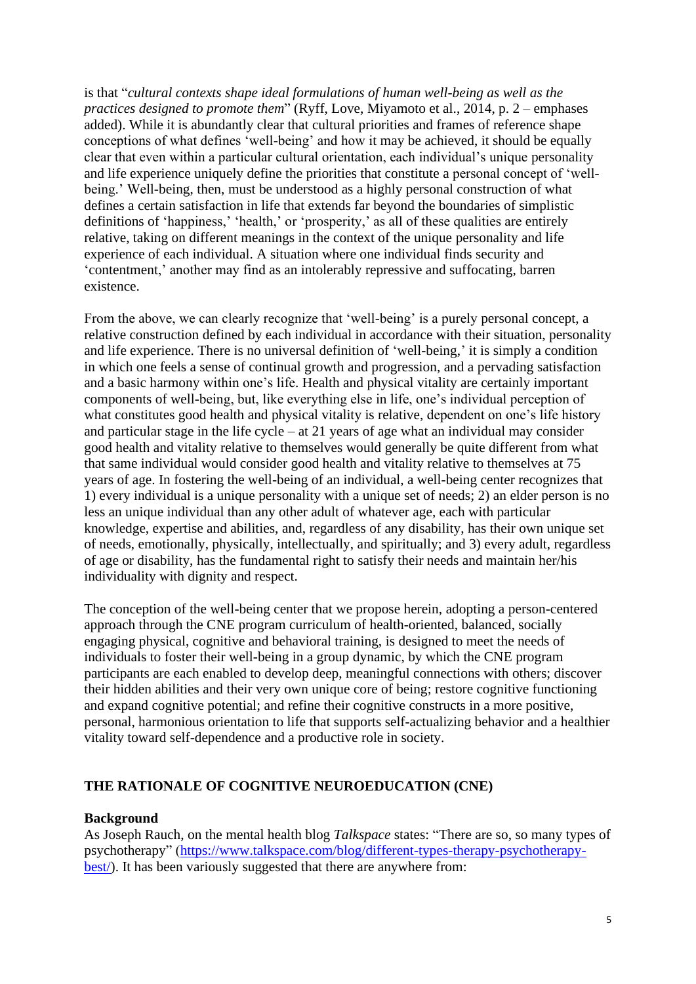is that "*cultural contexts shape ideal formulations of human well-being as well as the practices designed to promote them*" (Ryff, Love, Miyamoto et al., 2014, p. 2 – emphases added). While it is abundantly clear that cultural priorities and frames of reference shape conceptions of what defines 'well-being' and how it may be achieved, it should be equally clear that even within a particular cultural orientation, each individual's unique personality and life experience uniquely define the priorities that constitute a personal concept of 'wellbeing.' Well-being, then, must be understood as a highly personal construction of what defines a certain satisfaction in life that extends far beyond the boundaries of simplistic definitions of 'happiness,' 'health,' or 'prosperity,' as all of these qualities are entirely relative, taking on different meanings in the context of the unique personality and life experience of each individual. A situation where one individual finds security and 'contentment,' another may find as an intolerably repressive and suffocating, barren existence.

From the above, we can clearly recognize that 'well-being' is a purely personal concept, a relative construction defined by each individual in accordance with their situation, personality and life experience. There is no universal definition of 'well-being,' it is simply a condition in which one feels a sense of continual growth and progression, and a pervading satisfaction and a basic harmony within one's life. Health and physical vitality are certainly important components of well-being, but, like everything else in life, one's individual perception of what constitutes good health and physical vitality is relative, dependent on one's life history and particular stage in the life cycle – at 21 years of age what an individual may consider good health and vitality relative to themselves would generally be quite different from what that same individual would consider good health and vitality relative to themselves at 75 years of age. In fostering the well-being of an individual, a well-being center recognizes that 1) every individual is a unique personality with a unique set of needs; 2) an elder person is no less an unique individual than any other adult of whatever age, each with particular knowledge, expertise and abilities, and, regardless of any disability, has their own unique set of needs, emotionally, physically, intellectually, and spiritually; and 3) every adult, regardless of age or disability, has the fundamental right to satisfy their needs and maintain her/his individuality with dignity and respect.

The conception of the well-being center that we propose herein, adopting a person-centered approach through the CNE program curriculum of health-oriented, balanced, socially engaging physical, cognitive and behavioral training, is designed to meet the needs of individuals to foster their well-being in a group dynamic, by which the CNE program participants are each enabled to develop deep, meaningful connections with others; discover their hidden abilities and their very own unique core of being; restore cognitive functioning and expand cognitive potential; and refine their cognitive constructs in a more positive, personal, harmonious orientation to life that supports self-actualizing behavior and a healthier vitality toward self-dependence and a productive role in society.

## **THE RATIONALE OF COGNITIVE NEUROEDUCATION (CNE)**

## **Background**

As Joseph Rauch, on the mental health blog *Talkspace* states: "There are so, so many types of psychotherapy" [\(https://www.talkspace.com/blog/different-types-therapy-psychotherapy](https://www.talkspace.com/blog/different-types-therapy-psychotherapy-best/)[best/\)](https://www.talkspace.com/blog/different-types-therapy-psychotherapy-best/). It has been variously suggested that there are anywhere from: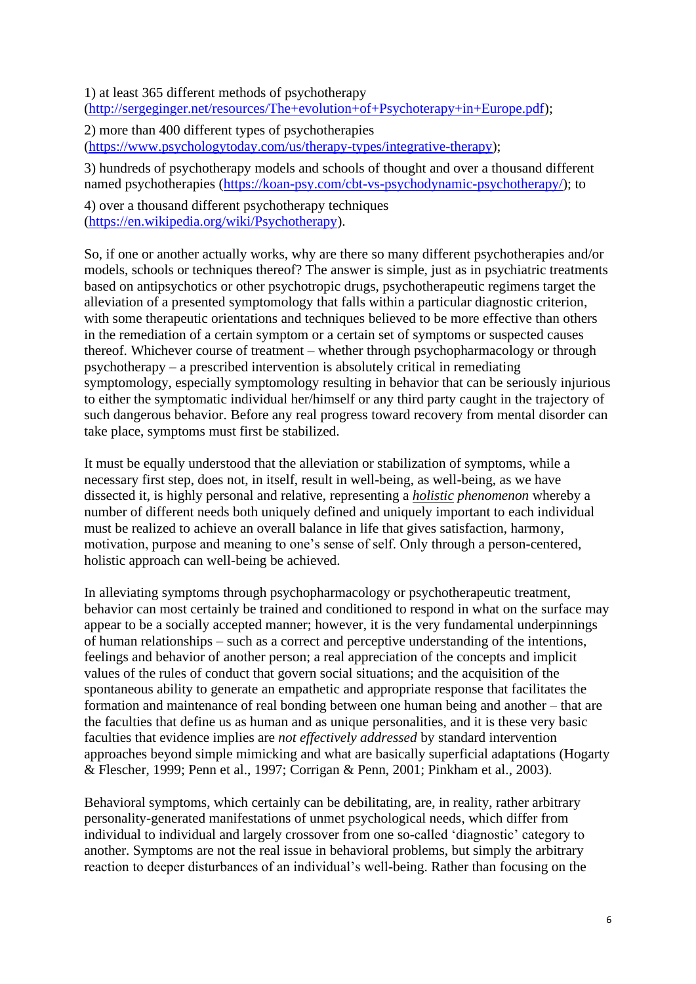1) at least 365 different methods of psychotherapy [\(http://sergeginger.net/resources/The+evolution+of+Psychoterapy+in+Europe.pdf\)](http://sergeginger.net/resources/The+evolution+of+Psychoterapy+in+Europe.pdf);

2) more than 400 different types of psychotherapies [\(https://www.psychologytoday.com/us/therapy-types/integrative-therapy\)](https://www.psychologytoday.com/us/therapy-types/integrative-therapy);

3) hundreds of psychotherapy models and schools of thought and over a thousand different named psychotherapies [\(https://koan-psy.com/cbt-vs-psychodynamic-psychotherapy/\)](https://koan-psy.com/cbt-vs-psychodynamic-psychotherapy/); to

4) over a thousand different psychotherapy techniques [\(https://en.wikipedia.org/wiki/Psychotherapy\)](https://en.wikipedia.org/wiki/Psychotherapy).

So, if one or another actually works, why are there so many different psychotherapies and/or models, schools or techniques thereof? The answer is simple, just as in psychiatric treatments based on antipsychotics or other psychotropic drugs, psychotherapeutic regimens target the alleviation of a presented symptomology that falls within a particular diagnostic criterion, with some therapeutic orientations and techniques believed to be more effective than others in the remediation of a certain symptom or a certain set of symptoms or suspected causes thereof. Whichever course of treatment – whether through psychopharmacology or through psychotherapy – a prescribed intervention is absolutely critical in remediating symptomology, especially symptomology resulting in behavior that can be seriously injurious to either the symptomatic individual her/himself or any third party caught in the trajectory of such dangerous behavior. Before any real progress toward recovery from mental disorder can take place, symptoms must first be stabilized.

It must be equally understood that the alleviation or stabilization of symptoms, while a necessary first step, does not, in itself, result in well-being, as well-being, as we have dissected it, is highly personal and relative, representing a *holistic phenomenon* whereby a number of different needs both uniquely defined and uniquely important to each individual must be realized to achieve an overall balance in life that gives satisfaction, harmony, motivation, purpose and meaning to one's sense of self. Only through a person-centered, holistic approach can well-being be achieved.

In alleviating symptoms through psychopharmacology or psychotherapeutic treatment, behavior can most certainly be trained and conditioned to respond in what on the surface may appear to be a socially accepted manner; however, it is the very fundamental underpinnings of human relationships – such as a correct and perceptive understanding of the intentions, feelings and behavior of another person; a real appreciation of the concepts and implicit values of the rules of conduct that govern social situations; and the acquisition of the spontaneous ability to generate an empathetic and appropriate response that facilitates the formation and maintenance of real bonding between one human being and another – that are the faculties that define us as human and as unique personalities, and it is these very basic faculties that evidence implies are *not effectively addressed* by standard intervention approaches beyond simple mimicking and what are basically superficial adaptations (Hogarty & Flescher, 1999; Penn et al., 1997; Corrigan & Penn, 2001; Pinkham et al., 2003).

Behavioral symptoms, which certainly can be debilitating, are, in reality, rather arbitrary personality-generated manifestations of unmet psychological needs, which differ from individual to individual and largely crossover from one so-called 'diagnostic' category to another. Symptoms are not the real issue in behavioral problems, but simply the arbitrary reaction to deeper disturbances of an individual's well-being. Rather than focusing on the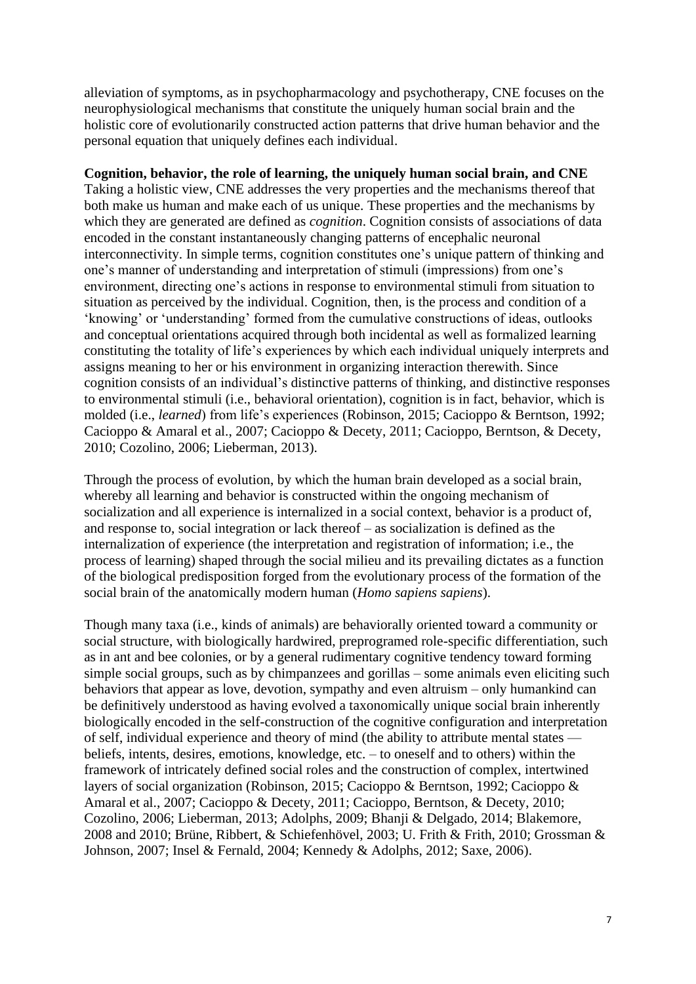alleviation of symptoms, as in psychopharmacology and psychotherapy, CNE focuses on the neurophysiological mechanisms that constitute the uniquely human social brain and the holistic core of evolutionarily constructed action patterns that drive human behavior and the personal equation that uniquely defines each individual.

## **Cognition, behavior, the role of learning, the uniquely human social brain, and CNE**

Taking a holistic view, CNE addresses the very properties and the mechanisms thereof that both make us human and make each of us unique. These properties and the mechanisms by which they are generated are defined as *cognition*. Cognition consists of associations of data encoded in the constant instantaneously changing patterns of encephalic neuronal interconnectivity. In simple terms, cognition constitutes one's unique pattern of thinking and one's manner of understanding and interpretation of stimuli (impressions) from one's environment, directing one's actions in response to environmental stimuli from situation to situation as perceived by the individual. Cognition, then, is the process and condition of a 'knowing' or 'understanding' formed from the cumulative constructions of ideas, outlooks and conceptual orientations acquired through both incidental as well as formalized learning constituting the totality of life's experiences by which each individual uniquely interprets and assigns meaning to her or his environment in organizing interaction therewith. Since cognition consists of an individual's distinctive patterns of thinking, and distinctive responses to environmental stimuli (i.e., behavioral orientation), cognition is in fact, behavior, which is molded (i.e., *learned*) from life's experiences (Robinson, 2015; Cacioppo & Berntson, 1992; Cacioppo & Amaral et al., 2007; Cacioppo & Decety, 2011; Cacioppo, Berntson, & Decety, 2010; Cozolino, 2006; Lieberman, 2013).

Through the process of evolution, by which the human brain developed as a social brain, whereby all learning and behavior is constructed within the ongoing mechanism of socialization and all experience is internalized in a social context, behavior is a product of, and response to, social integration or lack thereof – as socialization is defined as the internalization of experience (the interpretation and registration of information; i.e., the process of learning) shaped through the social milieu and its prevailing dictates as a function of the biological predisposition forged from the evolutionary process of the formation of the social brain of the anatomically modern human (*Homo sapiens sapiens*).

Though many taxa (i.e., kinds of animals) are behaviorally oriented toward a community or social structure, with biologically hardwired, preprogramed role-specific differentiation, such as in ant and bee colonies, or by a general rudimentary cognitive tendency toward forming simple social groups, such as by chimpanzees and gorillas – some animals even eliciting such behaviors that appear as love, devotion, sympathy and even altruism – only humankind can be definitively understood as having evolved a taxonomically unique social brain inherently biologically encoded in the self-construction of the cognitive configuration and interpretation of self, individual experience and theory of mind (the ability to attribute mental states beliefs, intents, desires, emotions, knowledge, etc. – to oneself and to others) within the framework of intricately defined social roles and the construction of complex, intertwined layers of social organization (Robinson, 2015; Cacioppo & Berntson, 1992; Cacioppo & Amaral et al., 2007; Cacioppo & Decety, 2011; Cacioppo, Berntson, & Decety, 2010; Cozolino, 2006; Lieberman, 2013; Adolphs, 2009; Bhanji & Delgado, 2014; Blakemore, 2008 and 2010; Brüne, Ribbert, & Schiefenhövel, 2003; U. Frith & Frith, 2010; Grossman & Johnson, 2007; Insel & Fernald, 2004; Kennedy & Adolphs, 2012; Saxe, 2006).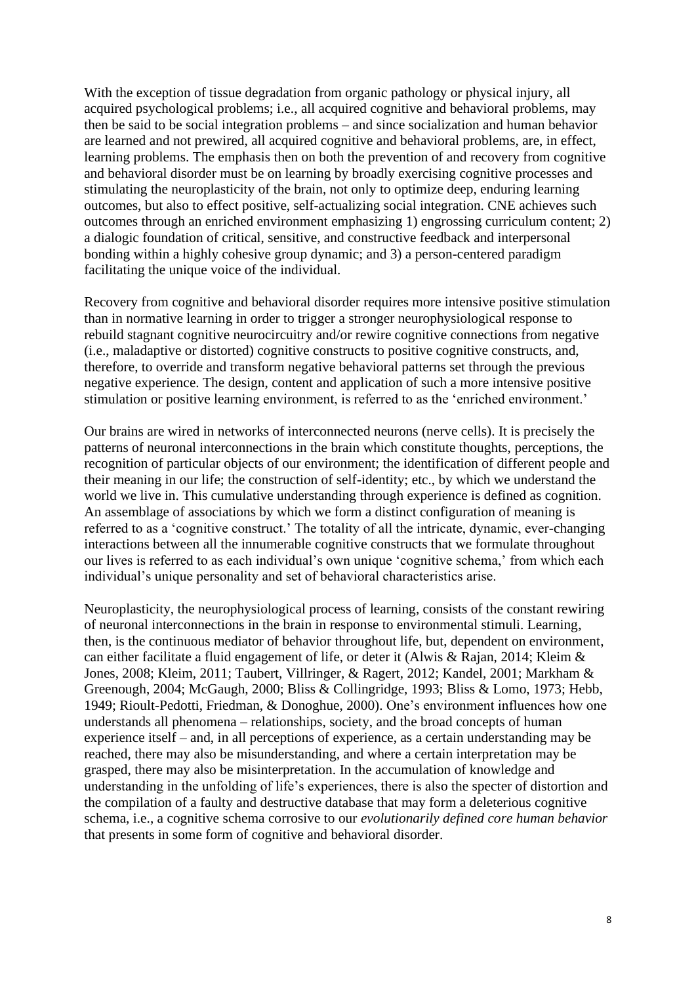With the exception of tissue degradation from organic pathology or physical injury, all acquired psychological problems; i.e., all acquired cognitive and behavioral problems, may then be said to be social integration problems – and since socialization and human behavior are learned and not prewired, all acquired cognitive and behavioral problems, are, in effect, learning problems. The emphasis then on both the prevention of and recovery from cognitive and behavioral disorder must be on learning by broadly exercising cognitive processes and stimulating the neuroplasticity of the brain, not only to optimize deep, enduring learning outcomes, but also to effect positive, self-actualizing social integration. CNE achieves such outcomes through an enriched environment emphasizing 1) engrossing curriculum content; 2) a dialogic foundation of critical, sensitive, and constructive feedback and interpersonal bonding within a highly cohesive group dynamic; and 3) a person-centered paradigm facilitating the unique voice of the individual.

Recovery from cognitive and behavioral disorder requires more intensive positive stimulation than in normative learning in order to trigger a stronger neurophysiological response to rebuild stagnant cognitive neurocircuitry and/or rewire cognitive connections from negative (i.e., maladaptive or distorted) cognitive constructs to positive cognitive constructs, and, therefore, to override and transform negative behavioral patterns set through the previous negative experience. The design, content and application of such a more intensive positive stimulation or positive learning environment, is referred to as the 'enriched environment.'

Our brains are wired in networks of interconnected neurons (nerve cells). It is precisely the patterns of neuronal interconnections in the brain which constitute thoughts, perceptions, the recognition of particular objects of our environment; the identification of different people and their meaning in our life; the construction of self-identity; etc., by which we understand the world we live in. This cumulative understanding through experience is defined as cognition. An assemblage of associations by which we form a distinct configuration of meaning is referred to as a 'cognitive construct.' The totality of all the intricate, dynamic, ever-changing interactions between all the innumerable cognitive constructs that we formulate throughout our lives is referred to as each individual's own unique 'cognitive schema,' from which each individual's unique personality and set of behavioral characteristics arise.

Neuroplasticity, the neurophysiological process of learning, consists of the constant rewiring of neuronal interconnections in the brain in response to environmental stimuli. Learning, then, is the continuous mediator of behavior throughout life, but, dependent on environment, can either facilitate a fluid engagement of life, or deter it (Alwis & Rajan, 2014; Kleim & Jones, 2008; Kleim, 2011; Taubert, Villringer, & Ragert, 2012; Kandel, 2001; Markham & Greenough, 2004; McGaugh, 2000; Bliss & Collingridge, 1993; Bliss & Lomo, 1973; Hebb, 1949; Rioult-Pedotti, Friedman, & Donoghue, 2000). One's environment influences how one understands all phenomena – relationships, society, and the broad concepts of human experience itself – and, in all perceptions of experience, as a certain understanding may be reached, there may also be misunderstanding, and where a certain interpretation may be grasped, there may also be misinterpretation. In the accumulation of knowledge and understanding in the unfolding of life's experiences, there is also the specter of distortion and the compilation of a faulty and destructive database that may form a deleterious cognitive schema, i.e., a cognitive schema corrosive to our *evolutionarily defined core human behavior* that presents in some form of cognitive and behavioral disorder.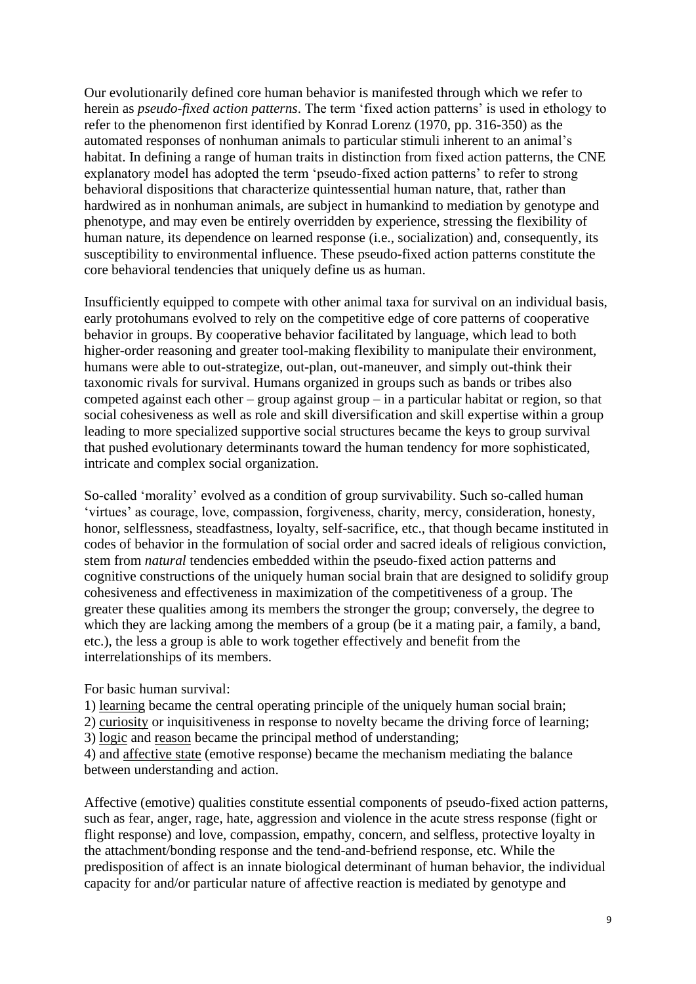Our evolutionarily defined core human behavior is manifested through which we refer to herein as *pseudo-fixed action patterns*. The term 'fixed action patterns' is used in ethology to refer to the phenomenon first identified by Konrad Lorenz (1970, pp. 316-350) as the automated responses of nonhuman animals to particular stimuli inherent to an animal's habitat. In defining a range of human traits in distinction from fixed action patterns, the CNE explanatory model has adopted the term 'pseudo-fixed action patterns' to refer to strong behavioral dispositions that characterize quintessential human nature, that, rather than hardwired as in nonhuman animals, are subject in humankind to mediation by genotype and phenotype, and may even be entirely overridden by experience, stressing the flexibility of human nature, its dependence on learned response (i.e., socialization) and, consequently, its susceptibility to environmental influence. These pseudo-fixed action patterns constitute the core behavioral tendencies that uniquely define us as human.

Insufficiently equipped to compete with other animal taxa for survival on an individual basis, early protohumans evolved to rely on the competitive edge of core patterns of cooperative behavior in groups. By cooperative behavior facilitated by language, which lead to both higher-order reasoning and greater tool-making flexibility to manipulate their environment, humans were able to out-strategize, out-plan, out-maneuver, and simply out-think their taxonomic rivals for survival. Humans organized in groups such as bands or tribes also competed against each other – group against group – in a particular habitat or region, so that social cohesiveness as well as role and skill diversification and skill expertise within a group leading to more specialized supportive social structures became the keys to group survival that pushed evolutionary determinants toward the human tendency for more sophisticated, intricate and complex social organization.

So-called 'morality' evolved as a condition of group survivability. Such so-called human 'virtues' as courage, love, compassion, forgiveness, charity, mercy, consideration, honesty, honor, selflessness, steadfastness, loyalty, self-sacrifice, etc., that though became instituted in codes of behavior in the formulation of social order and sacred ideals of religious conviction, stem from *natural* tendencies embedded within the pseudo-fixed action patterns and cognitive constructions of the uniquely human social brain that are designed to solidify group cohesiveness and effectiveness in maximization of the competitiveness of a group. The greater these qualities among its members the stronger the group; conversely, the degree to which they are lacking among the members of a group (be it a mating pair, a family, a band, etc.), the less a group is able to work together effectively and benefit from the interrelationships of its members.

For basic human survival:

1) learning became the central operating principle of the uniquely human social brain;

2) curiosity or inquisitiveness in response to novelty became the driving force of learning;

3) logic and reason became the principal method of understanding;

4) and affective state (emotive response) became the mechanism mediating the balance between understanding and action.

Affective (emotive) qualities constitute essential components of pseudo-fixed action patterns, such as fear, anger, rage, hate, aggression and violence in the acute stress response (fight or flight response) and love, compassion, empathy, concern, and selfless, protective loyalty in the attachment/bonding response and the tend-and-befriend response, etc. While the predisposition of affect is an innate biological determinant of human behavior, the individual capacity for and/or particular nature of affective reaction is mediated by genotype and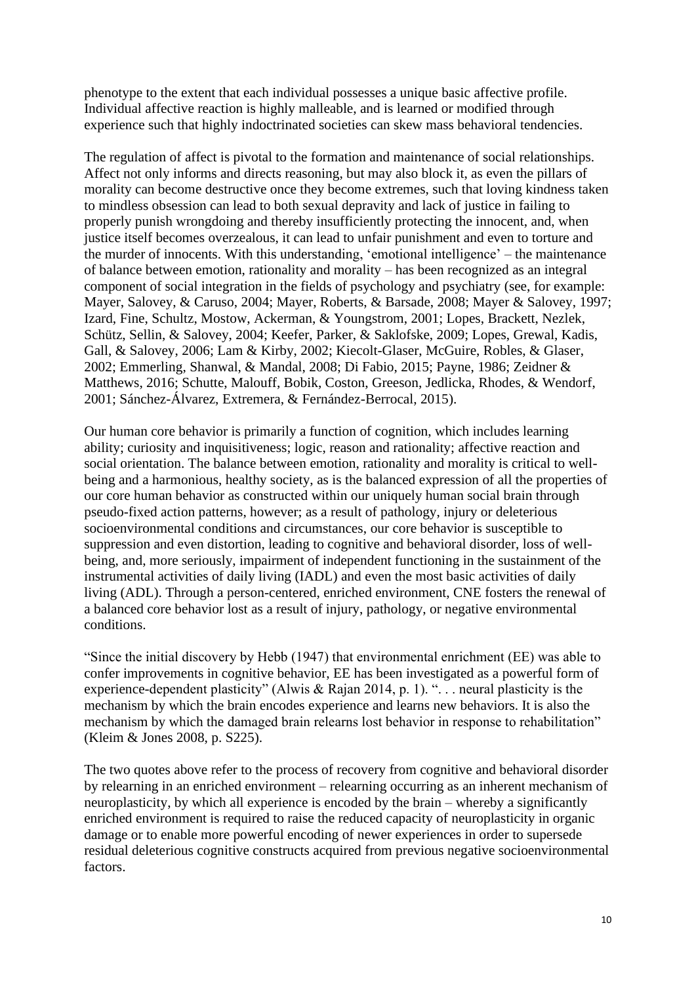phenotype to the extent that each individual possesses a unique basic affective profile. Individual affective reaction is highly malleable, and is learned or modified through experience such that highly indoctrinated societies can skew mass behavioral tendencies.

The regulation of affect is pivotal to the formation and maintenance of social relationships. Affect not only informs and directs reasoning, but may also block it, as even the pillars of morality can become destructive once they become extremes, such that loving kindness taken to mindless obsession can lead to both sexual depravity and lack of justice in failing to properly punish wrongdoing and thereby insufficiently protecting the innocent, and, when justice itself becomes overzealous, it can lead to unfair punishment and even to torture and the murder of innocents. With this understanding, 'emotional intelligence' – the maintenance of balance between emotion, rationality and morality – has been recognized as an integral component of social integration in the fields of psychology and psychiatry (see, for example: Mayer, Salovey, & Caruso, 2004; Mayer, Roberts, & Barsade, 2008; Mayer & Salovey, 1997; Izard, Fine, Schultz, Mostow, Ackerman, & Youngstrom, 2001; Lopes, Brackett, Nezlek, Schütz, Sellin, & Salovey, 2004; Keefer, Parker, & Saklofske, 2009; Lopes, Grewal, Kadis, Gall, & Salovey, 2006; Lam & Kirby, 2002; Kiecolt-Glaser, McGuire, Robles, & Glaser, 2002; Emmerling, Shanwal, & Mandal, 2008; Di Fabio, 2015; Payne, 1986; Zeidner & Matthews, 2016; Schutte, Malouff, Bobik, Coston, Greeson, Jedlicka, Rhodes, & Wendorf, 2001; Sánchez-Álvarez, Extremera, & Fernández-Berrocal, 2015).

Our human core behavior is primarily a function of cognition, which includes learning ability; curiosity and inquisitiveness; logic, reason and rationality; affective reaction and social orientation. The balance between emotion, rationality and morality is critical to wellbeing and a harmonious, healthy society, as is the balanced expression of all the properties of our core human behavior as constructed within our uniquely human social brain through pseudo-fixed action patterns, however; as a result of pathology, injury or deleterious socioenvironmental conditions and circumstances, our core behavior is susceptible to suppression and even distortion, leading to cognitive and behavioral disorder, loss of wellbeing, and, more seriously, impairment of independent functioning in the sustainment of the instrumental activities of daily living (IADL) and even the most basic activities of daily living (ADL). Through a person-centered, enriched environment, CNE fosters the renewal of a balanced core behavior lost as a result of injury, pathology, or negative environmental conditions.

"Since the initial discovery by Hebb (1947) that environmental enrichment (EE) was able to confer improvements in cognitive behavior, EE has been investigated as a powerful form of experience-dependent plasticity" (Alwis & Rajan 2014, p. 1). ". . . neural plasticity is the mechanism by which the brain encodes experience and learns new behaviors. It is also the mechanism by which the damaged brain relearns lost behavior in response to rehabilitation" (Kleim & Jones 2008, p. S225).

The two quotes above refer to the process of recovery from cognitive and behavioral disorder by relearning in an enriched environment – relearning occurring as an inherent mechanism of neuroplasticity, by which all experience is encoded by the brain – whereby a significantly enriched environment is required to raise the reduced capacity of neuroplasticity in organic damage or to enable more powerful encoding of newer experiences in order to supersede residual deleterious cognitive constructs acquired from previous negative socioenvironmental factors.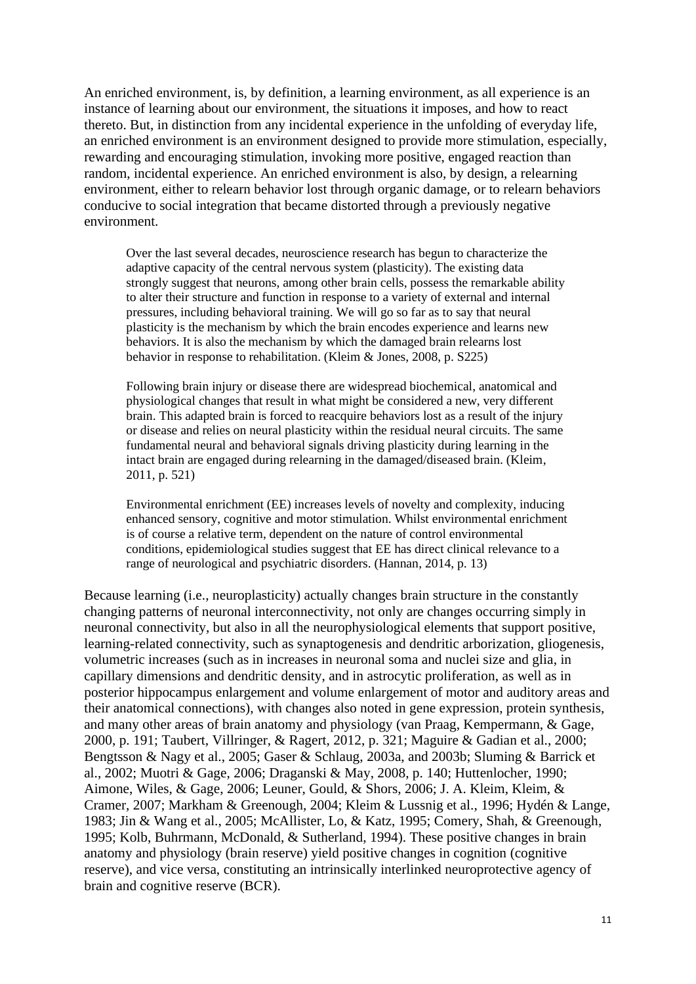An enriched environment, is, by definition, a learning environment, as all experience is an instance of learning about our environment, the situations it imposes, and how to react thereto. But, in distinction from any incidental experience in the unfolding of everyday life, an enriched environment is an environment designed to provide more stimulation, especially, rewarding and encouraging stimulation, invoking more positive, engaged reaction than random, incidental experience. An enriched environment is also, by design, a relearning environment, either to relearn behavior lost through organic damage, or to relearn behaviors conducive to social integration that became distorted through a previously negative environment.

Over the last several decades, neuroscience research has begun to characterize the adaptive capacity of the central nervous system (plasticity). The existing data strongly suggest that neurons, among other brain cells, possess the remarkable ability to alter their structure and function in response to a variety of external and internal pressures, including behavioral training. We will go so far as to say that neural plasticity is the mechanism by which the brain encodes experience and learns new behaviors. It is also the mechanism by which the damaged brain relearns lost behavior in response to rehabilitation. (Kleim & Jones, 2008, p. S225)

Following brain injury or disease there are widespread biochemical, anatomical and physiological changes that result in what might be considered a new, very different brain. This adapted brain is forced to reacquire behaviors lost as a result of the injury or disease and relies on neural plasticity within the residual neural circuits. The same fundamental neural and behavioral signals driving plasticity during learning in the intact brain are engaged during relearning in the damaged/diseased brain. (Kleim, 2011, p. 521)

Environmental enrichment (EE) increases levels of novelty and complexity, inducing enhanced sensory, cognitive and motor stimulation. Whilst environmental enrichment is of course a relative term, dependent on the nature of control environmental conditions, epidemiological studies suggest that EE has direct clinical relevance to a range of neurological and psychiatric disorders. (Hannan, 2014, p. 13)

Because learning (i.e., neuroplasticity) actually changes brain structure in the constantly changing patterns of neuronal interconnectivity, not only are changes occurring simply in neuronal connectivity, but also in all the neurophysiological elements that support positive, learning-related connectivity, such as synaptogenesis and dendritic arborization, gliogenesis, volumetric increases (such as in increases in neuronal soma and nuclei size and glia, in capillary dimensions and dendritic density, and in astrocytic proliferation, as well as in posterior hippocampus enlargement and volume enlargement of motor and auditory areas and their anatomical connections), with changes also noted in gene expression, protein synthesis, and many other areas of brain anatomy and physiology (van Praag, Kempermann, & Gage, 2000, p. 191; Taubert, Villringer, & Ragert, 2012, p. 321; Maguire & Gadian et al., 2000; Bengtsson & Nagy et al., 2005; Gaser & Schlaug, 2003a, and 2003b; Sluming & Barrick et al., 2002; Muotri & Gage, 2006; Draganski & May, 2008, p. 140; Huttenlocher, 1990; Aimone, Wiles, & Gage, 2006; Leuner, Gould, & Shors, 2006; J. A. Kleim, Kleim, & Cramer, 2007; Markham & Greenough, 2004; Kleim & Lussnig et al., 1996; Hydén & Lange, 1983; Jin & Wang et al., 2005; McAllister, Lo, & Katz, 1995; Comery, Shah, & Greenough, 1995; Kolb, Buhrmann, McDonald, & Sutherland, 1994). These positive changes in brain anatomy and physiology (brain reserve) yield positive changes in cognition (cognitive reserve), and vice versa, constituting an intrinsically interlinked neuroprotective agency of brain and cognitive reserve (BCR).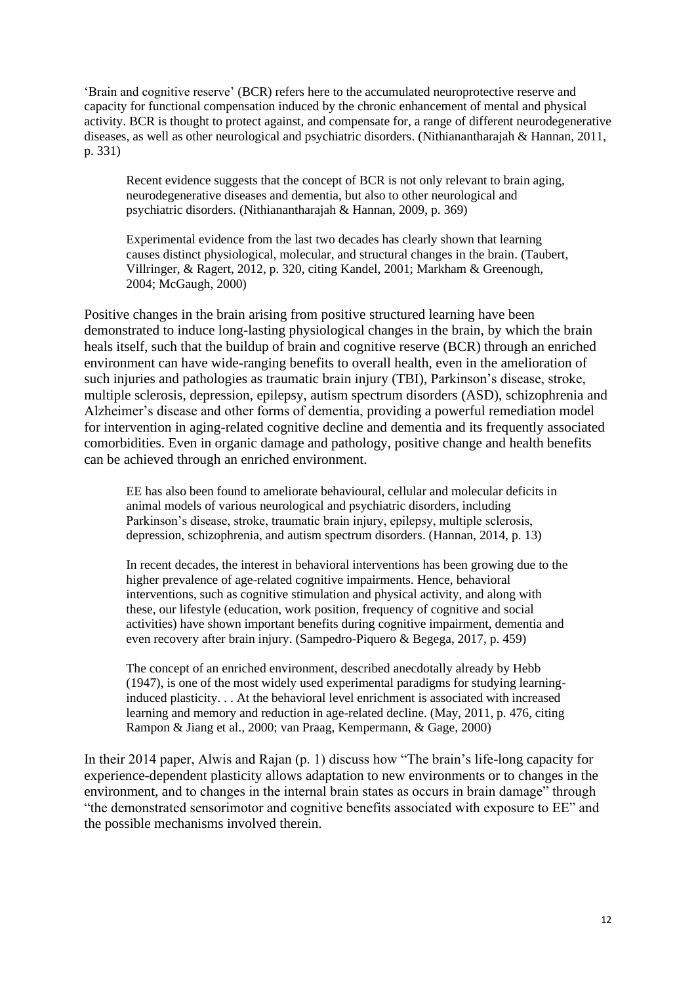'Brain and cognitive reserve' (BCR) refers here to the accumulated neuroprotective reserve and capacity for functional compensation induced by the chronic enhancement of mental and physical activity. BCR is thought to protect against, and compensate for, a range of different neurodegenerative diseases, as well as other neurological and psychiatric disorders. (Nithianantharajah & Hannan, 2011, p. 331)

Recent evidence suggests that the concept of BCR is not only relevant to brain aging, neurodegenerative diseases and dementia, but also to other neurological and psychiatric disorders. (Nithianantharajah & Hannan, 2009, p. 369)

Experimental evidence from the last two decades has clearly shown that learning causes distinct physiological, molecular, and structural changes in the brain. (Taubert, Villringer, & Ragert, 2012, p. 320, citing Kandel, 2001; Markham & Greenough, 2004; McGaugh, 2000)

Positive changes in the brain arising from positive structured learning have been demonstrated to induce long-lasting physiological changes in the brain, by which the brain heals itself, such that the buildup of brain and cognitive reserve (BCR) through an enriched environment can have wide-ranging benefits to overall health, even in the amelioration of such injuries and pathologies as traumatic brain injury (TBI), Parkinson's disease, stroke, multiple sclerosis, depression, epilepsy, autism spectrum disorders (ASD), schizophrenia and Alzheimer's disease and other forms of dementia, providing a powerful remediation model for intervention in aging-related cognitive decline and dementia and its frequently associated comorbidities. Even in organic damage and pathology, positive change and health benefits can be achieved through an enriched environment.

EE has also been found to ameliorate behavioural, cellular and molecular deficits in animal models of various neurological and psychiatric disorders, including Parkinson's disease, stroke, traumatic brain injury, epilepsy, multiple sclerosis, depression, schizophrenia, and autism spectrum disorders. (Hannan, 2014, p. 13)

In recent decades, the interest in behavioral interventions has been growing due to the higher prevalence of age-related cognitive impairments. Hence, behavioral interventions, such as cognitive stimulation and physical activity, and along with these, our lifestyle (education, work position, frequency of cognitive and social activities) have shown important benefits during cognitive impairment, dementia and even recovery after brain injury. (Sampedro-Piquero & Begega, 2017, p. 459)

The concept of an enriched environment, described anecdotally already by Hebb (1947), is one of the most widely used experimental paradigms for studying learninginduced plasticity. . . At the behavioral level enrichment is associated with increased learning and memory and reduction in age-related decline. (May, 2011, p. 476, citing Rampon & Jiang et al., 2000; van Praag, Kempermann, & Gage, 2000)

In their 2014 paper, Alwis and Rajan (p. 1) discuss how "The brain's life-long capacity for experience-dependent plasticity allows adaptation to new environments or to changes in the environment, and to changes in the internal brain states as occurs in brain damage" through "the demonstrated sensorimotor and cognitive benefits associated with exposure to EE" and the possible mechanisms involved therein.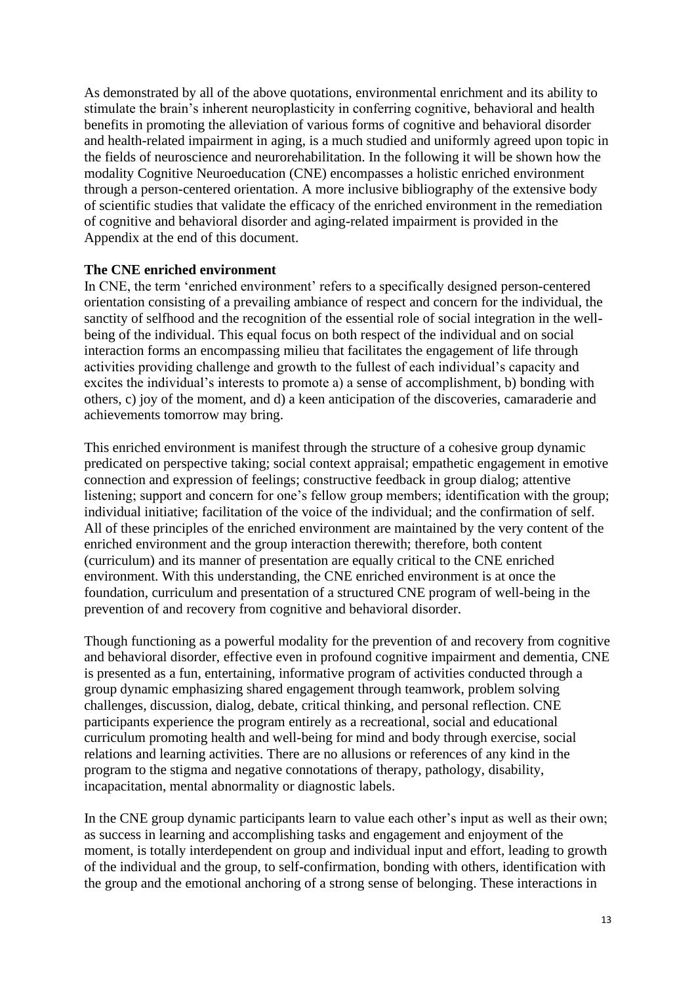As demonstrated by all of the above quotations, environmental enrichment and its ability to stimulate the brain's inherent neuroplasticity in conferring cognitive, behavioral and health benefits in promoting the alleviation of various forms of cognitive and behavioral disorder and health-related impairment in aging, is a much studied and uniformly agreed upon topic in the fields of neuroscience and neurorehabilitation. In the following it will be shown how the modality Cognitive Neuroeducation (CNE) encompasses a holistic enriched environment through a person-centered orientation. A more inclusive bibliography of the extensive body of scientific studies that validate the efficacy of the enriched environment in the remediation of cognitive and behavioral disorder and aging-related impairment is provided in the Appendix at the end of this document.

## **The CNE enriched environment**

In CNE, the term 'enriched environment' refers to a specifically designed person-centered orientation consisting of a prevailing ambiance of respect and concern for the individual, the sanctity of selfhood and the recognition of the essential role of social integration in the wellbeing of the individual. This equal focus on both respect of the individual and on social interaction forms an encompassing milieu that facilitates the engagement of life through activities providing challenge and growth to the fullest of each individual's capacity and excites the individual's interests to promote a) a sense of accomplishment, b) bonding with others, c) joy of the moment, and d) a keen anticipation of the discoveries, camaraderie and achievements tomorrow may bring.

This enriched environment is manifest through the structure of a cohesive group dynamic predicated on perspective taking; social context appraisal; empathetic engagement in emotive connection and expression of feelings; constructive feedback in group dialog; attentive listening; support and concern for one's fellow group members; identification with the group; individual initiative; facilitation of the voice of the individual; and the confirmation of self. All of these principles of the enriched environment are maintained by the very content of the enriched environment and the group interaction therewith; therefore, both content (curriculum) and its manner of presentation are equally critical to the CNE enriched environment. With this understanding, the CNE enriched environment is at once the foundation, curriculum and presentation of a structured CNE program of well-being in the prevention of and recovery from cognitive and behavioral disorder.

Though functioning as a powerful modality for the prevention of and recovery from cognitive and behavioral disorder, effective even in profound cognitive impairment and dementia, CNE is presented as a fun, entertaining, informative program of activities conducted through a group dynamic emphasizing shared engagement through teamwork, problem solving challenges, discussion, dialog, debate, critical thinking, and personal reflection. CNE participants experience the program entirely as a recreational, social and educational curriculum promoting health and well-being for mind and body through exercise, social relations and learning activities. There are no allusions or references of any kind in the program to the stigma and negative connotations of therapy, pathology, disability, incapacitation, mental abnormality or diagnostic labels.

In the CNE group dynamic participants learn to value each other's input as well as their own; as success in learning and accomplishing tasks and engagement and enjoyment of the moment, is totally interdependent on group and individual input and effort, leading to growth of the individual and the group, to self-confirmation, bonding with others, identification with the group and the emotional anchoring of a strong sense of belonging. These interactions in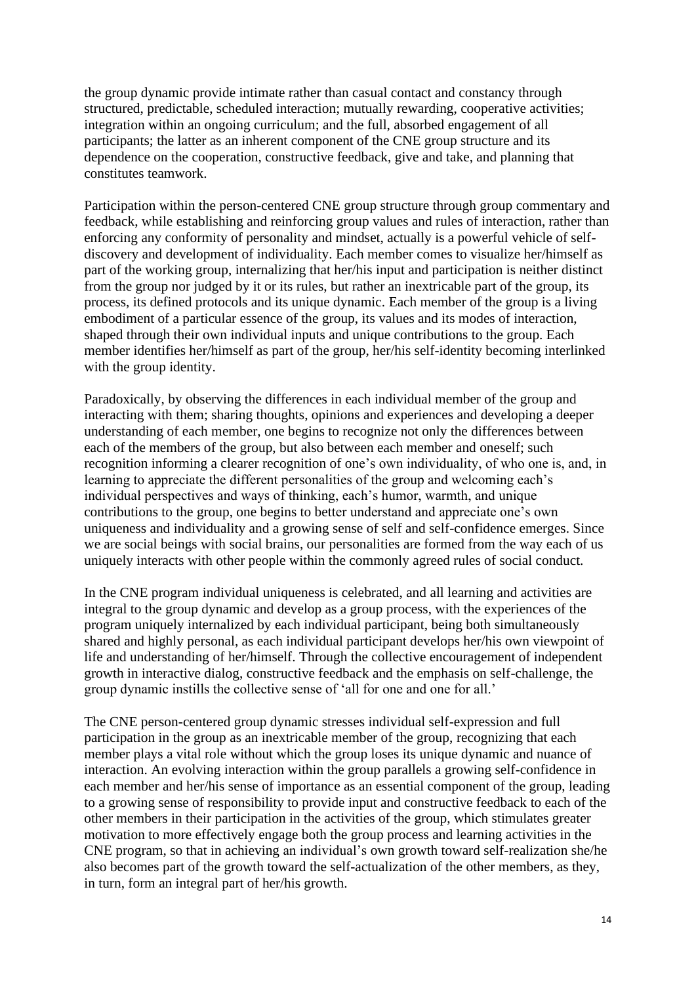the group dynamic provide intimate rather than casual contact and constancy through structured, predictable, scheduled interaction; mutually rewarding, cooperative activities; integration within an ongoing curriculum; and the full, absorbed engagement of all participants; the latter as an inherent component of the CNE group structure and its dependence on the cooperation, constructive feedback, give and take, and planning that constitutes teamwork.

Participation within the person-centered CNE group structure through group commentary and feedback, while establishing and reinforcing group values and rules of interaction, rather than enforcing any conformity of personality and mindset, actually is a powerful vehicle of selfdiscovery and development of individuality. Each member comes to visualize her/himself as part of the working group, internalizing that her/his input and participation is neither distinct from the group nor judged by it or its rules, but rather an inextricable part of the group, its process, its defined protocols and its unique dynamic. Each member of the group is a living embodiment of a particular essence of the group, its values and its modes of interaction, shaped through their own individual inputs and unique contributions to the group. Each member identifies her/himself as part of the group, her/his self-identity becoming interlinked with the group identity.

Paradoxically, by observing the differences in each individual member of the group and interacting with them; sharing thoughts, opinions and experiences and developing a deeper understanding of each member, one begins to recognize not only the differences between each of the members of the group, but also between each member and oneself; such recognition informing a clearer recognition of one's own individuality, of who one is, and, in learning to appreciate the different personalities of the group and welcoming each's individual perspectives and ways of thinking, each's humor, warmth, and unique contributions to the group, one begins to better understand and appreciate one's own uniqueness and individuality and a growing sense of self and self-confidence emerges. Since we are social beings with social brains, our personalities are formed from the way each of us uniquely interacts with other people within the commonly agreed rules of social conduct.

In the CNE program individual uniqueness is celebrated, and all learning and activities are integral to the group dynamic and develop as a group process, with the experiences of the program uniquely internalized by each individual participant, being both simultaneously shared and highly personal, as each individual participant develops her/his own viewpoint of life and understanding of her/himself. Through the collective encouragement of independent growth in interactive dialog, constructive feedback and the emphasis on self-challenge, the group dynamic instills the collective sense of 'all for one and one for all.'

The CNE person-centered group dynamic stresses individual self-expression and full participation in the group as an inextricable member of the group, recognizing that each member plays a vital role without which the group loses its unique dynamic and nuance of interaction. An evolving interaction within the group parallels a growing self-confidence in each member and her/his sense of importance as an essential component of the group, leading to a growing sense of responsibility to provide input and constructive feedback to each of the other members in their participation in the activities of the group, which stimulates greater motivation to more effectively engage both the group process and learning activities in the CNE program, so that in achieving an individual's own growth toward self-realization she/he also becomes part of the growth toward the self-actualization of the other members, as they, in turn, form an integral part of her/his growth.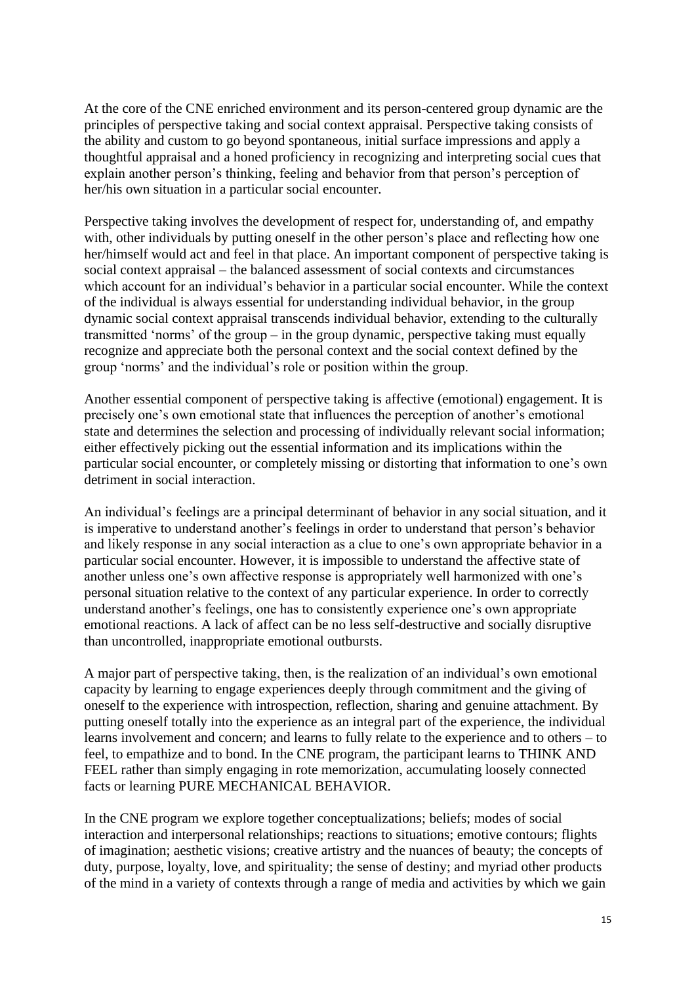At the core of the CNE enriched environment and its person-centered group dynamic are the principles of perspective taking and social context appraisal. Perspective taking consists of the ability and custom to go beyond spontaneous, initial surface impressions and apply a thoughtful appraisal and a honed proficiency in recognizing and interpreting social cues that explain another person's thinking, feeling and behavior from that person's perception of her/his own situation in a particular social encounter.

Perspective taking involves the development of respect for, understanding of, and empathy with, other individuals by putting oneself in the other person's place and reflecting how one her/himself would act and feel in that place. An important component of perspective taking is social context appraisal – the balanced assessment of social contexts and circumstances which account for an individual's behavior in a particular social encounter. While the context of the individual is always essential for understanding individual behavior, in the group dynamic social context appraisal transcends individual behavior, extending to the culturally transmitted 'norms' of the group – in the group dynamic, perspective taking must equally recognize and appreciate both the personal context and the social context defined by the group 'norms' and the individual's role or position within the group.

Another essential component of perspective taking is affective (emotional) engagement. It is precisely one's own emotional state that influences the perception of another's emotional state and determines the selection and processing of individually relevant social information; either effectively picking out the essential information and its implications within the particular social encounter, or completely missing or distorting that information to one's own detriment in social interaction.

An individual's feelings are a principal determinant of behavior in any social situation, and it is imperative to understand another's feelings in order to understand that person's behavior and likely response in any social interaction as a clue to one's own appropriate behavior in a particular social encounter. However, it is impossible to understand the affective state of another unless one's own affective response is appropriately well harmonized with one's personal situation relative to the context of any particular experience. In order to correctly understand another's feelings, one has to consistently experience one's own appropriate emotional reactions. A lack of affect can be no less self-destructive and socially disruptive than uncontrolled, inappropriate emotional outbursts.

A major part of perspective taking, then, is the realization of an individual's own emotional capacity by learning to engage experiences deeply through commitment and the giving of oneself to the experience with introspection, reflection, sharing and genuine attachment. By putting oneself totally into the experience as an integral part of the experience, the individual learns involvement and concern; and learns to fully relate to the experience and to others – to feel, to empathize and to bond. In the CNE program, the participant learns to THINK AND FEEL rather than simply engaging in rote memorization, accumulating loosely connected facts or learning PURE MECHANICAL BEHAVIOR.

In the CNE program we explore together conceptualizations; beliefs; modes of social interaction and interpersonal relationships; reactions to situations; emotive contours; flights of imagination; aesthetic visions; creative artistry and the nuances of beauty; the concepts of duty, purpose, loyalty, love, and spirituality; the sense of destiny; and myriad other products of the mind in a variety of contexts through a range of media and activities by which we gain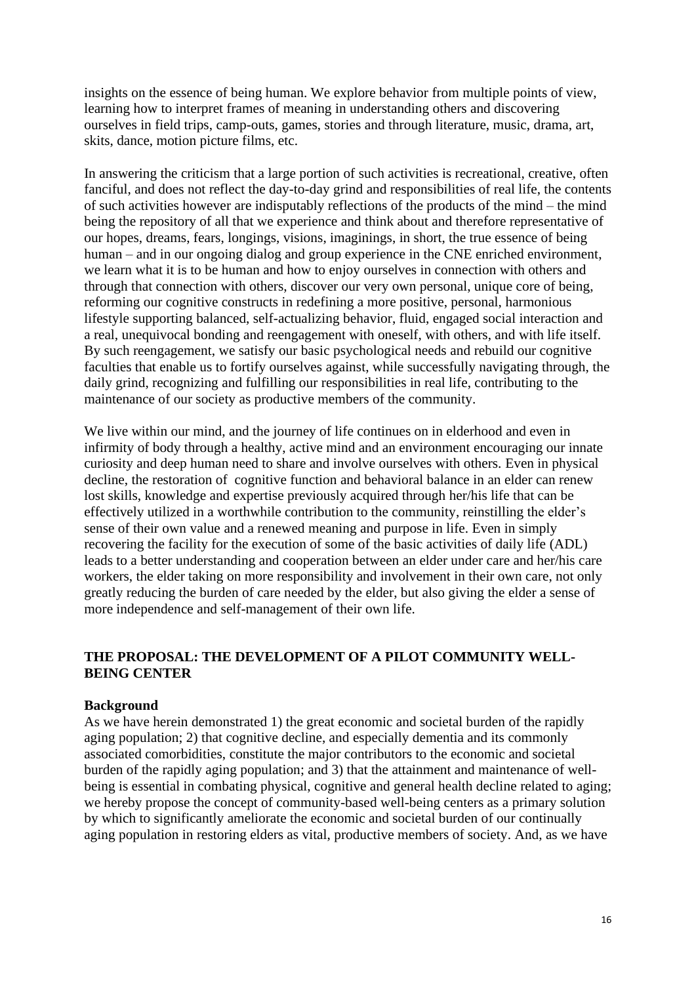insights on the essence of being human. We explore behavior from multiple points of view, learning how to interpret frames of meaning in understanding others and discovering ourselves in field trips, camp-outs, games, stories and through literature, music, drama, art, skits, dance, motion picture films, etc.

In answering the criticism that a large portion of such activities is recreational, creative, often fanciful, and does not reflect the day-to-day grind and responsibilities of real life, the contents of such activities however are indisputably reflections of the products of the mind – the mind being the repository of all that we experience and think about and therefore representative of our hopes, dreams, fears, longings, visions, imaginings, in short, the true essence of being human – and in our ongoing dialog and group experience in the CNE enriched environment, we learn what it is to be human and how to enjoy ourselves in connection with others and through that connection with others, discover our very own personal, unique core of being, reforming our cognitive constructs in redefining a more positive, personal, harmonious lifestyle supporting balanced, self-actualizing behavior, fluid, engaged social interaction and a real, unequivocal bonding and reengagement with oneself, with others, and with life itself. By such reengagement, we satisfy our basic psychological needs and rebuild our cognitive faculties that enable us to fortify ourselves against, while successfully navigating through, the daily grind, recognizing and fulfilling our responsibilities in real life, contributing to the maintenance of our society as productive members of the community.

We live within our mind, and the journey of life continues on in elderhood and even in infirmity of body through a healthy, active mind and an environment encouraging our innate curiosity and deep human need to share and involve ourselves with others. Even in physical decline, the restoration of cognitive function and behavioral balance in an elder can renew lost skills, knowledge and expertise previously acquired through her/his life that can be effectively utilized in a worthwhile contribution to the community, reinstilling the elder's sense of their own value and a renewed meaning and purpose in life. Even in simply recovering the facility for the execution of some of the basic activities of daily life (ADL) leads to a better understanding and cooperation between an elder under care and her/his care workers, the elder taking on more responsibility and involvement in their own care, not only greatly reducing the burden of care needed by the elder, but also giving the elder a sense of more independence and self-management of their own life.

# **THE PROPOSAL: THE DEVELOPMENT OF A PILOT COMMUNITY WELL-BEING CENTER**

## **Background**

As we have herein demonstrated 1) the great economic and societal burden of the rapidly aging population; 2) that cognitive decline, and especially dementia and its commonly associated comorbidities, constitute the major contributors to the economic and societal burden of the rapidly aging population; and 3) that the attainment and maintenance of wellbeing is essential in combating physical, cognitive and general health decline related to aging; we hereby propose the concept of community-based well-being centers as a primary solution by which to significantly ameliorate the economic and societal burden of our continually aging population in restoring elders as vital, productive members of society. And, as we have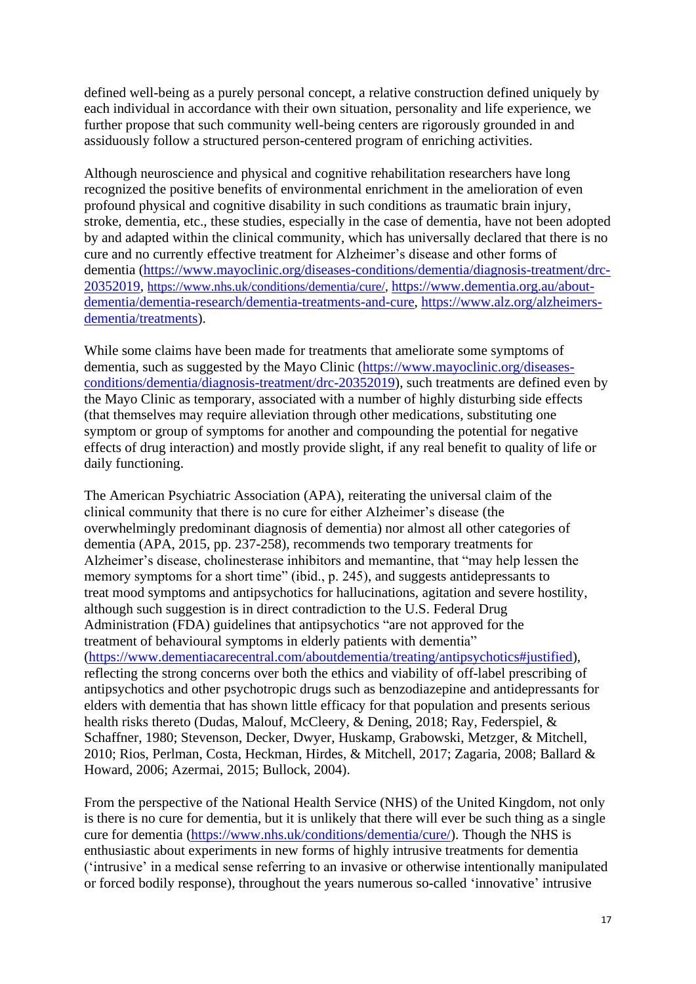defined well-being as a purely personal concept, a relative construction defined uniquely by each individual in accordance with their own situation, personality and life experience, we further propose that such community well-being centers are rigorously grounded in and assiduously follow a structured person-centered program of enriching activities.

Although neuroscience and physical and cognitive rehabilitation researchers have long recognized the positive benefits of environmental enrichment in the amelioration of even profound physical and cognitive disability in such conditions as traumatic brain injury, stroke, dementia, etc., these studies, especially in the case of dementia, have not been adopted by and adapted within the clinical community, which has universally declared that there is no cure and no currently effective treatment for Alzheimer's disease and other forms of dementia [\(https://www.mayoclinic.org/diseases-conditions/dementia/diagnosis-treatment/drc-](https://www.mayoclinic.org/diseases-conditions/dementia/diagnosis-treatment/drc-20352019)[20352019,](https://www.mayoclinic.org/diseases-conditions/dementia/diagnosis-treatment/drc-20352019) [https://www.nhs.uk/conditions/dementia/cure/,](https://www.nhs.uk/conditions/dementia/cure/) [https://www.dementia.org.au/about](https://www.dementia.org.au/about-dementia/dementia-research/dementia-treatments-and-cure)[dementia/dementia-research/dementia-treatments-and-cure,](https://www.dementia.org.au/about-dementia/dementia-research/dementia-treatments-and-cure) [https://www.alz.org/alzheimers](https://www.alz.org/alzheimers-dementia/treatments)[dementia/treatments\)](https://www.alz.org/alzheimers-dementia/treatments).

While some claims have been made for treatments that ameliorate some symptoms of dementia, such as suggested by the Mayo Clinic [\(https://www.mayoclinic.org/diseases](https://www.mayoclinic.org/diseases-conditions/dementia/diagnosis-treatment/drc-20352019)[conditions/dementia/diagnosis-treatment/drc-20352019\)](https://www.mayoclinic.org/diseases-conditions/dementia/diagnosis-treatment/drc-20352019), such treatments are defined even by the Mayo Clinic as temporary, associated with a number of highly disturbing side effects (that themselves may require alleviation through other medications, substituting one symptom or group of symptoms for another and compounding the potential for negative effects of drug interaction) and mostly provide slight, if any real benefit to quality of life or daily functioning.

The American Psychiatric Association (APA), reiterating the universal claim of the clinical community that there is no cure for either Alzheimer's disease (the overwhelmingly predominant diagnosis of dementia) nor almost all other categories of dementia (APA, 2015, pp. 237-258), recommends two temporary treatments for Alzheimer's disease, cholinesterase inhibitors and memantine, that "may help lessen the memory symptoms for a short time" (ibid., p. 245), and suggests antidepressants to treat mood symptoms and antipsychotics for hallucinations, agitation and severe hostility, although such suggestion is in direct contradiction to the U.S. Federal Drug Administration (FDA) guidelines that antipsychotics "are not approved for the treatment of behavioural symptoms in elderly patients with dementia" [\(https://www.dementiacarecentral.com/aboutdementia/treating/antipsychotics#justified\)](https://www.dementiacarecentral.com/aboutdementia/treating/antipsychotics#justified), reflecting the strong concerns over both the ethics and viability of off-label prescribing of antipsychotics and other psychotropic drugs such as benzodiazepine and antidepressants for elders with dementia that has shown little efficacy for that population and presents serious health risks thereto (Dudas, Malouf, McCleery, & Dening, 2018; Ray, Federspiel, & Schaffner, 1980; Stevenson, Decker, Dwyer, Huskamp, Grabowski, Metzger, & Mitchell, 2010; Rios, Perlman, Costa, Heckman, Hirdes, & Mitchell, 2017; Zagaria, 2008; Ballard & Howard, 2006; Azermai, 2015; Bullock, 2004).

From the perspective of the National Health Service (NHS) of the United Kingdom, not only is there is no cure for dementia, but it is unlikely that there will ever be such thing as a single cure for dementia [\(https://www.nhs.uk/conditions/dementia/cure/\)](https://www.nhs.uk/conditions/dementia/cure/). Though the NHS is enthusiastic about experiments in new forms of highly intrusive treatments for dementia ('intrusive' in a medical sense referring to an invasive or otherwise intentionally manipulated or forced bodily response), throughout the years numerous so-called 'innovative' intrusive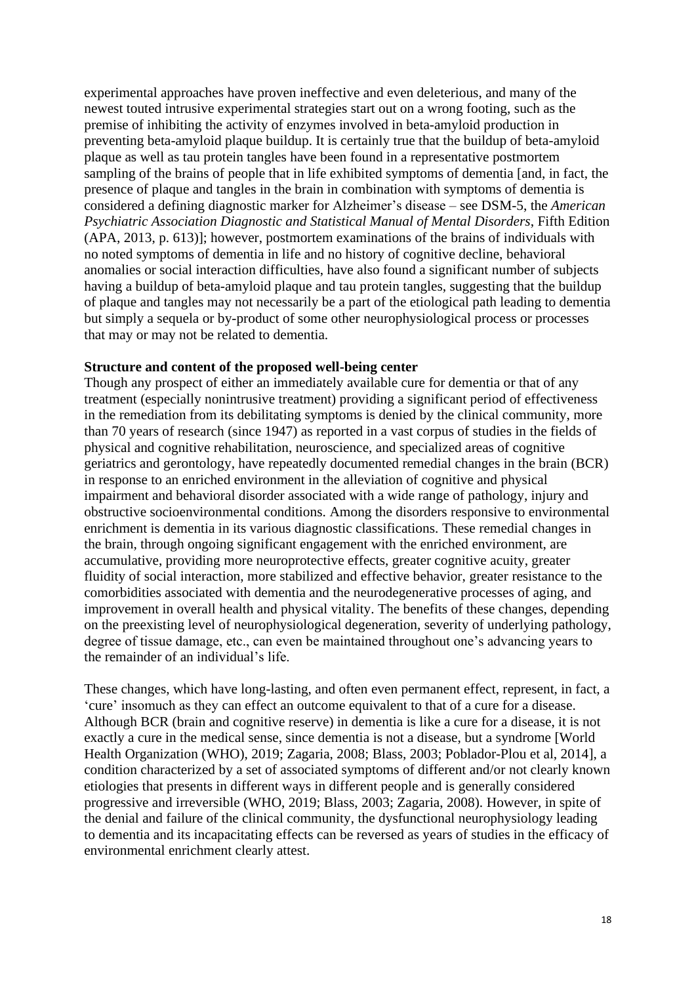experimental approaches have proven ineffective and even deleterious, and many of the newest touted intrusive experimental strategies start out on a wrong footing, such as the premise of inhibiting the activity of enzymes involved in beta-amyloid production in preventing beta-amyloid plaque buildup. It is certainly true that the buildup of beta-amyloid plaque as well as tau protein tangles have been found in a representative postmortem sampling of the brains of people that in life exhibited symptoms of dementia [and, in fact, the presence of plaque and tangles in the brain in combination with symptoms of dementia is considered a defining diagnostic marker for Alzheimer's disease – see DSM-5, the *American Psychiatric Association Diagnostic and Statistical Manual of Mental Disorders*, Fifth Edition (APA, 2013, p. 613)]; however, postmortem examinations of the brains of individuals with no noted symptoms of dementia in life and no history of cognitive decline, behavioral anomalies or social interaction difficulties, have also found a significant number of subjects having a buildup of beta-amyloid plaque and tau protein tangles, suggesting that the buildup of plaque and tangles may not necessarily be a part of the etiological path leading to dementia but simply a sequela or by-product of some other neurophysiological process or processes that may or may not be related to dementia.

#### **Structure and content of the proposed well-being center**

Though any prospect of either an immediately available cure for dementia or that of any treatment (especially nonintrusive treatment) providing a significant period of effectiveness in the remediation from its debilitating symptoms is denied by the clinical community, more than 70 years of research (since 1947) as reported in a vast corpus of studies in the fields of physical and cognitive rehabilitation, neuroscience, and specialized areas of cognitive geriatrics and gerontology, have repeatedly documented remedial changes in the brain (BCR) in response to an enriched environment in the alleviation of cognitive and physical impairment and behavioral disorder associated with a wide range of pathology, injury and obstructive socioenvironmental conditions. Among the disorders responsive to environmental enrichment is dementia in its various diagnostic classifications. These remedial changes in the brain, through ongoing significant engagement with the enriched environment, are accumulative, providing more neuroprotective effects, greater cognitive acuity, greater fluidity of social interaction, more stabilized and effective behavior, greater resistance to the comorbidities associated with dementia and the neurodegenerative processes of aging, and improvement in overall health and physical vitality. The benefits of these changes, depending on the preexisting level of neurophysiological degeneration, severity of underlying pathology, degree of tissue damage, etc., can even be maintained throughout one's advancing years to the remainder of an individual's life.

These changes, which have long-lasting, and often even permanent effect, represent, in fact, a 'cure' insomuch as they can effect an outcome equivalent to that of a cure for a disease. Although BCR (brain and cognitive reserve) in dementia is like a cure for a disease, it is not exactly a cure in the medical sense, since dementia is not a disease, but a syndrome [World Health Organization (WHO), 2019; Zagaria, 2008; Blass, 2003; Poblador-Plou et al, 2014], a condition characterized by a set of associated symptoms of different and/or not clearly known etiologies that presents in different ways in different people and is generally considered progressive and irreversible (WHO, 2019; Blass, 2003; Zagaria, 2008). However, in spite of the denial and failure of the clinical community, the dysfunctional neurophysiology leading to dementia and its incapacitating effects can be reversed as years of studies in the efficacy of environmental enrichment clearly attest.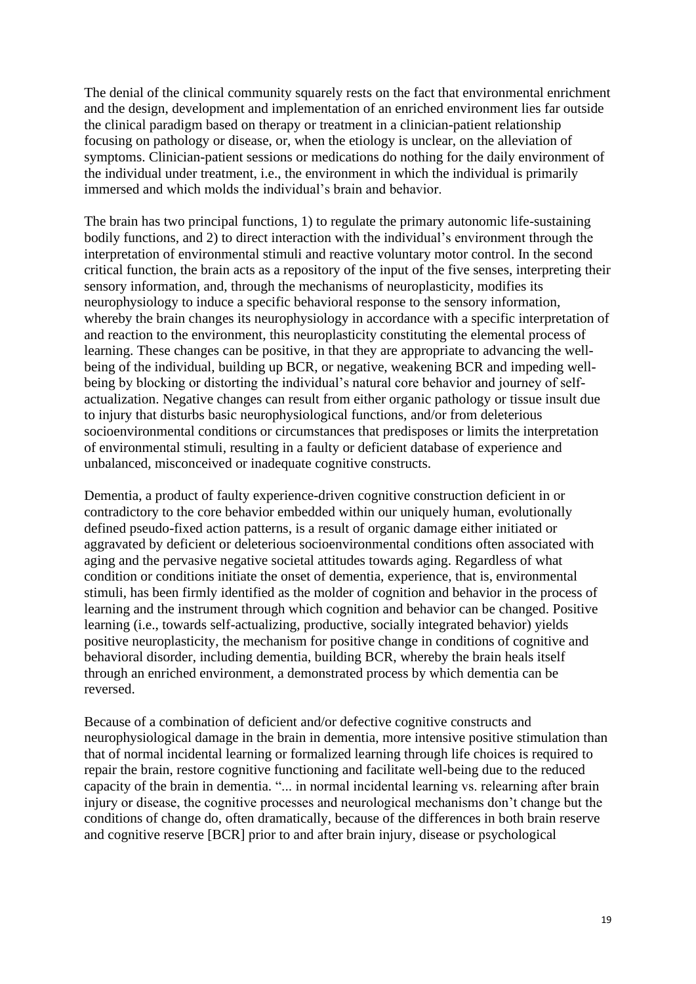The denial of the clinical community squarely rests on the fact that environmental enrichment and the design, development and implementation of an enriched environment lies far outside the clinical paradigm based on therapy or treatment in a clinician-patient relationship focusing on pathology or disease, or, when the etiology is unclear, on the alleviation of symptoms. Clinician-patient sessions or medications do nothing for the daily environment of the individual under treatment, i.e., the environment in which the individual is primarily immersed and which molds the individual's brain and behavior.

The brain has two principal functions, 1) to regulate the primary autonomic life-sustaining bodily functions, and 2) to direct interaction with the individual's environment through the interpretation of environmental stimuli and reactive voluntary motor control. In the second critical function, the brain acts as a repository of the input of the five senses, interpreting their sensory information, and, through the mechanisms of neuroplasticity, modifies its neurophysiology to induce a specific behavioral response to the sensory information, whereby the brain changes its neurophysiology in accordance with a specific interpretation of and reaction to the environment, this neuroplasticity constituting the elemental process of learning. These changes can be positive, in that they are appropriate to advancing the wellbeing of the individual, building up BCR, or negative, weakening BCR and impeding wellbeing by blocking or distorting the individual's natural core behavior and journey of selfactualization. Negative changes can result from either organic pathology or tissue insult due to injury that disturbs basic neurophysiological functions, and/or from deleterious socioenvironmental conditions or circumstances that predisposes or limits the interpretation of environmental stimuli, resulting in a faulty or deficient database of experience and unbalanced, misconceived or inadequate cognitive constructs.

Dementia, a product of faulty experience-driven cognitive construction deficient in or contradictory to the core behavior embedded within our uniquely human, evolutionally defined pseudo-fixed action patterns, is a result of organic damage either initiated or aggravated by deficient or deleterious socioenvironmental conditions often associated with aging and the pervasive negative societal attitudes towards aging. Regardless of what condition or conditions initiate the onset of dementia, experience, that is, environmental stimuli, has been firmly identified as the molder of cognition and behavior in the process of learning and the instrument through which cognition and behavior can be changed. Positive learning (i.e., towards self-actualizing, productive, socially integrated behavior) yields positive neuroplasticity, the mechanism for positive change in conditions of cognitive and behavioral disorder, including dementia, building BCR, whereby the brain heals itself through an enriched environment, a demonstrated process by which dementia can be reversed.

Because of a combination of deficient and/or defective cognitive constructs and neurophysiological damage in the brain in dementia, more intensive positive stimulation than that of normal incidental learning or formalized learning through life choices is required to repair the brain, restore cognitive functioning and facilitate well-being due to the reduced capacity of the brain in dementia. "... in normal incidental learning vs. relearning after brain injury or disease, the cognitive processes and neurological mechanisms don't change but the conditions of change do, often dramatically, because of the differences in both brain reserve and cognitive reserve [BCR] prior to and after brain injury, disease or psychological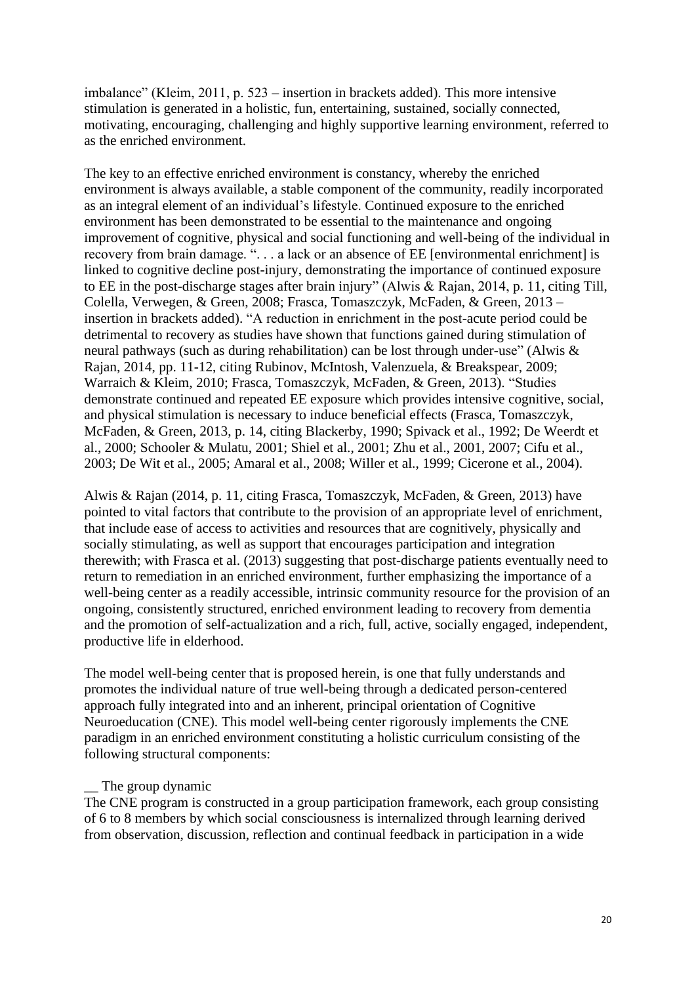imbalance" (Kleim, 2011, p. 523 – insertion in brackets added). This more intensive stimulation is generated in a holistic, fun, entertaining, sustained, socially connected, motivating, encouraging, challenging and highly supportive learning environment, referred to as the enriched environment.

The key to an effective enriched environment is constancy, whereby the enriched environment is always available, a stable component of the community, readily incorporated as an integral element of an individual's lifestyle. Continued exposure to the enriched environment has been demonstrated to be essential to the maintenance and ongoing improvement of cognitive, physical and social functioning and well-being of the individual in recovery from brain damage. ". . . a lack or an absence of EE [environmental enrichment] is linked to cognitive decline post-injury, demonstrating the importance of continued exposure to EE in the post-discharge stages after brain injury" (Alwis & Rajan, 2014, p. 11, citing Till, Colella, Verwegen, & Green, 2008; Frasca, Tomaszczyk, McFaden, & Green, 2013 – insertion in brackets added). "A reduction in enrichment in the post-acute period could be detrimental to recovery as studies have shown that functions gained during stimulation of neural pathways (such as during rehabilitation) can be lost through under-use" (Alwis & Rajan, 2014, pp. 11-12, citing Rubinov, McIntosh, Valenzuela, & Breakspear, 2009; Warraich & Kleim, 2010; Frasca, Tomaszczyk, McFaden, & Green, 2013). "Studies demonstrate continued and repeated EE exposure which provides intensive cognitive, social, and physical stimulation is necessary to induce beneficial effects (Frasca, Tomaszczyk, McFaden, & Green, 2013, p. 14, citing Blackerby, 1990; Spivack et al., 1992; De Weerdt et al., 2000; Schooler & Mulatu, 2001; Shiel et al., 2001; Zhu et al., 2001, 2007; Cifu et al., 2003; De Wit et al., 2005; Amaral et al., 2008; Willer et al., 1999; Cicerone et al., 2004).

Alwis & Rajan (2014, p. 11, citing Frasca, Tomaszczyk, McFaden, & Green, 2013) have pointed to vital factors that contribute to the provision of an appropriate level of enrichment, that include ease of access to activities and resources that are cognitively, physically and socially stimulating, as well as support that encourages participation and integration therewith; with Frasca et al. (2013) suggesting that post-discharge patients eventually need to return to remediation in an enriched environment, further emphasizing the importance of a well-being center as a readily accessible, intrinsic community resource for the provision of an ongoing, consistently structured, enriched environment leading to recovery from dementia and the promotion of self-actualization and a rich, full, active, socially engaged, independent, productive life in elderhood.

The model well-being center that is proposed herein, is one that fully understands and promotes the individual nature of true well-being through a dedicated person-centered approach fully integrated into and an inherent, principal orientation of Cognitive Neuroeducation (CNE). This model well-being center rigorously implements the CNE paradigm in an enriched environment constituting a holistic curriculum consisting of the following structural components:

## The group dynamic

The CNE program is constructed in a group participation framework, each group consisting of 6 to 8 members by which social consciousness is internalized through learning derived from observation, discussion, reflection and continual feedback in participation in a wide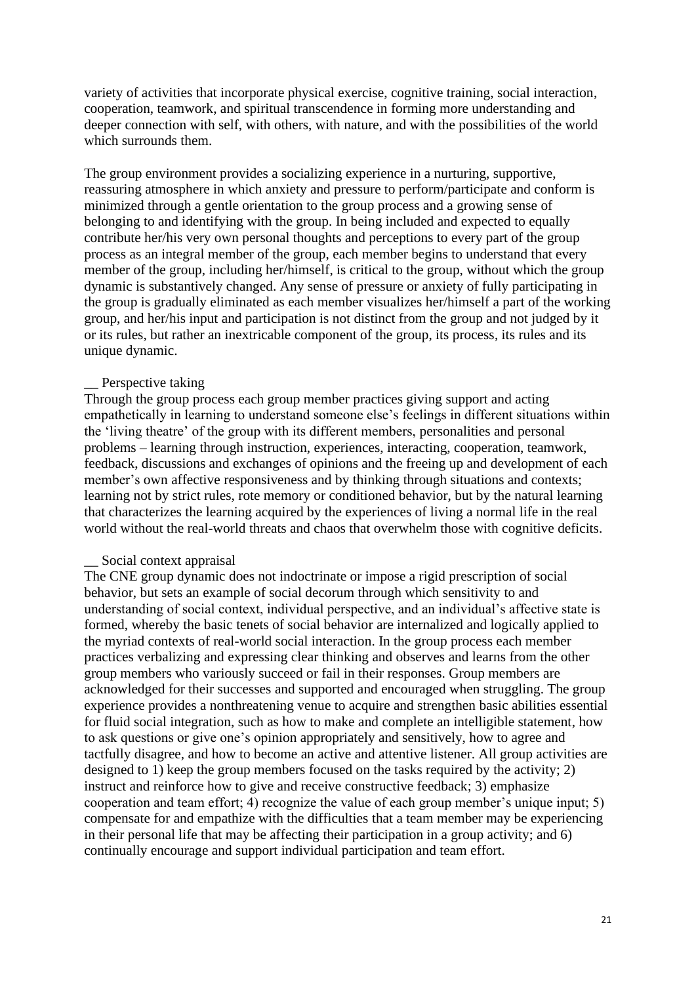variety of activities that incorporate physical exercise, cognitive training, social interaction, cooperation, teamwork, and spiritual transcendence in forming more understanding and deeper connection with self, with others, with nature, and with the possibilities of the world which surrounds them.

The group environment provides a socializing experience in a nurturing, supportive, reassuring atmosphere in which anxiety and pressure to perform/participate and conform is minimized through a gentle orientation to the group process and a growing sense of belonging to and identifying with the group. In being included and expected to equally contribute her/his very own personal thoughts and perceptions to every part of the group process as an integral member of the group, each member begins to understand that every member of the group, including her/himself, is critical to the group, without which the group dynamic is substantively changed. Any sense of pressure or anxiety of fully participating in the group is gradually eliminated as each member visualizes her/himself a part of the working group, and her/his input and participation is not distinct from the group and not judged by it or its rules, but rather an inextricable component of the group, its process, its rules and its unique dynamic.

#### \_\_ Perspective taking

Through the group process each group member practices giving support and acting empathetically in learning to understand someone else's feelings in different situations within the 'living theatre' of the group with its different members, personalities and personal problems – learning through instruction, experiences, interacting, cooperation, teamwork, feedback, discussions and exchanges of opinions and the freeing up and development of each member's own affective responsiveness and by thinking through situations and contexts; learning not by strict rules, rote memory or conditioned behavior, but by the natural learning that characterizes the learning acquired by the experiences of living a normal life in the real world without the real-world threats and chaos that overwhelm those with cognitive deficits.

#### Social context appraisal

The CNE group dynamic does not indoctrinate or impose a rigid prescription of social behavior, but sets an example of social decorum through which sensitivity to and understanding of social context, individual perspective, and an individual's affective state is formed, whereby the basic tenets of social behavior are internalized and logically applied to the myriad contexts of real-world social interaction. In the group process each member practices verbalizing and expressing clear thinking and observes and learns from the other group members who variously succeed or fail in their responses. Group members are acknowledged for their successes and supported and encouraged when struggling. The group experience provides a nonthreatening venue to acquire and strengthen basic abilities essential for fluid social integration, such as how to make and complete an intelligible statement, how to ask questions or give one's opinion appropriately and sensitively, how to agree and tactfully disagree, and how to become an active and attentive listener. All group activities are designed to 1) keep the group members focused on the tasks required by the activity; 2) instruct and reinforce how to give and receive constructive feedback; 3) emphasize cooperation and team effort; 4) recognize the value of each group member's unique input; 5) compensate for and empathize with the difficulties that a team member may be experiencing in their personal life that may be affecting their participation in a group activity; and 6) continually encourage and support individual participation and team effort.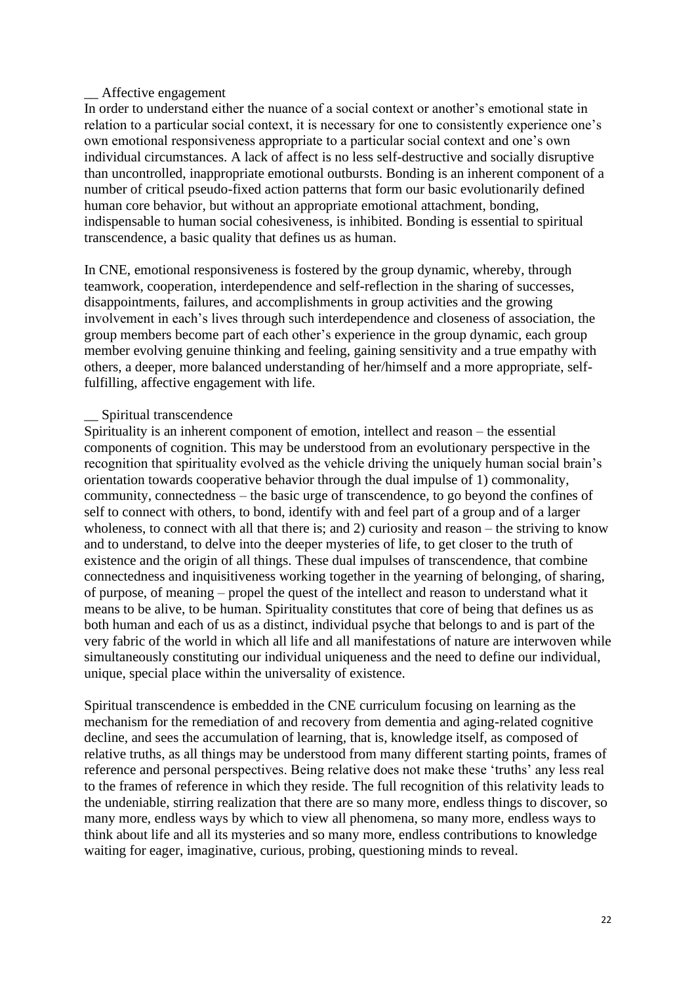#### \_\_ Affective engagement

In order to understand either the nuance of a social context or another's emotional state in relation to a particular social context, it is necessary for one to consistently experience one's own emotional responsiveness appropriate to a particular social context and one's own individual circumstances. A lack of affect is no less self-destructive and socially disruptive than uncontrolled, inappropriate emotional outbursts. Bonding is an inherent component of a number of critical pseudo-fixed action patterns that form our basic evolutionarily defined human core behavior, but without an appropriate emotional attachment, bonding, indispensable to human social cohesiveness, is inhibited. Bonding is essential to spiritual transcendence, a basic quality that defines us as human.

In CNE, emotional responsiveness is fostered by the group dynamic, whereby, through teamwork, cooperation, interdependence and self-reflection in the sharing of successes, disappointments, failures, and accomplishments in group activities and the growing involvement in each's lives through such interdependence and closeness of association, the group members become part of each other's experience in the group dynamic, each group member evolving genuine thinking and feeling, gaining sensitivity and a true empathy with others, a deeper, more balanced understanding of her/himself and a more appropriate, selffulfilling, affective engagement with life.

#### Spiritual transcendence

Spirituality is an inherent component of emotion, intellect and reason – the essential components of cognition. This may be understood from an evolutionary perspective in the recognition that spirituality evolved as the vehicle driving the uniquely human social brain's orientation towards cooperative behavior through the dual impulse of 1) commonality, community, connectedness – the basic urge of transcendence, to go beyond the confines of self to connect with others, to bond, identify with and feel part of a group and of a larger wholeness, to connect with all that there is; and 2) curiosity and reason – the striving to know and to understand, to delve into the deeper mysteries of life, to get closer to the truth of existence and the origin of all things. These dual impulses of transcendence, that combine connectedness and inquisitiveness working together in the yearning of belonging, of sharing, of purpose, of meaning – propel the quest of the intellect and reason to understand what it means to be alive, to be human. Spirituality constitutes that core of being that defines us as both human and each of us as a distinct, individual psyche that belongs to and is part of the very fabric of the world in which all life and all manifestations of nature are interwoven while simultaneously constituting our individual uniqueness and the need to define our individual, unique, special place within the universality of existence.

Spiritual transcendence is embedded in the CNE curriculum focusing on learning as the mechanism for the remediation of and recovery from dementia and aging-related cognitive decline, and sees the accumulation of learning, that is, knowledge itself, as composed of relative truths, as all things may be understood from many different starting points, frames of reference and personal perspectives. Being relative does not make these 'truths' any less real to the frames of reference in which they reside. The full recognition of this relativity leads to the undeniable, stirring realization that there are so many more, endless things to discover, so many more, endless ways by which to view all phenomena, so many more, endless ways to think about life and all its mysteries and so many more, endless contributions to knowledge waiting for eager, imaginative, curious, probing, questioning minds to reveal.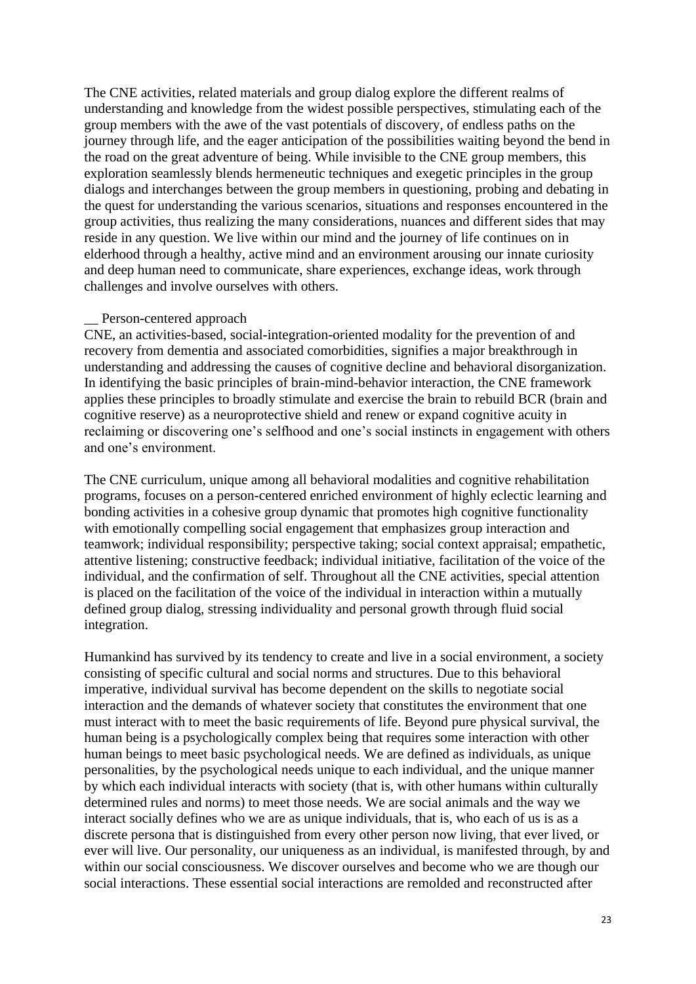The CNE activities, related materials and group dialog explore the different realms of understanding and knowledge from the widest possible perspectives, stimulating each of the group members with the awe of the vast potentials of discovery, of endless paths on the journey through life, and the eager anticipation of the possibilities waiting beyond the bend in the road on the great adventure of being. While invisible to the CNE group members, this exploration seamlessly blends hermeneutic techniques and exegetic principles in the group dialogs and interchanges between the group members in questioning, probing and debating in the quest for understanding the various scenarios, situations and responses encountered in the group activities, thus realizing the many considerations, nuances and different sides that may reside in any question. We live within our mind and the journey of life continues on in elderhood through a healthy, active mind and an environment arousing our innate curiosity and deep human need to communicate, share experiences, exchange ideas, work through challenges and involve ourselves with others.

#### Person-centered approach

CNE, an activities-based, social-integration-oriented modality for the prevention of and recovery from dementia and associated comorbidities, signifies a major breakthrough in understanding and addressing the causes of cognitive decline and behavioral disorganization. In identifying the basic principles of brain-mind-behavior interaction, the CNE framework applies these principles to broadly stimulate and exercise the brain to rebuild BCR (brain and cognitive reserve) as a neuroprotective shield and renew or expand cognitive acuity in reclaiming or discovering one's selfhood and one's social instincts in engagement with others and one's environment.

The CNE curriculum, unique among all behavioral modalities and cognitive rehabilitation programs, focuses on a person-centered enriched environment of highly eclectic learning and bonding activities in a cohesive group dynamic that promotes high cognitive functionality with emotionally compelling social engagement that emphasizes group interaction and teamwork; individual responsibility; perspective taking; social context appraisal; empathetic, attentive listening; constructive feedback; individual initiative, facilitation of the voice of the individual, and the confirmation of self. Throughout all the CNE activities, special attention is placed on the facilitation of the voice of the individual in interaction within a mutually defined group dialog, stressing individuality and personal growth through fluid social integration.

Humankind has survived by its tendency to create and live in a social environment, a society consisting of specific cultural and social norms and structures. Due to this behavioral imperative, individual survival has become dependent on the skills to negotiate social interaction and the demands of whatever society that constitutes the environment that one must interact with to meet the basic requirements of life. Beyond pure physical survival, the human being is a psychologically complex being that requires some interaction with other human beings to meet basic psychological needs. We are defined as individuals, as unique personalities, by the psychological needs unique to each individual, and the unique manner by which each individual interacts with society (that is, with other humans within culturally determined rules and norms) to meet those needs. We are social animals and the way we interact socially defines who we are as unique individuals, that is, who each of us is as a discrete persona that is distinguished from every other person now living, that ever lived, or ever will live. Our personality, our uniqueness as an individual, is manifested through, by and within our social consciousness. We discover ourselves and become who we are though our social interactions. These essential social interactions are remolded and reconstructed after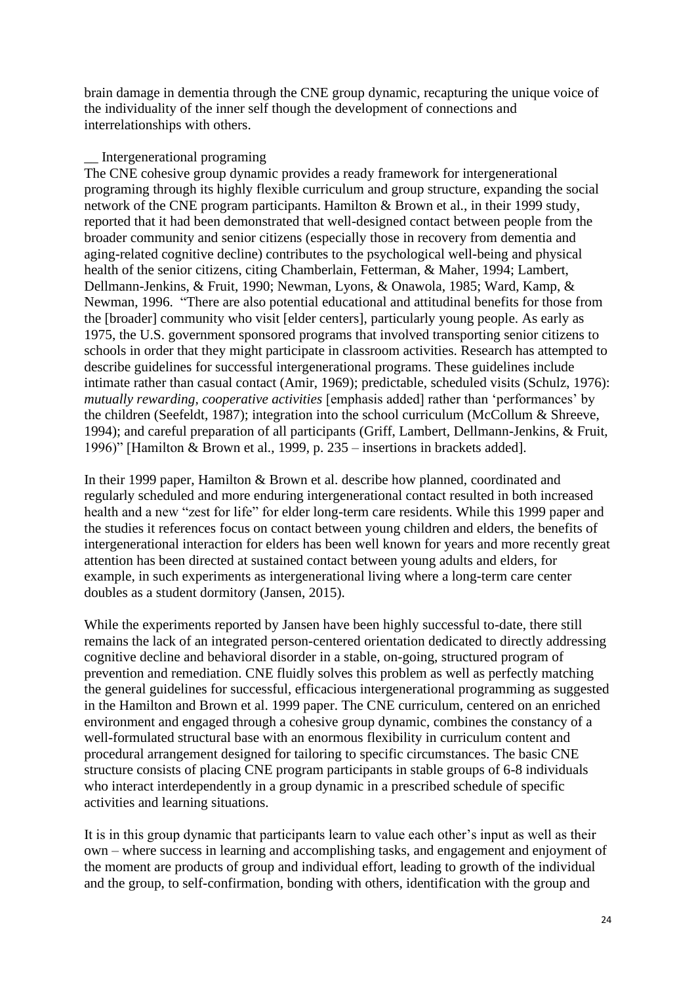brain damage in dementia through the CNE group dynamic, recapturing the unique voice of the individuality of the inner self though the development of connections and interrelationships with others.

#### \_\_ Intergenerational programing

The CNE cohesive group dynamic provides a ready framework for intergenerational programing through its highly flexible curriculum and group structure, expanding the social network of the CNE program participants. Hamilton & Brown et al., in their 1999 study, reported that it had been demonstrated that well-designed contact between people from the broader community and senior citizens (especially those in recovery from dementia and aging-related cognitive decline) contributes to the psychological well-being and physical health of the senior citizens, citing Chamberlain, Fetterman, & Maher, 1994; Lambert, Dellmann-Jenkins, & Fruit, 1990; Newman, Lyons, & Onawola, 1985; Ward, Kamp, & Newman, 1996. "There are also potential educational and attitudinal benefits for those from the [broader] community who visit [elder centers], particularly young people. As early as 1975, the U.S. government sponsored programs that involved transporting senior citizens to schools in order that they might participate in classroom activities. Research has attempted to describe guidelines for successful intergenerational programs. These guidelines include intimate rather than casual contact (Amir, 1969); predictable, scheduled visits (Schulz, 1976): *mutually rewarding, cooperative activities* [emphasis added] rather than 'performances' by the children (Seefeldt, 1987); integration into the school curriculum (McCollum & Shreeve, 1994); and careful preparation of all participants (Griff, Lambert, Dellmann-Jenkins, & Fruit, 1996)" [Hamilton & Brown et al., 1999, p. 235 – insertions in brackets added].

In their 1999 paper, Hamilton & Brown et al. describe how planned, coordinated and regularly scheduled and more enduring intergenerational contact resulted in both increased health and a new "zest for life" for elder long-term care residents. While this 1999 paper and the studies it references focus on contact between young children and elders, the benefits of intergenerational interaction for elders has been well known for years and more recently great attention has been directed at sustained contact between young adults and elders, for example, in such experiments as intergenerational living where a long-term care center doubles as a student dormitory (Jansen, 2015).

While the experiments reported by Jansen have been highly successful to-date, there still remains the lack of an integrated person-centered orientation dedicated to directly addressing cognitive decline and behavioral disorder in a stable, on-going, structured program of prevention and remediation. CNE fluidly solves this problem as well as perfectly matching the general guidelines for successful, efficacious intergenerational programming as suggested in the Hamilton and Brown et al. 1999 paper. The CNE curriculum, centered on an enriched environment and engaged through a cohesive group dynamic, combines the constancy of a well-formulated structural base with an enormous flexibility in curriculum content and procedural arrangement designed for tailoring to specific circumstances. The basic CNE structure consists of placing CNE program participants in stable groups of 6-8 individuals who interact interdependently in a group dynamic in a prescribed schedule of specific activities and learning situations.

It is in this group dynamic that participants learn to value each other's input as well as their own – where success in learning and accomplishing tasks, and engagement and enjoyment of the moment are products of group and individual effort, leading to growth of the individual and the group, to self-confirmation, bonding with others, identification with the group and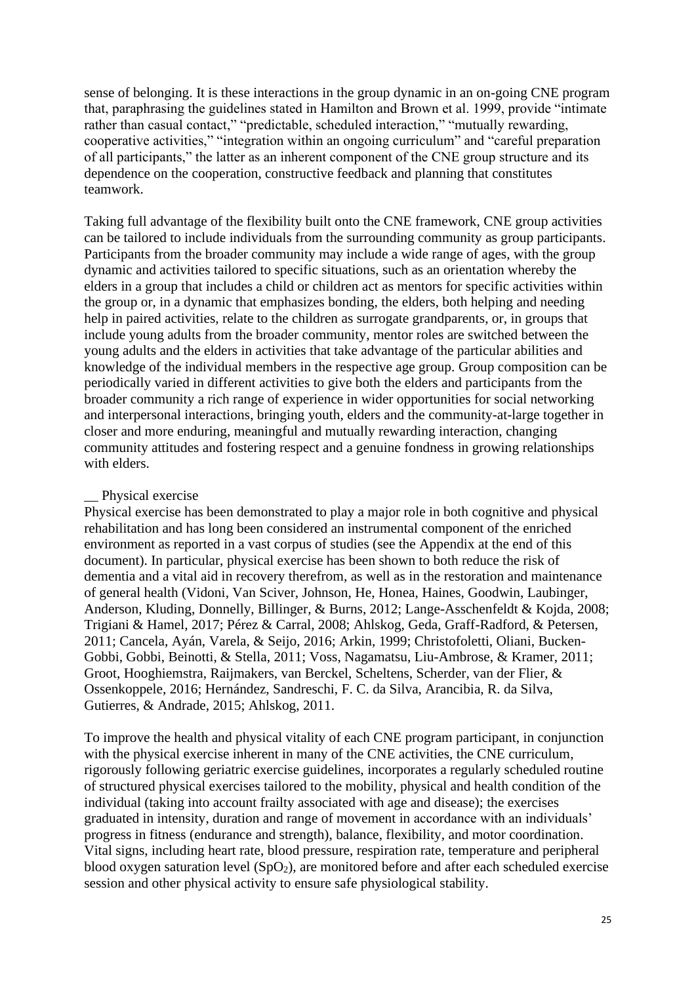sense of belonging. It is these interactions in the group dynamic in an on-going CNE program that, paraphrasing the guidelines stated in Hamilton and Brown et al. 1999, provide "intimate rather than casual contact," "predictable, scheduled interaction," "mutually rewarding, cooperative activities," "integration within an ongoing curriculum" and "careful preparation of all participants," the latter as an inherent component of the CNE group structure and its dependence on the cooperation, constructive feedback and planning that constitutes teamwork.

Taking full advantage of the flexibility built onto the CNE framework, CNE group activities can be tailored to include individuals from the surrounding community as group participants. Participants from the broader community may include a wide range of ages, with the group dynamic and activities tailored to specific situations, such as an orientation whereby the elders in a group that includes a child or children act as mentors for specific activities within the group or, in a dynamic that emphasizes bonding, the elders, both helping and needing help in paired activities, relate to the children as surrogate grandparents, or, in groups that include young adults from the broader community, mentor roles are switched between the young adults and the elders in activities that take advantage of the particular abilities and knowledge of the individual members in the respective age group. Group composition can be periodically varied in different activities to give both the elders and participants from the broader community a rich range of experience in wider opportunities for social networking and interpersonal interactions, bringing youth, elders and the community-at-large together in closer and more enduring, meaningful and mutually rewarding interaction, changing community attitudes and fostering respect and a genuine fondness in growing relationships with elders.

#### Physical exercise

Physical exercise has been demonstrated to play a major role in both cognitive and physical rehabilitation and has long been considered an instrumental component of the enriched environment as reported in a vast corpus of studies (see the Appendix at the end of this document). In particular, physical exercise has been shown to both reduce the risk of dementia and a vital aid in recovery therefrom, as well as in the restoration and maintenance of general health (Vidoni, Van Sciver, Johnson, He, Honea, Haines, Goodwin, Laubinger, Anderson, Kluding, Donnelly, Billinger, & Burns, 2012; Lange-Asschenfeldt & Kojda, 2008; Trigiani & Hamel, 2017; Pérez & Carral, 2008; Ahlskog, Geda, Graff-Radford, & Petersen, 2011; Cancela, Ayán, Varela, & Seijo, 2016; Arkin, 1999; Christofoletti, Oliani, Bucken-Gobbi, Gobbi, Beinotti, & Stella, 2011; Voss, Nagamatsu, Liu-Ambrose, & Kramer, 2011; Groot, Hooghiemstra, Raijmakers, van Berckel, Scheltens, Scherder, van der Flier, & Ossenkoppele, 2016; Hernández, Sandreschi, F. C. da Silva, Arancibia, R. da Silva, Gutierres, & Andrade, 2015; Ahlskog, 2011.

To improve the health and physical vitality of each CNE program participant, in conjunction with the physical exercise inherent in many of the CNE activities, the CNE curriculum, rigorously following geriatric exercise guidelines, incorporates a regularly scheduled routine of structured physical exercises tailored to the mobility, physical and health condition of the individual (taking into account frailty associated with age and disease); the exercises graduated in intensity, duration and range of movement in accordance with an individuals' progress in fitness (endurance and strength), balance, flexibility, and motor coordination. Vital signs, including heart rate, blood pressure, respiration rate, temperature and peripheral blood oxygen saturation level  $(SpO<sub>2</sub>)$ , are monitored before and after each scheduled exercise session and other physical activity to ensure safe physiological stability.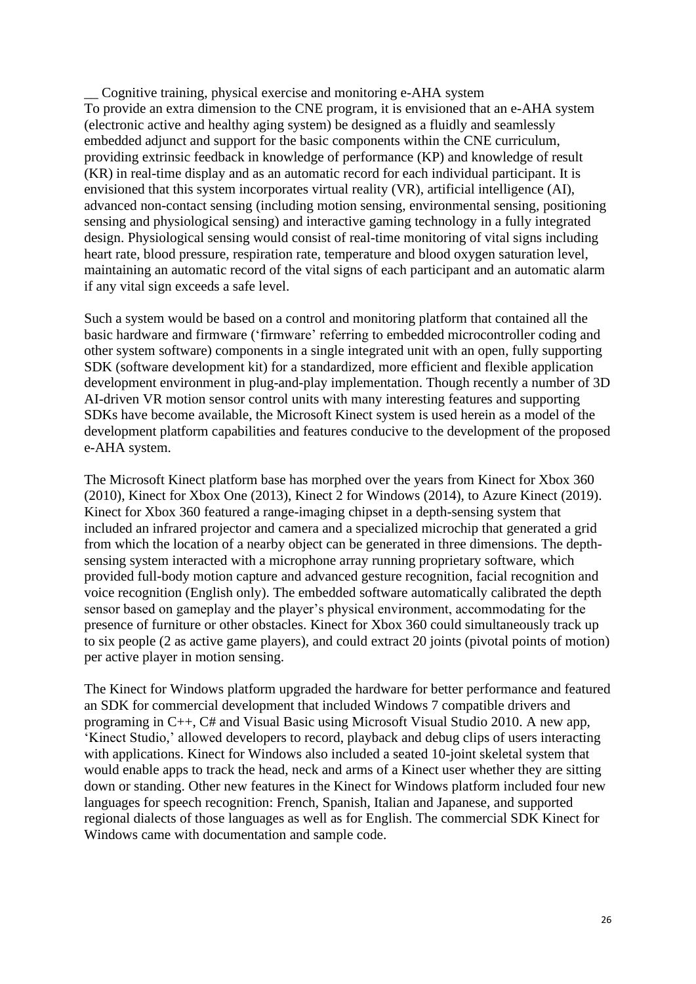\_\_ Cognitive training, physical exercise and monitoring e-AHA system To provide an extra dimension to the CNE program, it is envisioned that an e-AHA system (electronic active and healthy aging system) be designed as a fluidly and seamlessly embedded adjunct and support for the basic components within the CNE curriculum, providing extrinsic feedback in knowledge of performance (KP) and knowledge of result (KR) in real-time display and as an automatic record for each individual participant. It is envisioned that this system incorporates virtual reality (VR), artificial intelligence (AI), advanced non-contact sensing (including motion sensing, environmental sensing, positioning sensing and physiological sensing) and interactive gaming technology in a fully integrated design. Physiological sensing would consist of real-time monitoring of vital signs including heart rate, blood pressure, respiration rate, temperature and blood oxygen saturation level, maintaining an automatic record of the vital signs of each participant and an automatic alarm if any vital sign exceeds a safe level.

Such a system would be based on a control and monitoring platform that contained all the basic hardware and firmware ('firmware' referring to embedded microcontroller coding and other system software) components in a single integrated unit with an open, fully supporting SDK (software development kit) for a standardized, more efficient and flexible application development environment in plug-and-play implementation. Though recently a number of 3D AI-driven VR motion sensor control units with many interesting features and supporting SDKs have become available, the Microsoft Kinect system is used herein as a model of the development platform capabilities and features conducive to the development of the proposed e-AHA system.

The Microsoft Kinect platform base has morphed over the years from Kinect for Xbox 360 (2010), Kinect for Xbox One (2013), Kinect 2 for Windows (2014), to Azure Kinect (2019). Kinect for Xbox 360 featured a range-imaging chipset in a depth-sensing system that included an infrared projector and camera and a specialized microchip that generated a grid from which the location of a nearby object can be generated in three dimensions. The depthsensing system interacted with a microphone array running proprietary software, which provided full-body motion capture and advanced gesture recognition, facial recognition and voice recognition (English only). The embedded software automatically calibrated the depth sensor based on gameplay and the player's physical environment, accommodating for the presence of furniture or other obstacles. Kinect for Xbox 360 could simultaneously track up to six people (2 as active game players), and could extract 20 joints (pivotal points of motion) per active player in motion sensing.

The Kinect for Windows platform upgraded the hardware for better performance and featured an SDK for commercial development that included Windows 7 compatible drivers and programing in C++, C# and Visual Basic using Microsoft Visual Studio 2010. A new app, 'Kinect Studio,' allowed developers to record, playback and debug clips of users interacting with applications. Kinect for Windows also included a seated 10-joint skeletal system that would enable apps to track the head, neck and arms of a Kinect user whether they are sitting down or standing. Other new features in the Kinect for Windows platform included four new languages for speech recognition: French, Spanish, Italian and Japanese, and supported regional dialects of those languages as well as for English. The commercial SDK Kinect for Windows came with documentation and sample code.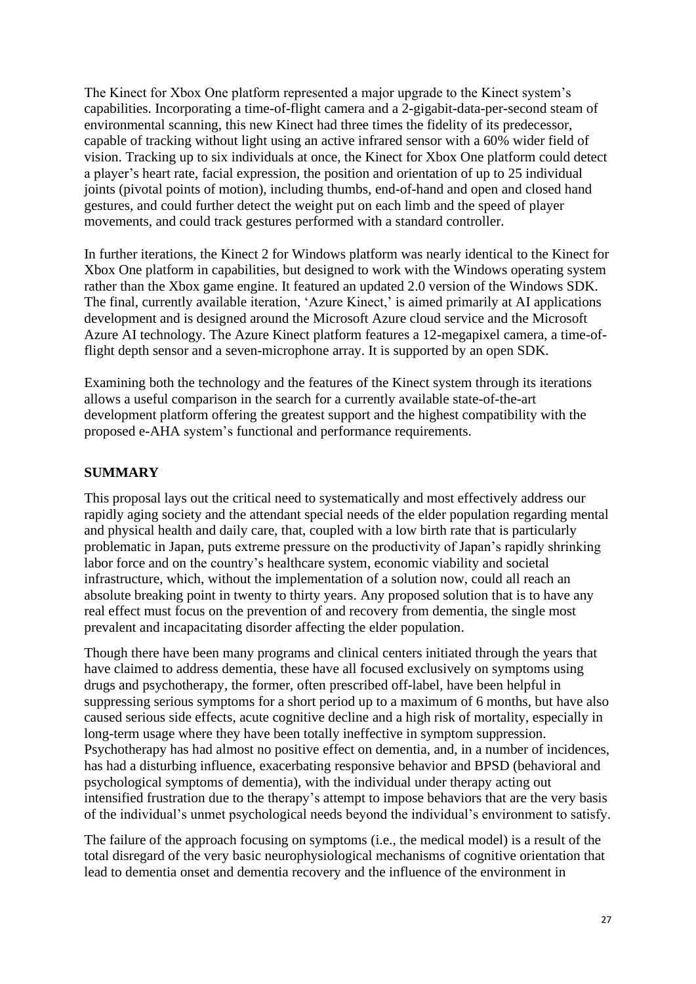The Kinect for Xbox One platform represented a major upgrade to the Kinect system's capabilities. Incorporating a time-of-flight camera and a 2-gigabit-data-per-second steam of environmental scanning, this new Kinect had three times the fidelity of its predecessor, capable of tracking without light using an active infrared sensor with a 60% wider field of vision. Tracking up to six individuals at once, the Kinect for Xbox One platform could detect a player's heart rate, facial expression, the position and orientation of up to 25 individual joints (pivotal points of motion), including thumbs, end-of-hand and open and closed hand gestures, and could further detect the weight put on each limb and the speed of player movements, and could track gestures performed with a standard controller.

In further iterations, the Kinect 2 for Windows platform was nearly identical to the Kinect for Xbox One platform in capabilities, but designed to work with the Windows operating system rather than the Xbox game engine. It featured an updated 2.0 version of the Windows SDK. The final, currently available iteration, 'Azure Kinect,' is aimed primarily at AI applications development and is designed around the Microsoft Azure cloud service and the Microsoft Azure AI technology. The Azure Kinect platform features a 12-megapixel camera, a time-offlight depth sensor and a seven-microphone array. It is supported by an open SDK.

Examining both the technology and the features of the Kinect system through its iterations allows a useful comparison in the search for a currently available state-of-the-art development platform offering the greatest support and the highest compatibility with the proposed e-AHA system's functional and performance requirements.

# **SUMMARY**

This proposal lays out the critical need to systematically and most effectively address our rapidly aging society and the attendant special needs of the elder population regarding mental and physical health and daily care, that, coupled with a low birth rate that is particularly problematic in Japan, puts extreme pressure on the productivity of Japan's rapidly shrinking labor force and on the country's healthcare system, economic viability and societal infrastructure, which, without the implementation of a solution now, could all reach an absolute breaking point in twenty to thirty years. Any proposed solution that is to have any real effect must focus on the prevention of and recovery from dementia, the single most prevalent and incapacitating disorder affecting the elder population.

Though there have been many programs and clinical centers initiated through the years that have claimed to address dementia, these have all focused exclusively on symptoms using drugs and psychotherapy, the former, often prescribed off-label, have been helpful in suppressing serious symptoms for a short period up to a maximum of 6 months, but have also caused serious side effects, acute cognitive decline and a high risk of mortality, especially in long-term usage where they have been totally ineffective in symptom suppression. Psychotherapy has had almost no positive effect on dementia, and, in a number of incidences, has had a disturbing influence, exacerbating responsive behavior and BPSD (behavioral and psychological symptoms of dementia), with the individual under therapy acting out intensified frustration due to the therapy's attempt to impose behaviors that are the very basis of the individual's unmet psychological needs beyond the individual's environment to satisfy.

The failure of the approach focusing on symptoms (i.e., the medical model) is a result of the total disregard of the very basic neurophysiological mechanisms of cognitive orientation that lead to dementia onset and dementia recovery and the influence of the environment in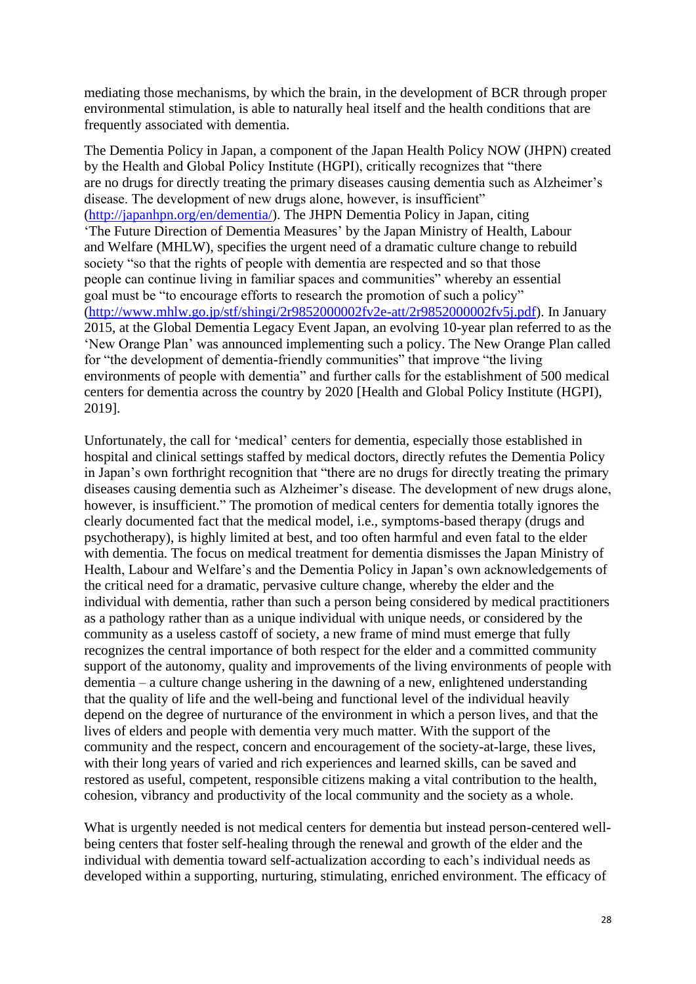mediating those mechanisms, by which the brain, in the development of BCR through proper environmental stimulation, is able to naturally heal itself and the health conditions that are frequently associated with dementia.

The Dementia Policy in Japan, a component of the Japan Health Policy NOW (JHPN) created by the Health and Global Policy Institute (HGPI), critically recognizes that "there are no drugs for directly treating the primary diseases causing dementia such as Alzheimer's disease. The development of new drugs alone, however, is insufficient" [\(http://japanhpn.org/en/dementia/\)](http://japanhpn.org/en/dementia/). The JHPN Dementia Policy in Japan, citing 'The Future Direction of Dementia Measures' by the Japan Ministry of Health, Labour and Welfare (MHLW), specifies the urgent need of a dramatic culture change to rebuild society "so that the rights of people with dementia are respected and so that those people can continue living in familiar spaces and communities" whereby an essential goal must be "to encourage efforts to research the promotion of such a policy" [\(http://www.mhlw.go.jp/stf/shingi/2r9852000002fv2e-att/2r9852000002fv5j.pdf\)](http://www.mhlw.go.jp/stf/shingi/2r9852000002fv2e-att/2r9852000002fv5j.pdf). In January 2015, at the Global Dementia Legacy Event Japan, an evolving 10-year plan referred to as the 'New Orange Plan' was announced implementing such a policy. The New Orange Plan called for "the development of dementia-friendly communities" that improve "the living environments of people with dementia" and further calls for the establishment of 500 medical centers for dementia across the country by 2020 [Health and Global Policy Institute (HGPI), 2019].

Unfortunately, the call for 'medical' centers for dementia, especially those established in hospital and clinical settings staffed by medical doctors, directly refutes the Dementia Policy in Japan's own forthright recognition that "there are no drugs for directly treating the primary diseases causing dementia such as Alzheimer's disease. The development of new drugs alone, however, is insufficient." The promotion of medical centers for dementia totally ignores the clearly documented fact that the medical model, i.e., symptoms-based therapy (drugs and psychotherapy), is highly limited at best, and too often harmful and even fatal to the elder with dementia. The focus on medical treatment for dementia dismisses the Japan Ministry of Health, Labour and Welfare's and the Dementia Policy in Japan's own acknowledgements of the critical need for a dramatic, pervasive culture change, whereby the elder and the individual with dementia, rather than such a person being considered by medical practitioners as a pathology rather than as a unique individual with unique needs, or considered by the community as a useless castoff of society, a new frame of mind must emerge that fully recognizes the central importance of both respect for the elder and a committed community support of the autonomy, quality and improvements of the living environments of people with dementia – a culture change ushering in the dawning of a new, enlightened understanding that the quality of life and the well-being and functional level of the individual heavily depend on the degree of nurturance of the environment in which a person lives, and that the lives of elders and people with dementia very much matter. With the support of the community and the respect, concern and encouragement of the society-at-large, these lives, with their long years of varied and rich experiences and learned skills, can be saved and restored as useful, competent, responsible citizens making a vital contribution to the health, cohesion, vibrancy and productivity of the local community and the society as a whole.

What is urgently needed is not medical centers for dementia but instead person-centered wellbeing centers that foster self-healing through the renewal and growth of the elder and the individual with dementia toward self-actualization according to each's individual needs as developed within a supporting, nurturing, stimulating, enriched environment. The efficacy of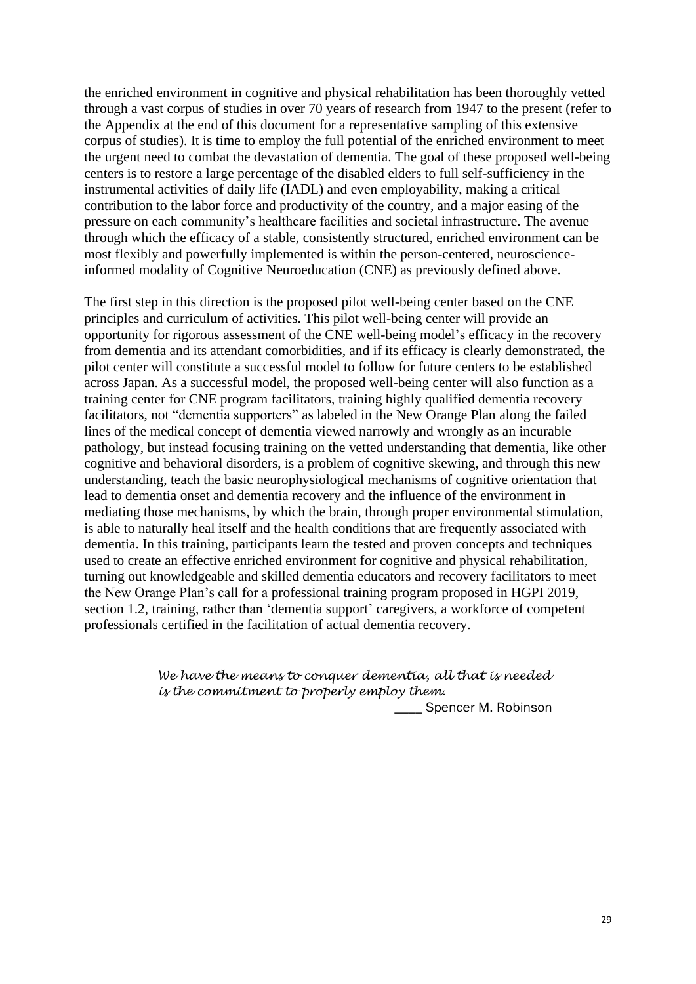the enriched environment in cognitive and physical rehabilitation has been thoroughly vetted through a vast corpus of studies in over 70 years of research from 1947 to the present (refer to the Appendix at the end of this document for a representative sampling of this extensive corpus of studies). It is time to employ the full potential of the enriched environment to meet the urgent need to combat the devastation of dementia. The goal of these proposed well-being centers is to restore a large percentage of the disabled elders to full self-sufficiency in the instrumental activities of daily life (IADL) and even employability, making a critical contribution to the labor force and productivity of the country, and a major easing of the pressure on each community's healthcare facilities and societal infrastructure. The avenue through which the efficacy of a stable, consistently structured, enriched environment can be most flexibly and powerfully implemented is within the person-centered, neuroscienceinformed modality of Cognitive Neuroeducation (CNE) as previously defined above.

The first step in this direction is the proposed pilot well-being center based on the CNE principles and curriculum of activities. This pilot well-being center will provide an opportunity for rigorous assessment of the CNE well-being model's efficacy in the recovery from dementia and its attendant comorbidities, and if its efficacy is clearly demonstrated, the pilot center will constitute a successful model to follow for future centers to be established across Japan. As a successful model, the proposed well-being center will also function as a training center for CNE program facilitators, training highly qualified dementia recovery facilitators, not "dementia supporters" as labeled in the New Orange Plan along the failed lines of the medical concept of dementia viewed narrowly and wrongly as an incurable pathology, but instead focusing training on the vetted understanding that dementia, like other cognitive and behavioral disorders, is a problem of cognitive skewing, and through this new understanding, teach the basic neurophysiological mechanisms of cognitive orientation that lead to dementia onset and dementia recovery and the influence of the environment in mediating those mechanisms, by which the brain, through proper environmental stimulation, is able to naturally heal itself and the health conditions that are frequently associated with dementia. In this training, participants learn the tested and proven concepts and techniques used to create an effective enriched environment for cognitive and physical rehabilitation, turning out knowledgeable and skilled dementia educators and recovery facilitators to meet the New Orange Plan's call for a professional training program proposed in HGPI 2019, section 1.2, training, rather than 'dementia support' caregivers, a workforce of competent professionals certified in the facilitation of actual dementia recovery.

> *We have the means to conquer dementia, all that is needed is the commitment to properly employ them.*

**\_\_\_\_\_** Spencer M. Robinson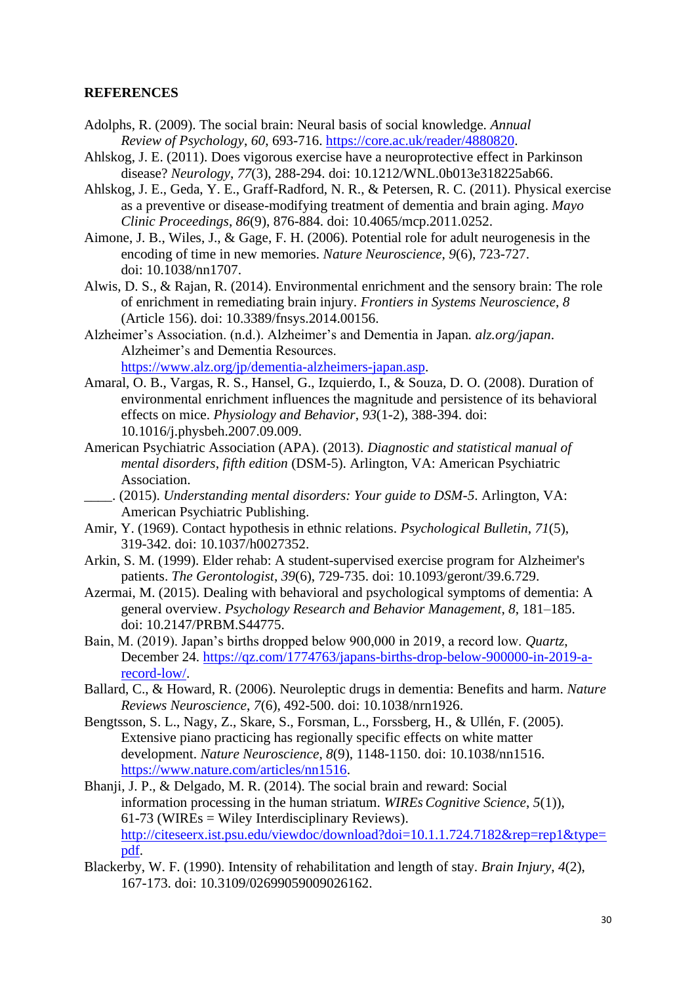## **REFERENCES**

- Adolphs, R. (2009). The social brain: Neural basis of social knowledge. *Annual Review of Psychology*, *60*, 693-716. [https://core.ac.uk/reader/4880820.](https://core.ac.uk/reader/4880820)
- Ahlskog, J. E. (2011). Does vigorous exercise have a neuroprotective effect in Parkinson disease? *Neurology*, *77*(3), 288-294. doi: 10.1212/WNL.0b013e318225ab66.
- Ahlskog, J. E., Geda, Y. E., Graff-Radford, N. R., & Petersen, R. C. (2011). Physical exercise as a preventive or disease-modifying treatment of dementia and brain aging. *Mayo Clinic Proceedings*, *86*(9), 876-884. doi: 10.4065/mcp.2011.0252.
- Aimone, J. B., Wiles, J., & Gage, F. H. (2006). Potential role for adult neurogenesis in the encoding of time in new memories. *Nature Neuroscience*, *9*(6), 723-727. doi: 10.1038/nn1707.
- Alwis, D. S., & Rajan, R. (2014). Environmental enrichment and the sensory brain: The role of enrichment in remediating brain injury. *Frontiers in Systems Neuroscience*, *8* (Article 156). doi: 10.3389/fnsys.2014.00156.
- Alzheimer's Association. (n.d.). Alzheimer's and Dementia in Japan*. alz.org/japan*. Alzheimer's and Dementia Resources. [https://www.alz.org/jp/dementia-alzheimers-japan.asp.](https://www.alz.org/jp/dementia-alzheimers-japan.asp)
- Amaral, O. B., Vargas, R. S., Hansel, G., Izquierdo, I., & Souza, D. O. (2008). Duration of environmental enrichment influences the magnitude and persistence of its behavioral effects on mice. *Physiology and Behavior*, *93*(1-2), 388-394. doi: 10.1016/j.physbeh.2007.09.009.
- American Psychiatric Association (APA). (2013). *Diagnostic and statistical manual of mental disorders*, *fifth edition* (DSM-5). Arlington, VA: American Psychiatric Association.
- \_\_\_\_. (2015). *Understanding mental disorders: Your guide to DSM-5*. Arlington, VA: American Psychiatric Publishing.
- Amir, Y. (1969). Contact hypothesis in ethnic relations. *Psychological Bulletin*, *71*(5), 319-342. doi: 10.1037/h0027352.
- Arkin, S. M. (1999). Elder rehab: A student-supervised exercise program for Alzheimer's patients. *The Gerontologist*, *39*(6), 729-735. doi: 10.1093/geront/39.6.729.
- Azermai, M. (2015). Dealing with behavioral and psychological symptoms of dementia: A general overview. *Psychology Research and Behavior Management*, *8*, 181–185. doi: 10.2147/PRBM.S44775.
- Bain, M. (2019). Japan's births dropped below 900,000 in 2019, a record low. *Quartz*, December 24. [https://qz.com/1774763/japans-births-drop-below-900000-in-2019-a](https://qz.com/1774763/japans-births-drop-below-900000-in-2019-a-record-low/)[record-low/.](https://qz.com/1774763/japans-births-drop-below-900000-in-2019-a-record-low/)
- Ballard, C., & Howard, R. (2006). Neuroleptic drugs in dementia: Benefits and harm. *Nature Reviews Neuroscience*, *7*(6), 492-500. doi: 10.1038/nrn1926.
- Bengtsson, S. L., Nagy, Z., Skare, S., Forsman, L., Forssberg, H., & Ullén, F. (2005). Extensive piano practicing has regionally specific effects on white matter development. *Nature Neuroscience*, *8*(9), 1148-1150. doi: 10.1038/nn1516. [https://www.nature.com/articles/nn1516.](https://www.nature.com/articles/nn1516)
- Bhanji, J. P., & Delgado, M. R. (2014). The social brain and reward: Social information processing in the human striatum. *WIREs Cognitive Science*, *5*(1)),  $61-73$  (WIREs = Wiley Interdisciplinary Reviews). [http://citeseerx.ist.psu.edu/viewdoc/download?doi=10.1.1.724.7182&rep=rep1&type=](http://citeseerx.ist.psu.edu/viewdoc/download?doi=10.1.1.724.7182&rep=rep1&type=pdf) [pdf.](http://citeseerx.ist.psu.edu/viewdoc/download?doi=10.1.1.724.7182&rep=rep1&type=pdf)
- Blackerby, W. F. (1990). Intensity of rehabilitation and length of stay. *Brain Injury*, *4*(2), 167-173. doi: 10.3109/02699059009026162.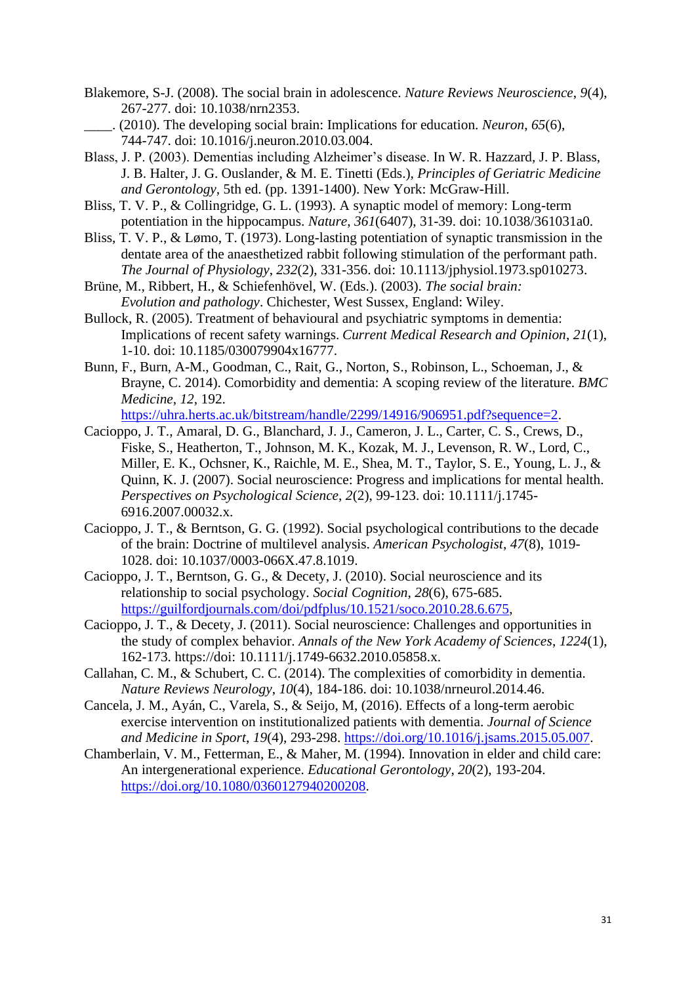- Blakemore, S-J. (2008). The social brain in adolescence. *Nature Reviews Neuroscience*, *9*(4), 267-277. doi: 10.1038/nrn2353.
- \_\_\_\_. (2010). The developing social brain: Implications for education. *Neuron*, *65*(6), 744-747. doi: 10.1016/j.neuron.2010.03.004.
- Blass, J. P. (2003). Dementias including Alzheimer's disease. In W. R. Hazzard, J. P. Blass, J. B. Halter, J. G. Ouslander, & M. E. Tinetti (Eds.), *Principles of Geriatric Medicine and Gerontology*, 5th ed. (pp. 1391-1400). New York: McGraw-Hill.
- Bliss, T. V. P., & Collingridge, G. L. (1993). A synaptic model of memory: Long-term potentiation in the hippocampus. *Nature*, *361*(6407), 31-39. doi: 10.1038/361031a0.
- Bliss, T. V. P., & Lømo, T. (1973). Long-lasting potentiation of synaptic transmission in the dentate area of the anaesthetized rabbit following stimulation of the performant path. *The Journal of Physiology*, *232*(2), 331-356. doi: 10.1113/jphysiol.1973.sp010273.
- Brüne, M., Ribbert, H., & Schiefenhövel, W. (Eds.). (2003). *The social brain: Evolution and pathology*. Chichester, West Sussex, England: Wiley.
- Bullock, R. (2005). Treatment of behavioural and psychiatric symptoms in dementia: Implications of recent safety warnings. *Current Medical Research and Opinion*, *21*(1), 1-10. doi: 10.1185/030079904x16777.
- Bunn, F., Burn, A-M., Goodman, C., Rait, G., Norton, S., Robinson, L., Schoeman, J., & Brayne, C. 2014). Comorbidity and dementia: A scoping review of the literature. *BMC Medicine*, *12*, 192.

[https://uhra.herts.ac.uk/bitstream/handle/2299/14916/906951.pdf?sequence=2.](https://uhra.herts.ac.uk/bitstream/handle/2299/14916/906951.pdf?sequence=2) Cacioppo, J. T., Amaral, D. G., Blanchard, J. J., Cameron, J. L., Carter, C. S., Crews, D.,

- Fiske, S., Heatherton, T., Johnson, M. K., Kozak, M. J., Levenson, R. W., Lord, C., Miller, E. K., Ochsner, K., Raichle, M. E., Shea, M. T., Taylor, S. E., Young, L. J., & Quinn, K. J. (2007). Social neuroscience: Progress and implications for mental health. *Perspectives on Psychological Science*, *2*(2), 99-123. doi: 10.1111/j.1745- 6916.2007.00032.x.
- Cacioppo, J. T., & Berntson, G. G. (1992). Social psychological contributions to the decade of the brain: Doctrine of multilevel analysis. *American Psychologist*, *47*(8), 1019- 1028. doi: 10.1037/0003-066X.47.8.1019.
- Cacioppo, J. T., Berntson, G. G., & Decety, J. (2010). Social neuroscience and its relationship to social psychology. *Social Cognition*, *28*(6), 675-685. [https://guilfordjournals.com/doi/pdfplus/10.1521/soco.2010.28.6.675,](https://guilfordjournals.com/doi/pdfplus/10.1521/soco.2010.28.6.675)
- Cacioppo, J. T., & Decety, J. (2011). Social neuroscience: Challenges and opportunities in the study of complex behavior. *Annals of the New York Academy of Sciences*, *1224*(1), 162-173. https://doi: 10.1111/j.1749-6632.2010.05858.x.
- Callahan, C. M., & Schubert, C. C. (2014). The complexities of comorbidity in dementia. *Nature Reviews Neurology*, *10*(4), 184-186. doi: 10.1038/nrneurol.2014.46.
- Cancela, J. M., Ayán, C., Varela, S., & Seijo, M, (2016). Effects of a long-term aerobic exercise intervention on institutionalized patients with dementia. *Journal of Science and Medicine in Sport*, *19*(4), 293-298. [https://doi.org/10.1016/j.jsams.2015.05.007.](https://doi.org/10.1016/j.jsams.2015.05.007)
- Chamberlain, V. M., Fetterman, E., & Maher, M. (1994). Innovation in elder and child care: An intergenerational experience. *Educational Gerontology*, *20*(2), 193-204. [https://doi.org/10.1080/0360127940200208.](https://doi.org/10.1080/0360127940200208)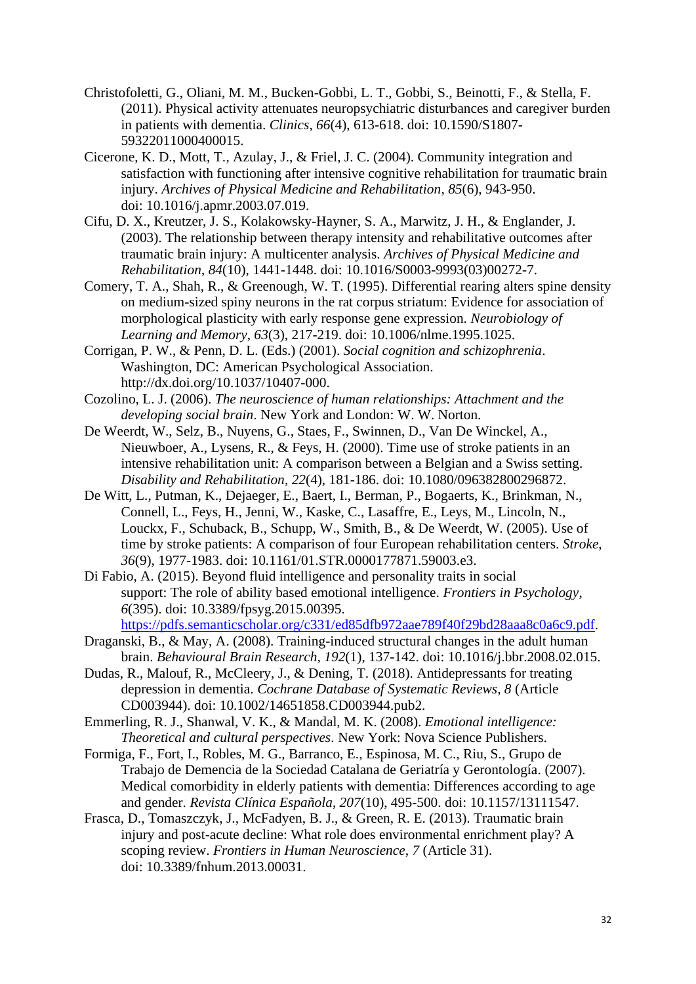- Christofoletti, G., Oliani, M. M., Bucken-Gobbi, L. T., Gobbi, S., Beinotti, F., & Stella, F. (2011). Physical activity attenuates neuropsychiatric disturbances and caregiver burden in patients with dementia. *Clinics*, *66*(4), 613-618. doi: 10.1590/S1807- 59322011000400015.
- Cicerone, K. D., Mott, T., Azulay, J., & Friel, J. C. (2004). Community integration and satisfaction with functioning after intensive cognitive rehabilitation for traumatic brain injury. *Archives of Physical Medicine and Rehabilitation*, *85*(6), 943-950. doi: 10.1016/j.apmr.2003.07.019.
- Cifu, D. X., Kreutzer, J. S., Kolakowsky-Hayner, S. A., Marwitz, J. H., & Englander, J. (2003). The relationship between therapy intensity and rehabilitative outcomes after traumatic brain injury: A multicenter analysis. *Archives of Physical Medicine and Rehabilitation*, *84*(10), 1441-1448. doi: 10.1016/S0003-9993(03)00272-7.
- Comery, T. A., Shah, R., & Greenough, W. T. (1995). Differential rearing alters spine density on medium-sized spiny neurons in the rat corpus striatum: Evidence for association of morphological plasticity with early response gene expression. *Neurobiology of Learning and Memory*, *63*(3), 217-219. doi: 10.1006/nlme.1995.1025.
- Corrigan, P. W., & Penn, D. L. (Eds.) (2001). *Social cognition and schizophrenia*. Washington, DC: American Psychological Association. http://dx.doi.org/10.1037/10407-000.
- Cozolino, L. J. (2006). *The neuroscience of human relationships: Attachment and the developing social brain*. New York and London: W. W. Norton.
- De Weerdt, W., Selz, B., Nuyens, G., Staes, F., Swinnen, D., Van De Winckel, A., Nieuwboer, A., Lysens, R., & Feys, H. (2000). Time use of stroke patients in an intensive rehabilitation unit: A comparison between a Belgian and a Swiss setting. *Disability and Rehabilitation*, *22*(4), 181-186. doi: 10.1080/096382800296872.
- De Witt, L., Putman, K., Dejaeger, E., Baert, I., Berman, P., Bogaerts, K., Brinkman, N., Connell, L., Feys, H., Jenni, W., Kaske, C., Lasaffre, E., Leys, M., Lincoln, N., Louckx, F., Schuback, B., Schupp, W., Smith, B., & De Weerdt, W. (2005). Use of time by stroke patients: A comparison of four European rehabilitation centers. *Stroke*, *36*(9), 1977-1983. doi: 10.1161/01.STR.0000177871.59003.e3.
- Di Fabio, A. (2015). Beyond fluid intelligence and personality traits in social support: The role of ability based emotional intelligence. *Frontiers in Psychology*, *6*(395). doi: 10.3389/fpsyg.2015.00395. [https://pdfs.semanticscholar.org/c331/ed85dfb972aae789f40f29bd28aaa8c0a6c9.pdf.](https://pdfs.semanticscholar.org/c331/ed85dfb972aae789f40f29bd28aaa8c0a6c9.pdf)
	-
- Draganski, B., & May, A. (2008). Training-induced structural changes in the adult human brain. *Behavioural Brain Research*, *192*(1), 137-142. doi: 10.1016/j.bbr.2008.02.015.
- Dudas, R., Malouf, R., McCleery, J., & Dening, T. (2018). Antidepressants for treating depression in dementia. *Cochrane Database of Systematic Reviews, 8* (Article CD003944). doi: 10.1002/14651858.CD003944.pub2.
- Emmerling, R. J., Shanwal, V. K., & Mandal, M. K. (2008). *Emotional intelligence: Theoretical and cultural perspectives*. New York: Nova Science Publishers.
- Formiga, F., Fort, I., Robles, M. G., Barranco, E., Espinosa, M. C., Riu, S., Grupo de Trabajo de Demencia de la Sociedad Catalana de Geriatría y Gerontología. (2007). Medical comorbidity in elderly patients with dementia: Differences according to age and gender. *Revista Clínica Española*, *207*(10), 495-500. doi: 10.1157/13111547.
- Frasca, D., Tomaszczyk, J., McFadyen, B. J., & Green, R. E. (2013). Traumatic brain injury and post-acute decline: What role does environmental enrichment play? A scoping review. *Frontiers in Human Neuroscience*, *7* (Article 31). doi: 10.3389/fnhum.2013.00031.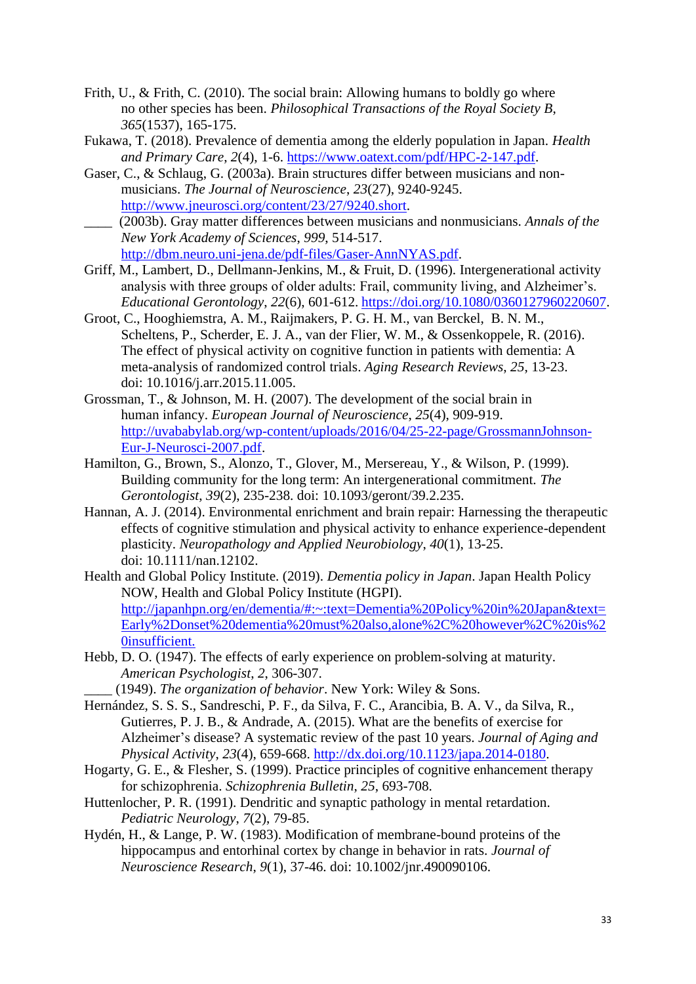- Frith, U., & Frith, C. (2010). The social brain: Allowing humans to boldly go where no other species has been. *Philosophical Transactions of the Royal Society B*, *365*(1537), 165-175.
- Fukawa, T. (2018). Prevalence of dementia among the elderly population in Japan. *Health and Primary Care*, *2*(4), 1-6. [https://www.oatext.com/pdf/HPC-2-147.pdf.](https://www.oatext.com/pdf/HPC-2-147.pdf)
- Gaser, C., & Schlaug, G. (2003a). Brain structures differ between musicians and nonmusicians. *The Journal of Neuroscience*, *23*(27), 9240-9245. [http://www.jneurosci.org/content/23/27/9240.short.](http://www.jneurosci.org/content/23/27/9240.short) \_\_\_\_ (2003b). Gray matter differences between musicians and nonmusicians. *Annals of the*
- *New York Academy of Sciences*, *999*, 514-517. [http://dbm.neuro.uni-jena.de/pdf-files/Gaser-AnnNYAS.pdf.](http://dbm.neuro.uni-jena.de/pdf-files/Gaser-AnnNYAS.pdf)
- Griff, M., Lambert, D., Dellmann-Jenkins, M., & Fruit, D. (1996). Intergenerational activity analysis with three groups of older adults: Frail, community living, and Alzheimer's. *Educational Gerontology*, *22*(6), 601-612. [https://doi.org/10.1080/0360127960220607.](https://doi.org/10.1080/0360127960220607)
- Groot, C., Hooghiemstra, A. M., Raijmakers, P. G. H. M., van Berckel, B. N. M., Scheltens, P., Scherder, E. J. A., van der Flier, W. M., & Ossenkoppele, R. (2016). The effect of physical activity on cognitive function in patients with dementia: A meta-analysis of randomized control trials. *Aging Research Reviews*, *25*, 13-23. doi: 10.1016/j.arr.2015.11.005.
- Grossman, T., & Johnson, M. H. (2007). The development of the social brain in human infancy. *European Journal of Neuroscience*, *25*(4), 909-919. [http://uvababylab.org/wp-content/uploads/2016/04/25-22-page/GrossmannJohnson-](http://uvababylab.org/wp-content/uploads/2016/04/25-22-page/GrossmannJohnson-Eur-J-Neurosci-2007.pdf)[Eur-J-Neurosci-2007.pdf.](http://uvababylab.org/wp-content/uploads/2016/04/25-22-page/GrossmannJohnson-Eur-J-Neurosci-2007.pdf)
- Hamilton, G., Brown, S., Alonzo, T., Glover, M., Mersereau, Y., & Wilson, P. (1999). Building community for the long term: An intergenerational commitment. *The Gerontologist*, *39*(2), 235-238. doi: 10.1093/geront/39.2.235.
- Hannan, A. J. (2014). Environmental enrichment and brain repair: Harnessing the therapeutic effects of cognitive stimulation and physical activity to enhance experience-dependent plasticity. *Neuropathology and Applied Neurobiology*, *40*(1), 13-25. doi: 10.1111/nan.12102.
- Health and Global Policy Institute. (2019). *Dementia policy in Japan*. Japan Health Policy NOW, Health and Global Policy Institute (HGPI). [http://japanhpn.org/en/dementia/#:~:text=Dementia%20Policy%20in%20Japan&text=](http://japanhpn.org/en/dementia/#:~:text=Dementia%20Policy%20in%20Japan&text=Early%2Donset%20dementia%20must%20also,alone%2C%20however%2C%20is%20insufficient.) [Early%2Donset%20dementia%20must%20also,alone%2C%20however%2C%20is%2](http://japanhpn.org/en/dementia/#:~:text=Dementia%20Policy%20in%20Japan&text=Early%2Donset%20dementia%20must%20also,alone%2C%20however%2C%20is%20insufficient.) [0insufficient.](http://japanhpn.org/en/dementia/#:~:text=Dementia%20Policy%20in%20Japan&text=Early%2Donset%20dementia%20must%20also,alone%2C%20however%2C%20is%20insufficient.)
- Hebb, D. O. (1947). The effects of early experience on problem-solving at maturity. *American Psychologist*, *2*, 306-307.
	- \_\_\_\_ (1949). *The organization of behavior*. New York: Wiley & Sons.
- Hernández, S. S. S., Sandreschi, P. F., da Silva, F. C., Arancibia, B. A. V., da Silva, R., Gutierres, P. J. B., & Andrade, A. (2015). What are the benefits of exercise for Alzheimer's disease? A systematic review of the past 10 years. *Journal of Aging and Physical Activity*, *23*(4), 659-668. [http://dx.doi.org/10.1123/japa.2014-0180.](http://dx.doi.org/10.1123/japa.2014-0180)
- Hogarty, G. E., & Flesher, S. (1999). Practice principles of cognitive enhancement therapy for schizophrenia. *Schizophrenia Bulletin*, *25*, 693-708.
- Huttenlocher, P. R. (1991). Dendritic and synaptic pathology in mental retardation. *Pediatric Neurology*, *7*(2), 79-85.
- Hydén, H., & Lange, P. W. (1983). Modification of membrane-bound proteins of the hippocampus and entorhinal cortex by change in behavior in rats. *Journal of Neuroscience Research*, *9*(1), 37-46. doi: 10.1002/jnr.490090106.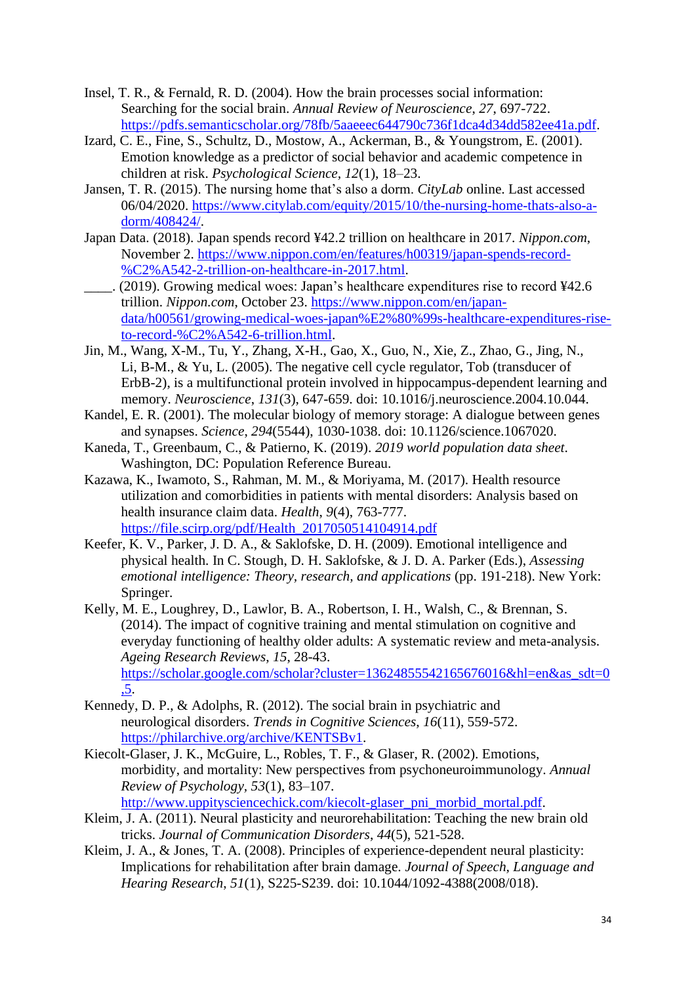- Insel, T. R., & Fernald, R. D. (2004). How the brain processes social information: Searching for the social brain. *Annual Review of Neuroscience*, *27*, 697-722. [https://pdfs.semanticscholar.org/78fb/5aaeeec644790c736f1dca4d34dd582ee41a.pdf.](https://pdfs.semanticscholar.org/78fb/5aaeeec644790c736f1dca4d34dd582ee41a.pdf)
- Izard, C. E., Fine, S., Schultz, D., Mostow, A., Ackerman, B., & Youngstrom, E. (2001). Emotion knowledge as a predictor of social behavior and academic competence in children at risk. *Psychological Science, 12*(1), 18–23.
- Jansen, T. R. (2015). The nursing home that's also a dorm. *CityLab* online. Last accessed 06/04/2020. [https://www.citylab.com/equity/2015/10/the-nursing-home-thats-also-a](https://www.citylab.com/equity/2015/10/the-nursing-home-thats-also-a-dorm/408424/)[dorm/408424/.](https://www.citylab.com/equity/2015/10/the-nursing-home-thats-also-a-dorm/408424/)
- Japan Data. (2018). Japan spends record ¥42.2 trillion on healthcare in 2017. *Nippon.com*, November 2. [https://www.nippon.com/en/features/h00319/japan-spends-record-](https://www.nippon.com/en/features/h00319/japan-spends-record-%C2%A542-2-trillion-on-healthcare-in-2017.html) [%C2%A542-2-trillion-on-healthcare-in-2017.html.](https://www.nippon.com/en/features/h00319/japan-spends-record-%C2%A542-2-trillion-on-healthcare-in-2017.html)
- \_\_\_\_. (2019). Growing medical woes: Japan's healthcare expenditures rise to record ¥42.6 trillion. *Nippon.com*, October 23. [https://www.nippon.com/en/japan](https://www.nippon.com/en/japan-data/h00561/growing-medical-woes-japan%E2%80%99s-healthcare-expenditures-rise-to-record-%C2%A542-6-trillion.html)[data/h00561/growing-medical-woes-japan%E2%80%99s-healthcare-expenditures-rise](https://www.nippon.com/en/japan-data/h00561/growing-medical-woes-japan%E2%80%99s-healthcare-expenditures-rise-to-record-%C2%A542-6-trillion.html)[to-record-%C2%A542-6-trillion.html.](https://www.nippon.com/en/japan-data/h00561/growing-medical-woes-japan%E2%80%99s-healthcare-expenditures-rise-to-record-%C2%A542-6-trillion.html)
- Jin, M., Wang, X-M., Tu, Y., Zhang, X-H., Gao, X., Guo, N., Xie, Z., Zhao, G., Jing, N., Li, B-M., & Yu, L. (2005). The negative cell cycle regulator, Tob (transducer of ErbB-2), is a multifunctional protein involved in hippocampus-dependent learning and memory. *Neuroscience*, *131*(3), 647-659. doi: 10.1016/j.neuroscience.2004.10.044.
- Kandel, E. R. (2001). The molecular biology of memory storage: A dialogue between genes and synapses. *Science*, *294*(5544), 1030-1038. doi: 10.1126/science.1067020.
- Kaneda, T., Greenbaum, C., & Patierno, K. (2019). *2019 world population data sheet*. Washington, DC: Population Reference Bureau.
- Kazawa, K., Iwamoto, S., Rahman, M. M., & Moriyama, M. (2017). Health resource utilization and comorbidities in patients with mental disorders: Analysis based on health insurance claim data. *Health*, *9*(4), 763-777. [https://file.scirp.org/pdf/Health\\_2017050514104914.pdf](https://file.scirp.org/pdf/Health_2017050514104914.pdf)
- Keefer, K. V., Parker, J. D. A., & Saklofske, D. H. (2009). Emotional intelligence and physical health. In C. Stough, D. H. Saklofske, & J. D. A. Parker (Eds.), *Assessing emotional intelligence: Theory, research, and applications* (pp. 191-218). New York: Springer.
- Kelly, M. E., Loughrey, D., Lawlor, B. A., Robertson, I. H., Walsh, C., & Brennan, S. (2014). The impact of cognitive training and mental stimulation on cognitive and everyday functioning of healthy older adults: A systematic review and meta-analysis. *Ageing Research Reviews*, *15*, 28-43. [https://scholar.google.com/scholar?cluster=13624855542165676016&hl=en&as\\_sdt=0](https://scholar.google.com/scholar?cluster=13624855542165676016&hl=en&as_sdt=0,5) [,5.](https://scholar.google.com/scholar?cluster=13624855542165676016&hl=en&as_sdt=0,5)
- Kennedy, D. P., & Adolphs, R. (2012). The social brain in psychiatric and neurological disorders. *Trends in Cognitive Sciences*, *16*(11), 559-572. [https://philarchive.org/archive/KENTSBv1.](https://philarchive.org/archive/KENTSBv1)
- Kiecolt-Glaser, J. K., McGuire, L., Robles, T. F., & Glaser, R. (2002). Emotions, morbidity, and mortality: New perspectives from psychoneuroimmunology. *Annual Review of Psychology, 53*(1), 83–107. [http://www.uppitysciencechick.com/kiecolt-glaser\\_pni\\_morbid\\_mortal.pdf.](http://www.uppitysciencechick.com/kiecolt-glaser_pni_morbid_mortal.pdf)
- Kleim, J. A. (2011). Neural plasticity and neurorehabilitation: Teaching the new brain old tricks. *Journal of Communication Disorders*, *44*(5), 521-528.
- Kleim, J. A., & Jones, T. A. (2008). Principles of experience-dependent neural plasticity: Implications for rehabilitation after brain damage. *Journal of Speech, Language and Hearing Research*, *51*(1), S225-S239. doi: 10.1044/1092-4388(2008/018).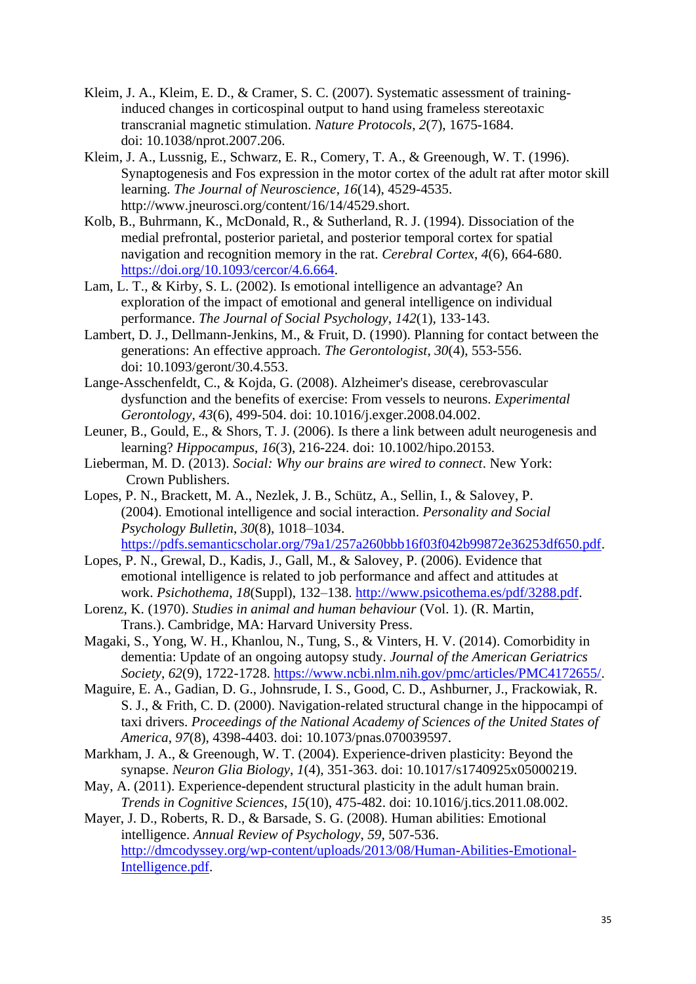- Kleim, J. A., Kleim, E. D., & Cramer, S. C. (2007). Systematic assessment of traininginduced changes in corticospinal output to hand using frameless stereotaxic transcranial magnetic stimulation. *Nature Protocols*, *2*(7), 1675-1684. doi: 10.1038/nprot.2007.206.
- Kleim, J. A., Lussnig, E., Schwarz, E. R., Comery, T. A., & Greenough, W. T. (1996). Synaptogenesis and Fos expression in the motor cortex of the adult rat after motor skill learning. *The Journal of Neuroscience*, *16*(14), 4529-4535. http://www.jneurosci.org/content/16/14/4529.short.
- Kolb, B., Buhrmann, K., McDonald, R., & Sutherland, R. J. (1994). Dissociation of the medial prefrontal, posterior parietal, and posterior temporal cortex for spatial navigation and recognition memory in the rat. *Cerebral Cortex*, *4*(6), 664-680. [https://doi.org/10.1093/cercor/4.6.664.](https://doi.org/10.1093/cercor/4.6.664)
- Lam, L. T., & Kirby, S. L. (2002). Is emotional intelligence an advantage? An exploration of the impact of emotional and general intelligence on individual performance. *The Journal of Social Psychology*, *142*(1), 133-143.
- Lambert, D. J., Dellmann-Jenkins, M., & Fruit, D. (1990). Planning for contact between the generations: An effective approach. *The Gerontologist*, *30*(4), 553-556. doi: 10.1093/geront/30.4.553.
- Lange-Asschenfeldt, C., & Kojda, G. (2008). Alzheimer's disease, cerebrovascular dysfunction and the benefits of exercise: From vessels to neurons. *Experimental Gerontology*, *43*(6), 499-504. doi: 10.1016/j.exger.2008.04.002.
- Leuner, B., Gould, E., & Shors, T. J. (2006). Is there a link between adult neurogenesis and learning? *Hippocampus*, *16*(3), 216-224. doi: 10.1002/hipo.20153.
- Lieberman, M. D. (2013). *Social: Why our brains are wired to connect*. New York: Crown Publishers.
- Lopes, P. N., Brackett, M. A., Nezlek, J. B., Schütz, A., Sellin, I., & Salovey, P. (2004). Emotional intelligence and social interaction. *Personality and Social Psychology Bulletin*, *30*(8), 1018–1034. [https://pdfs.semanticscholar.org/79a1/257a260bbb16f03f042b99872e36253df650.pdf.](https://pdfs.semanticscholar.org/79a1/257a260bbb16f03f042b99872e36253df650.pdf)
- Lopes, P. N., Grewal, D., Kadis, J., Gall, M., & Salovey, P. (2006). Evidence that emotional intelligence is related to job performance and affect and attitudes at work. *Psichothema, 18*(Suppl), 132–138. [http://www.psicothema.es/pdf/3288.pdf.](http://www.psicothema.es/pdf/3288.pdf)
- Lorenz, K. (1970). *Studies in animal and human behaviour* (Vol. 1). (R. Martin, Trans.). Cambridge, MA: Harvard University Press.
- Magaki, S., Yong, W. H., Khanlou, N., Tung, S., & Vinters, H. V. (2014). Comorbidity in dementia: Update of an ongoing autopsy study. *Journal of the American Geriatrics Society*, *62*(9), 1722-1728. [https://www.ncbi.nlm.nih.gov/pmc/articles/PMC4172655/.](https://www.ncbi.nlm.nih.gov/pmc/articles/PMC4172655/)
- Maguire, E. A., Gadian, D. G., Johnsrude, I. S., Good, C. D., Ashburner, J., Frackowiak, R. S. J., & Frith, C. D. (2000). Navigation-related structural change in the hippocampi of taxi drivers. *Proceedings of the National Academy of Sciences of the United States of America*, *97*(8), 4398-4403. doi: 10.1073/pnas.070039597.
- Markham, J. A., & Greenough, W. T. (2004). Experience-driven plasticity: Beyond the synapse. *Neuron Glia Biology*, *1*(4), 351-363. doi: 10.1017/s1740925x05000219.
- May, A. (2011). Experience-dependent structural plasticity in the adult human brain. *Trends in Cognitive Sciences*, *15*(10), 475-482. doi: 10.1016/j.tics.2011.08.002.
- Mayer, J. D., Roberts, R. D., & Barsade, S. G. (2008). Human abilities: Emotional intelligence. *Annual Review of Psychology*, *59*, 507-536. [http://dmcodyssey.org/wp-content/uploads/2013/08/Human-Abilities-Emotional-](http://dmcodyssey.org/wp-content/uploads/2013/08/Human-Abilities-Emotional-Intelligence.pdf)[Intelligence.pdf.](http://dmcodyssey.org/wp-content/uploads/2013/08/Human-Abilities-Emotional-Intelligence.pdf)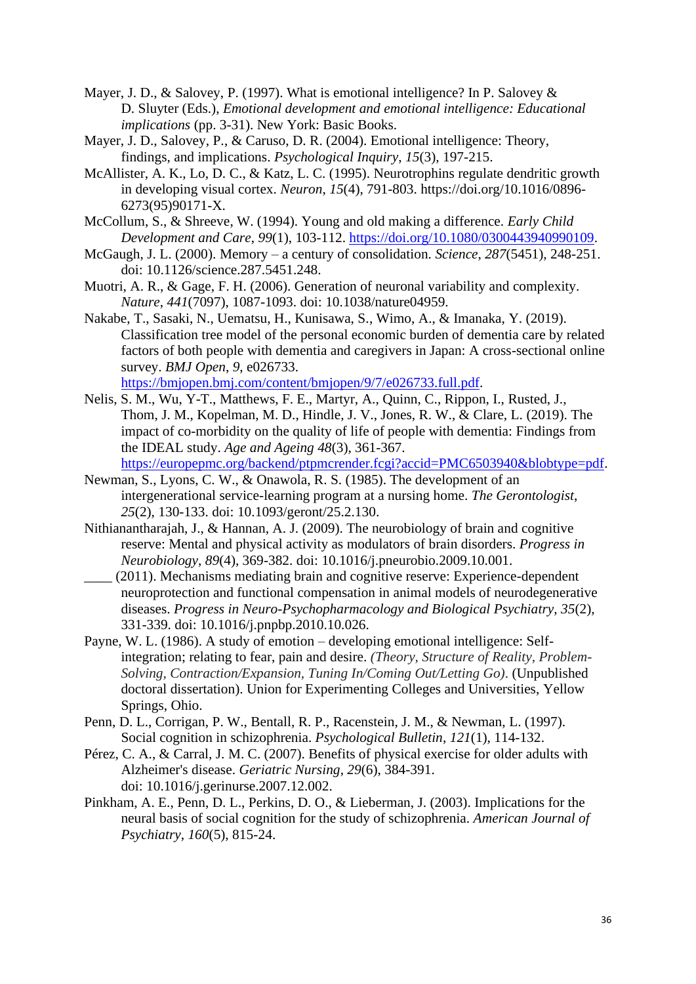- Mayer, J. D., & Salovey, P. (1997). What is emotional intelligence? In P. Salovey & D. Sluyter (Eds.), *Emotional development and emotional intelligence: Educational implications* (pp. 3-31). New York: Basic Books.
- Mayer, J. D., Salovey, P., & Caruso, D. R. (2004). Emotional intelligence: Theory, findings, and implications. *Psychological Inquiry*, *15*(3), 197-215.
- McAllister, A. K., Lo, D. C., & Katz, L. C. (1995). Neurotrophins regulate dendritic growth in developing visual cortex. *Neuron*, *15*(4), 791-803. https://doi.org/10.1016/0896- 6273(95)90171-X.
- McCollum, S., & Shreeve, W. (1994). Young and old making a difference. *Early Child Development and Care*, *99*(1), 103-112. [https://doi.org/10.1080/0300443940990109.](https://doi.org/10.1080/0300443940990109)
- McGaugh, J. L. (2000). Memory a century of consolidation. *Science*, *287*(5451), 248-251. doi: 10.1126/science.287.5451.248.
- Muotri, A. R., & Gage, F. H. (2006). Generation of neuronal variability and complexity. *Nature*, *441*(7097), 1087-1093. doi: 10.1038/nature04959.
- Nakabe, T., Sasaki, N., Uematsu, H., Kunisawa, S., Wimo, A., & Imanaka, Y. (2019). Classification tree model of the personal economic burden of dementia care by related factors of both people with dementia and caregivers in Japan: A cross-sectional online survey. *BMJ Open*, *9*, e026733.

[https://bmjopen.bmj.com/content/bmjopen/9/7/e026733.full.pdf.](https://bmjopen.bmj.com/content/bmjopen/9/7/e026733.full.pdf)

- Nelis, S. M., Wu, Y-T., Matthews, F. E., Martyr, A., Quinn, C., Rippon, I., Rusted, J., Thom, J. M., Kopelman, M. D., Hindle, J. V., Jones, R. W., & Clare, L. (2019). The impact of co-morbidity on the quality of life of people with dementia: Findings from the IDEAL study. *Age and Ageing 48*(3), 361-367. [https://europepmc.org/backend/ptpmcrender.fcgi?accid=PMC6503940&blobtype=pdf.](https://europepmc.org/backend/ptpmcrender.fcgi?accid=PMC6503940&blobtype=pdf)
- Newman, S., Lyons, C. W., & Onawola, R. S. (1985). The development of an intergenerational service-learning program at a nursing home. *The Gerontologist*, *25*(2), 130-133. doi: 10.1093/geront/25.2.130.
- Nithianantharajah, J., & Hannan, A. J. (2009). The neurobiology of brain and cognitive reserve: Mental and physical activity as modulators of brain disorders. *Progress in Neurobiology*, *89*(4), 369-382. doi: 10.1016/j.pneurobio.2009.10.001.
- \_\_\_\_ (2011). Mechanisms mediating brain and cognitive reserve: Experience-dependent neuroprotection and functional compensation in animal models of neurodegenerative diseases. *Progress in Neuro-Psychopharmacology and Biological Psychiatry*, *35*(2), 331-339. doi: 10.1016/j.pnpbp.2010.10.026.
- Payne, W. L. (1986). A study of emotion developing emotional intelligence: Selfintegration; relating to fear, pain and desire. *(Theory, Structure of Reality, Problem-Solving, Contraction/Expansion, Tuning In/Coming Out/Letting Go)*. (Unpublished doctoral dissertation). Union for Experimenting Colleges and Universities, Yellow Springs, Ohio.
- Penn, D. L., Corrigan, P. W., Bentall, R. P., Racenstein, J. M., & Newman, L. (1997). Social cognition in schizophrenia. *Psychological Bulletin*, *121*(1), 114-132.
- Pérez, C. A., & Carral, J. M. C. (2007). Benefits of physical exercise for older adults with Alzheimer's disease. *Geriatric Nursing*, *29*(6), 384-391. doi: 10.1016/j.gerinurse.2007.12.002.
- Pinkham, A. E., Penn, D. L., Perkins, D. O., & Lieberman, J. (2003). Implications for the neural basis of social cognition for the study of schizophrenia. *American Journal of Psychiatry*, *160*(5), 815-24.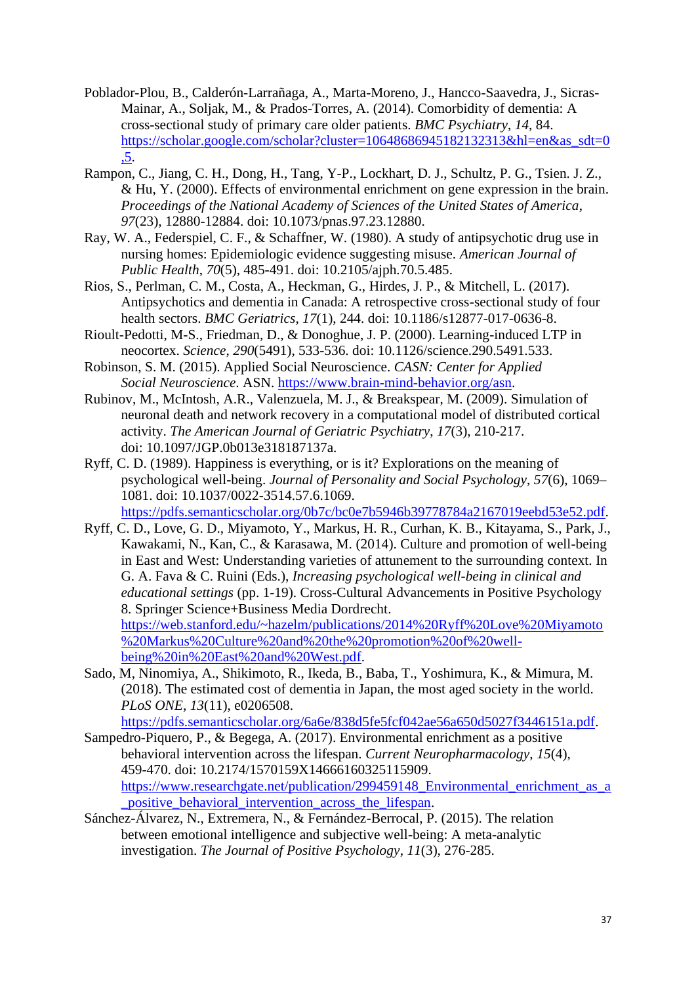- Poblador-Plou, B., Calderón-Larrañaga, A., Marta-Moreno, J., Hancco-Saavedra, J., Sicras-Mainar, A., Soljak, M., & Prados-Torres, A. (2014). Comorbidity of dementia: A cross-sectional study of primary care older patients. *BMC Psychiatry*, *14*, 84. [https://scholar.google.com/scholar?cluster=10648686945182132313&hl=en&as\\_sdt=0](https://scholar.google.com/scholar?cluster=10648686945182132313&hl=en&as_sdt=0,5)  $\overline{5}$ .
- Rampon, C., Jiang, C. H., Dong, H., Tang, Y-P., Lockhart, D. J., Schultz, P. G., Tsien. J. Z., & Hu, Y. (2000). Effects of environmental enrichment on gene expression in the brain. *Proceedings of the National Academy of Sciences of the United States of America*, *97*(23), 12880-12884. doi: 10.1073/pnas.97.23.12880.
- Ray, W. A., Federspiel, C. F., & Schaffner, W. (1980). A study of antipsychotic drug use in nursing homes: Epidemiologic evidence suggesting misuse. *American Journal of Public Health*, *70*(5), 485-491. doi: 10.2105/ajph.70.5.485.
- Rios, S., Perlman, C. M., Costa, A., Heckman, G., Hirdes, J. P., & Mitchell, L. (2017). Antipsychotics and dementia in Canada: A retrospective cross-sectional study of four health sectors. *BMC Geriatrics*, *17*(1), 244. doi: 10.1186/s12877-017-0636-8.
- Rioult-Pedotti, M-S., Friedman, D., & Donoghue, J. P. (2000). Learning-induced LTP in neocortex. *Science*, *290*(5491), 533-536. doi: 10.1126/science.290.5491.533.
- Robinson, S. M. (2015). Applied Social Neuroscience. *CASN: Center for Applied Social Neuroscience*. ASN. [https://www.brain-mind-behavior.org/asn.](https://www.brain-mind-behavior.org/asn)
- Rubinov, M., McIntosh, A.R., Valenzuela, M. J., & Breakspear, M. (2009). Simulation of neuronal death and network recovery in a computational model of distributed cortical activity. *The American Journal of Geriatric Psychiatry*, *17*(3), 210-217. doi: 10.1097/JGP.0b013e318187137a.
- Ryff, C. D. (1989). Happiness is everything, or is it? Explorations on the meaning of psychological well-being. *Journal of Personality and Social Psychology*, *57*(6), 1069– 1081. doi: 10.1037/0022-3514.57.6.1069.

[https://pdfs.semanticscholar.org/0b7c/bc0e7b5946b39778784a2167019eebd53e52.pdf.](https://pdfs.semanticscholar.org/0b7c/bc0e7b5946b39778784a2167019eebd53e52.pdf)

- Ryff, C. D., Love, G. D., Miyamoto, Y., Markus, H. R., Curhan, K. B., Kitayama, S., Park, J., Kawakami, N., Kan, C., & Karasawa, M. (2014). Culture and promotion of well-being in East and West: Understanding varieties of attunement to the surrounding context. In G. A. Fava & C. Ruini (Eds.), *Increasing psychological well-being in clinical and educational settings* (pp. 1-19). Cross-Cultural Advancements in Positive Psychology 8. Springer Science+Business Media Dordrecht. [https://web.stanford.edu/~hazelm/publications/2014%20Ryff%20Love%20Miyamoto](https://web.stanford.edu/~hazelm/publications/2014%20Ryff%20Love%20Miyamoto%20Markus%20Culture%20and%20the%20promotion%20of%20well-being%20in%20East%20and%20West.pdf) [%20Markus%20Culture%20and%20the%20promotion%20of%20well](https://web.stanford.edu/~hazelm/publications/2014%20Ryff%20Love%20Miyamoto%20Markus%20Culture%20and%20the%20promotion%20of%20well-being%20in%20East%20and%20West.pdf)[being%20in%20East%20and%20West.pdf.](https://web.stanford.edu/~hazelm/publications/2014%20Ryff%20Love%20Miyamoto%20Markus%20Culture%20and%20the%20promotion%20of%20well-being%20in%20East%20and%20West.pdf)
- Sado, M, Ninomiya, A., Shikimoto, R., Ikeda, B., Baba, T., Yoshimura, K., & Mimura, M. (2018). The estimated cost of dementia in Japan, the most aged society in the world. *PLoS ONE*, *13*(11), e0206508.

[https://pdfs.semanticscholar.org/6a6e/838d5fe5fcf042ae56a650d5027f3446151a.pdf.](https://pdfs.semanticscholar.org/6a6e/838d5fe5fcf042ae56a650d5027f3446151a.pdf)

- Sampedro-Piquero, P., & Begega, A. (2017). Environmental enrichment as a positive behavioral intervention across the lifespan. *Current Neuropharmacology*, *15*(4), 459-470. doi: 10.2174/1570159X14666160325115909. [https://www.researchgate.net/publication/299459148\\_Environmental\\_enrichment\\_as\\_a](https://www.researchgate.net/publication/299459148_Environmental_enrichment_as_a_positive_behavioral_intervention_across_the_lifespan) positive behavioral intervention across the lifespan.
- Sánchez-Álvarez, N., Extremera, N., & Fernández-Berrocal, P. (2015). The relation between emotional intelligence and subjective well-being: A meta-analytic investigation. *The Journal of Positive Psychology*, *11*(3), 276-285.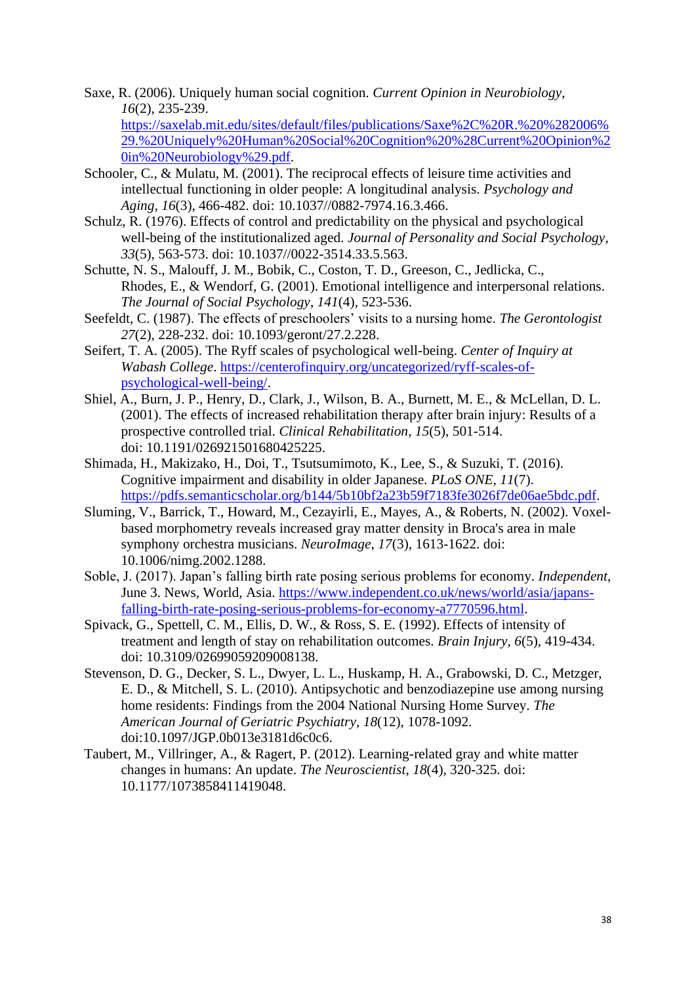Saxe, R. (2006). Uniquely human social cognition. *Current Opinion in Neurobiology*, *16*(2), 235-239.

[https://saxelab.mit.edu/sites/default/files/publications/Saxe%2C%20R.%20%282006%](https://saxelab.mit.edu/sites/default/files/publications/Saxe%2C%20R.%20%282006%29.%20Uniquely%20Human%20Social%20Cognition%20%28Current%20Opinion%20in%20Neurobiology%29.pdf) [29.%20Uniquely%20Human%20Social%20Cognition%20%28Current%20Opinion%2](https://saxelab.mit.edu/sites/default/files/publications/Saxe%2C%20R.%20%282006%29.%20Uniquely%20Human%20Social%20Cognition%20%28Current%20Opinion%20in%20Neurobiology%29.pdf) [0in%20Neurobiology%29.pdf.](https://saxelab.mit.edu/sites/default/files/publications/Saxe%2C%20R.%20%282006%29.%20Uniquely%20Human%20Social%20Cognition%20%28Current%20Opinion%20in%20Neurobiology%29.pdf)

- Schooler, C., & Mulatu, M. (2001). The reciprocal effects of leisure time activities and intellectual functioning in older people: A longitudinal analysis. *Psychology and Aging*, *16*(3), 466-482. doi: 10.1037//0882-7974.16.3.466.
- Schulz, R. (1976). Effects of control and predictability on the physical and psychological well-being of the institutionalized aged. *Journal of Personality and Social Psychology*, *33*(5), 563-573. doi: 10.1037//0022-3514.33.5.563.
- Schutte, N. S., Malouff, J. M., Bobik, C., Coston, T. D., Greeson, C., Jedlicka, C., Rhodes, E., & Wendorf, G. (2001). Emotional intelligence and interpersonal relations. *The Journal of Social Psychology*, *141*(4), 523-536.
- Seefeldt, C. (1987). The effects of preschoolers' visits to a nursing home. *The Gerontologist 27*(2), 228-232. doi: 10.1093/geront/27.2.228.
- Seifert, T. A. (2005). The Ryff scales of psychological well-being. *Center of Inquiry at Wabash College*. [https://centerofinquiry.org/uncategorized/ryff-scales-of](https://centerofinquiry.org/uncategorized/ryff-scales-of-psychological-well-being/)[psychological-well-being/.](https://centerofinquiry.org/uncategorized/ryff-scales-of-psychological-well-being/)
- Shiel, A., Burn, J. P., Henry, D., Clark, J., Wilson, B. A., Burnett, M. E., & McLellan, D. L. (2001). The effects of increased rehabilitation therapy after brain injury: Results of a prospective controlled trial. *Clinical Rehabilitation*, *15*(5), 501-514. doi: 10.1191/026921501680425225.
- Shimada, H., Makizako, H., Doi, T., Tsutsumimoto, K., Lee, S., & Suzuki, T. (2016). Cognitive impairment and disability in older Japanese. *PLoS ONE*, *11*(7). [https://pdfs.semanticscholar.org/b144/5b10bf2a23b59f7183fe3026f7de06ae5bdc.pdf.](https://pdfs.semanticscholar.org/b144/5b10bf2a23b59f7183fe3026f7de06ae5bdc.pdf)
- Sluming, V., Barrick, T., Howard, M., Cezayirli, E., Mayes, A., & Roberts, N. (2002). Voxelbased morphometry reveals increased gray matter density in Broca's area in male symphony orchestra musicians. *NeuroImage*, *17*(3), 1613-1622. doi: 10.1006/nimg.2002.1288.
- Soble, J. (2017). Japan's falling birth rate posing serious problems for economy. *Independent*, June 3. News, World, Asia. [https://www.independent.co.uk/news/world/asia/japans](https://www.independent.co.uk/news/world/asia/japans-falling-birth-rate-posing-serious-problems-for-economy-a7770596.html)[falling-birth-rate-posing-serious-problems-for-economy-a7770596.html.](https://www.independent.co.uk/news/world/asia/japans-falling-birth-rate-posing-serious-problems-for-economy-a7770596.html)
- Spivack, G., Spettell, C. M., Ellis, D. W., & Ross, S. E. (1992). Effects of intensity of treatment and length of stay on rehabilitation outcomes. *Brain Injury*, *6*(5), 419-434. doi: 10.3109/02699059209008138.
- Stevenson, D. G., Decker, S. L., Dwyer, L. L., Huskamp, H. A., Grabowski, D. C., Metzger, E. D., & Mitchell, S. L. (2010). Antipsychotic and benzodiazepine use among nursing home residents: Findings from the 2004 National Nursing Home Survey. *The American Journal of Geriatric Psychiatry*, *18*(12), 1078-1092. doi:10.1097/JGP.0b013e3181d6c0c6.
- Taubert, M., Villringer, A., & Ragert, P. (2012). Learning-related gray and white matter changes in humans: An update. *The Neuroscientist*, *18*(4), 320-325. doi: 10.1177/1073858411419048.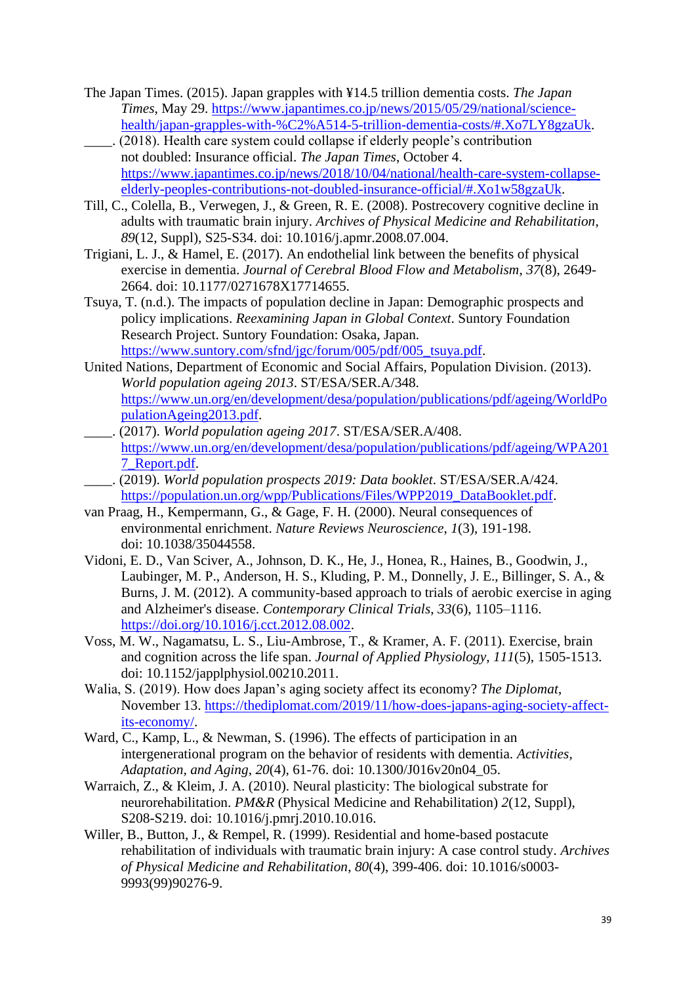- The Japan Times. (2015). Japan grapples with ¥14.5 trillion dementia costs. *The Japan Times*, May 29. [https://www.japantimes.co.jp/news/2015/05/29/national/science](https://www.japantimes.co.jp/news/2015/05/29/national/science-health/japan-grapples-with-%C2%A514-5-trillion-dementia-costs/#.Xo7LY8gzaUk)[health/japan-grapples-with-%C2%A514-5-trillion-dementia-costs/#.Xo7LY8gzaUk.](https://www.japantimes.co.jp/news/2015/05/29/national/science-health/japan-grapples-with-%C2%A514-5-trillion-dementia-costs/#.Xo7LY8gzaUk)
- \_\_\_\_. (2018). Health care system could collapse if elderly people's contribution not doubled: Insurance official. *The Japan Times*, October 4. [https://www.japantimes.co.jp/news/2018/10/04/national/health-care-system-collapse](https://www.japantimes.co.jp/news/2018/10/04/national/health-care-system-collapse-elderly-peoples-contributions-not-doubled-insurance-official/#.Xo1w58gzaUk)[elderly-peoples-contributions-not-doubled-insurance-official/#.Xo1w58gzaUk.](https://www.japantimes.co.jp/news/2018/10/04/national/health-care-system-collapse-elderly-peoples-contributions-not-doubled-insurance-official/#.Xo1w58gzaUk)
- Till, C., Colella, B., Verwegen, J., & Green, R. E. (2008). Postrecovery cognitive decline in adults with traumatic brain injury. *Archives of Physical Medicine and Rehabilitation*, *89*(12, Suppl), S25-S34. doi: 10.1016/j.apmr.2008.07.004.
- Trigiani, L. J., & Hamel, E. (2017). An endothelial link between the benefits of physical exercise in dementia. *Journal of Cerebral Blood Flow and Metabolism*, *37*(8), 2649- 2664. doi: 10.1177/0271678X17714655.
- Tsuya, T. (n.d.). The impacts of population decline in Japan: Demographic prospects and policy implications. *Reexamining Japan in Global Context*. Suntory Foundation Research Project. Suntory Foundation: Osaka, Japan. [https://www.suntory.com/sfnd/jgc/forum/005/pdf/005\\_tsuya.pdf.](https://www.suntory.com/sfnd/jgc/forum/005/pdf/005_tsuya.pdf)
- United Nations, Department of Economic and Social Affairs, Population Division. (2013). *World population ageing 2013*. ST/ESA/SER.A/348. [https://www.un.org/en/development/desa/population/publications/pdf/ageing/WorldPo](https://www.un.org/en/development/desa/population/publications/pdf/ageing/WorldPopulationAgeing2013.pdf) [pulationAgeing2013.pdf.](https://www.un.org/en/development/desa/population/publications/pdf/ageing/WorldPopulationAgeing2013.pdf)
- \_\_\_\_. (2017). *World population ageing 2017*. ST/ESA/SER.A/408. [https://www.un.org/en/development/desa/population/publications/pdf/ageing/WPA201](https://www.un.org/en/development/desa/population/publications/pdf/ageing/WPA2017_Report.pdf) [7\\_Report.pdf.](https://www.un.org/en/development/desa/population/publications/pdf/ageing/WPA2017_Report.pdf)
- \_\_\_\_. (2019). *World population prospects 2019: Data booklet*. ST/ESA/SER.A/424. [https://population.un.org/wpp/Publications/Files/WPP2019\\_DataBooklet.pdf.](https://population.un.org/wpp/Publications/Files/WPP2019_DataBooklet.pdf)
- van Praag, H., Kempermann, G., & Gage, F. H. (2000). Neural consequences of environmental enrichment. *Nature Reviews Neuroscience*, *1*(3), 191-198. doi: 10.1038/35044558.
- Vidoni, E. D., Van Sciver, A., Johnson, D. K., He, J., Honea, R., Haines, B., Goodwin, J., Laubinger, M. P., Anderson, H. S., Kluding, P. M., Donnelly, J. E., Billinger, S. A., & Burns, J. M. (2012). A community-based approach to trials of aerobic exercise in aging and Alzheimer's disease. *Contemporary Clinical Trials*, *33*(6), 1105–1116. [https://doi.org/10.1016/j.cct.2012.08.002.](https://doi.org/10.1016/j.cct.2012.08.002)
- Voss, M. W., Nagamatsu, L. S., Liu-Ambrose, T., & Kramer, A. F. (2011). Exercise, brain and cognition across the life span. *Journal of Applied Physiology*, *111*(5), 1505-1513. doi: 10.1152/japplphysiol.00210.2011.
- Walia, S. (2019). How does Japan's aging society affect its economy? *The Diplomat*, November 13. [https://thediplomat.com/2019/11/how-does-japans-aging-society-affect](https://thediplomat.com/2019/11/how-does-japans-aging-society-affect-its-economy/)[its-economy/.](https://thediplomat.com/2019/11/how-does-japans-aging-society-affect-its-economy/)
- Ward, C., Kamp, L., & Newman, S. (1996). The effects of participation in an intergenerational program on the behavior of residents with dementia. *Activities, Adaptation, and Aging*, *20*(4), 61-76. doi: 10.1300/J016v20n04\_05.
- Warraich, Z., & Kleim, J. A. (2010). Neural plasticity: The biological substrate for neurorehabilitation. *PM&R* (Physical Medicine and Rehabilitation) *2*(12, Suppl), S208-S219. doi: 10.1016/j.pmrj.2010.10.016.
- Willer, B., Button, J., & Rempel, R. (1999). Residential and home-based postacute rehabilitation of individuals with traumatic brain injury: A case control study. *Archives of Physical Medicine and Rehabilitation*, *80*(4), 399-406. doi: 10.1016/s0003- 9993(99)90276-9.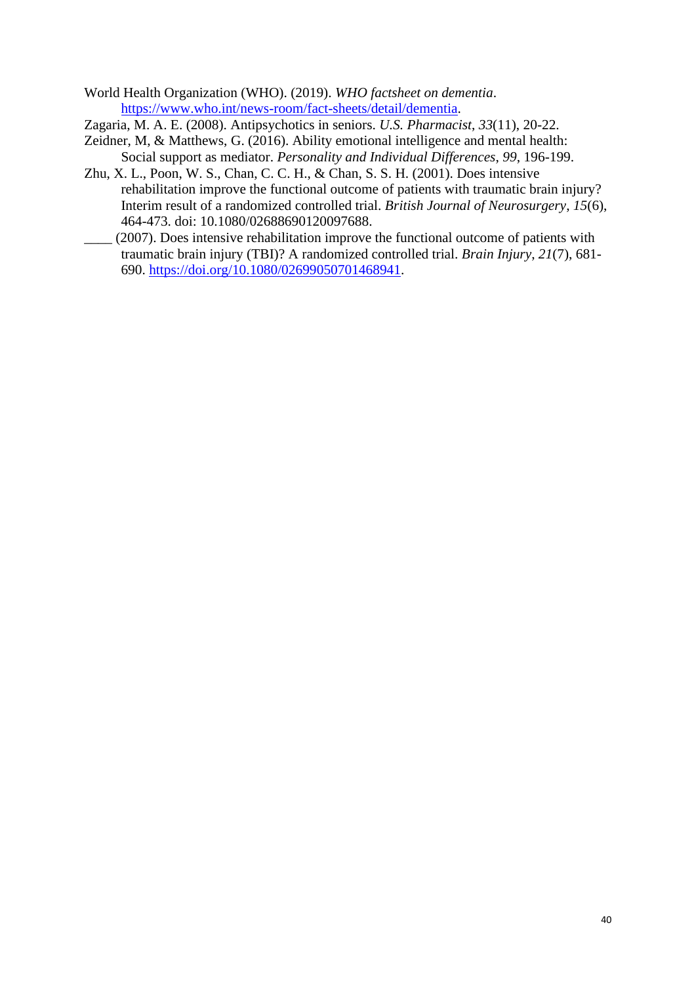World Health Organization (WHO). (2019). *WHO factsheet on dementia*. [https://www.who.int/news-room/fact-sheets/detail/dementia.](https://www.who.int/news-room/fact-sheets/detail/dementia)

Zagaria, M. A. E. (2008). Antipsychotics in seniors. *U.S. Pharmacist*, *33*(11), 20-22.

- Zeidner, M, & Matthews, G. (2016). Ability emotional intelligence and mental health: Social support as mediator. *Personality and Individual Differences*, *99*, 196-199.
- Zhu, X. L., Poon, W. S., Chan, C. C. H., & Chan, S. S. H. (2001). Does intensive rehabilitation improve the functional outcome of patients with traumatic brain injury? Interim result of a randomized controlled trial. *British Journal of Neurosurgery*, *15*(6), 464-473. doi: 10.1080/02688690120097688.
- \_\_\_\_ (2007). Does intensive rehabilitation improve the functional outcome of patients with traumatic brain injury (TBI)? A randomized controlled trial. *Brain Injury*, *21*(7), 681- 690. [https://doi.org/10.1080/02699050701468941.](https://doi.org/10.1080/02699050701468941)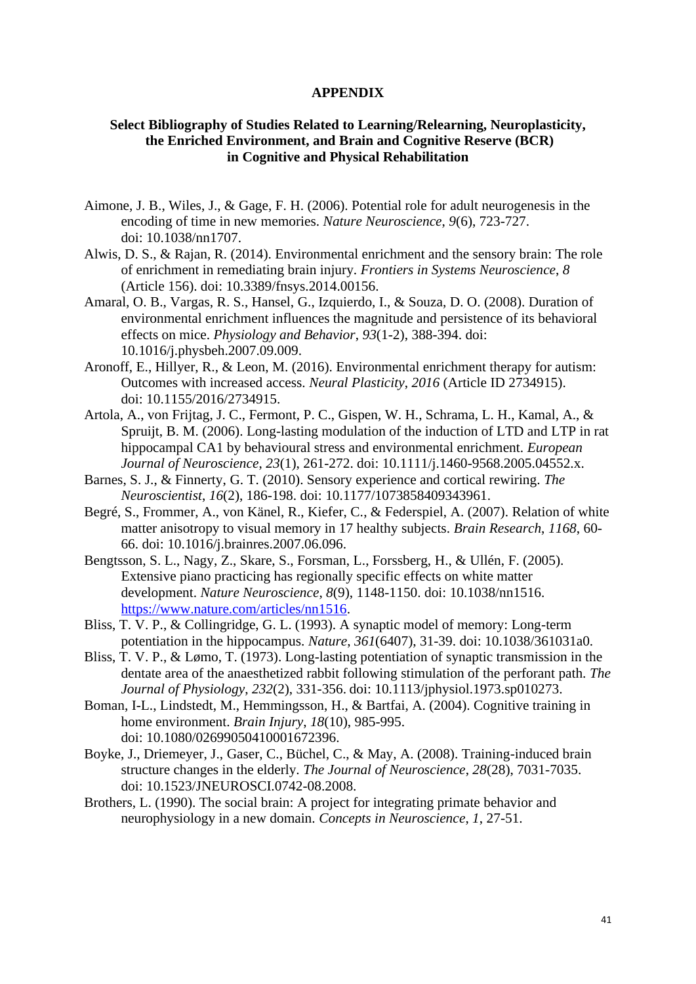#### **APPENDIX**

# **Select Bibliography of Studies Related to Learning/Relearning, Neuroplasticity, the Enriched Environment, and Brain and Cognitive Reserve (BCR) in Cognitive and Physical Rehabilitation**

- Aimone, J. B., Wiles, J., & Gage, F. H. (2006). Potential role for adult neurogenesis in the encoding of time in new memories. *Nature Neuroscience*, *9*(6), 723-727. doi: 10.1038/nn1707.
- Alwis, D. S., & Rajan, R. (2014). Environmental enrichment and the sensory brain: The role of enrichment in remediating brain injury. *Frontiers in Systems Neuroscience*, *8* (Article 156). doi: 10.3389/fnsys.2014.00156.
- Amaral, O. B., Vargas, R. S., Hansel, G., Izquierdo, I., & Souza, D. O. (2008). Duration of environmental enrichment influences the magnitude and persistence of its behavioral effects on mice. *Physiology and Behavior*, *93*(1-2), 388-394. doi: 10.1016/j.physbeh.2007.09.009.
- Aronoff, E., Hillyer, R., & Leon, M. (2016). Environmental enrichment therapy for autism: Outcomes with increased access. *Neural Plasticity*, *2016* (Article ID 2734915). doi: 10.1155/2016/2734915.
- Artola, A., von Frijtag, J. C., Fermont, P. C., Gispen, W. H., Schrama, L. H., Kamal, A., & Spruijt, B. M. (2006). Long-lasting modulation of the induction of LTD and LTP in rat hippocampal CA1 by behavioural stress and environmental enrichment. *European Journal of Neuroscience*, *23*(1), 261-272. doi: 10.1111/j.1460-9568.2005.04552.x.
- Barnes, S. J., & Finnerty, G. T. (2010). Sensory experience and cortical rewiring. *The Neuroscientist*, *16*(2), 186-198. doi: 10.1177/1073858409343961.
- Begré, S., Frommer, A., von Känel, R., Kiefer, C., & Federspiel, A. (2007). Relation of white matter anisotropy to visual memory in 17 healthy subjects. *Brain Research*, *1168*, 60- 66. doi: 10.1016/j.brainres.2007.06.096.
- Bengtsson, S. L., Nagy, Z., Skare, S., Forsman, L., Forssberg, H., & Ullén, F. (2005). Extensive piano practicing has regionally specific effects on white matter development. *Nature Neuroscience*, *8*(9), 1148-1150. doi: 10.1038/nn1516. [https://www.nature.com/articles/nn1516.](https://www.nature.com/articles/nn1516)
- Bliss, T. V. P., & Collingridge, G. L. (1993). A synaptic model of memory: Long-term potentiation in the hippocampus. *Nature*, *361*(6407), 31-39. doi: 10.1038/361031a0.
- Bliss, T. V. P., & Lømo, T. (1973). Long-lasting potentiation of synaptic transmission in the dentate area of the anaesthetized rabbit following stimulation of the perforant path. *The Journal of Physiology*, *232*(2), 331-356. doi: 10.1113/jphysiol.1973.sp010273.
- Boman, I-L., Lindstedt, M., Hemmingsson, H., & Bartfai, A. (2004). Cognitive training in home environment. *Brain Injury*, *18*(10), 985-995. doi: 10.1080/02699050410001672396.
- Boyke, J., Driemeyer, J., Gaser, C., Büchel, C., & May, A. (2008). Training-induced brain structure changes in the elderly. *The Journal of Neuroscience*, *28*(28), 7031-7035. doi: 10.1523/JNEUROSCI.0742-08.2008.
- Brothers, L. (1990). The social brain: A project for integrating primate behavior and neurophysiology in a new domain. *Concepts in Neuroscience*, *1*, 27-51.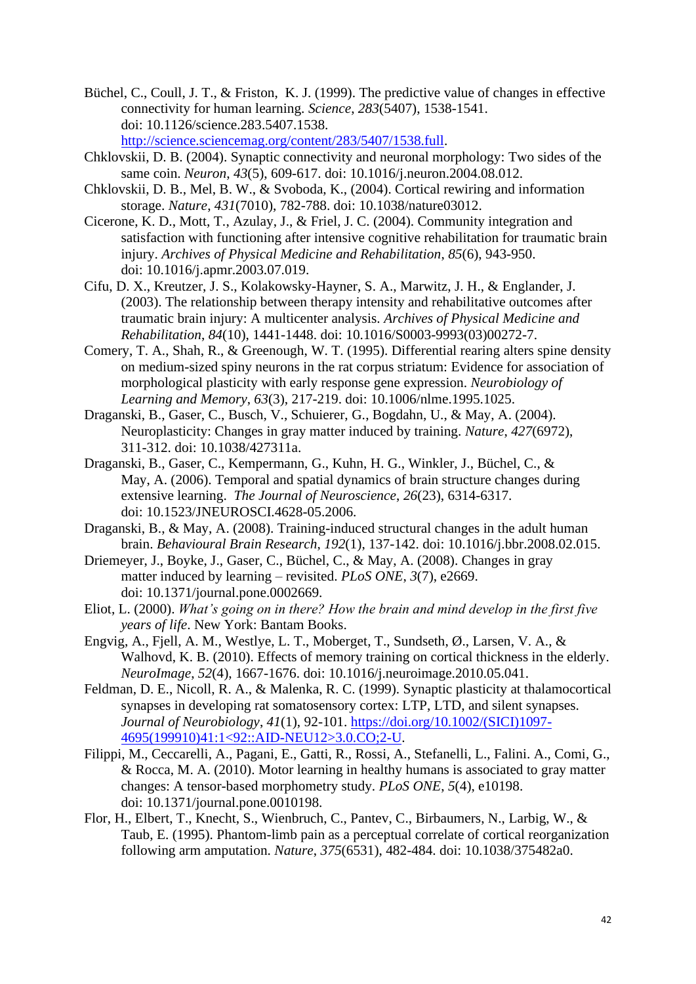Büchel, C., Coull, J. T., & Friston, K. J. (1999). The predictive value of changes in effective connectivity for human learning. *Science*, *283*(5407), 1538-1541. doi: 10.1126/science.283.5407.1538. [http://science.sciencemag.org/content/283/5407/1538.full.](http://science.sciencemag.org/content/283/5407/1538.full)

Chklovskii, D. B. (2004). Synaptic connectivity and neuronal morphology: Two sides of the same coin. *Neuron*, *43*(5), 609-617. doi: 10.1016/j.neuron.2004.08.012.

- Chklovskii, D. B., Mel, B. W., & Svoboda, K., (2004). Cortical rewiring and information storage. *Nature*, *431*(7010), 782-788. doi: 10.1038/nature03012.
- Cicerone, K. D., Mott, T., Azulay, J., & Friel, J. C. (2004). Community integration and satisfaction with functioning after intensive cognitive rehabilitation for traumatic brain injury. *Archives of Physical Medicine and Rehabilitation*, *85*(6), 943-950. doi: 10.1016/j.apmr.2003.07.019.
- Cifu, D. X., Kreutzer, J. S., Kolakowsky-Hayner, S. A., Marwitz, J. H., & Englander, J. (2003). The relationship between therapy intensity and rehabilitative outcomes after traumatic brain injury: A multicenter analysis. *Archives of Physical Medicine and Rehabilitation*, *84*(10), 1441-1448. doi: 10.1016/S0003-9993(03)00272-7.
- Comery, T. A., Shah, R., & Greenough, W. T. (1995). Differential rearing alters spine density on medium-sized spiny neurons in the rat corpus striatum: Evidence for association of morphological plasticity with early response gene expression. *Neurobiology of Learning and Memory*, *63*(3), 217-219. doi: 10.1006/nlme.1995.1025.
- Draganski, B., Gaser, C., Busch, V., Schuierer, G., Bogdahn, U., & May, A. (2004). Neuroplasticity: Changes in gray matter induced by training. *Nature*, *427*(6972), 311-312. doi: 10.1038/427311a.
- Draganski, B., Gaser, C., Kempermann, G., Kuhn, H. G., Winkler, J., Büchel, C., & May, A. (2006). Temporal and spatial dynamics of brain structure changes during extensive learning. *The Journal of Neuroscience*, *26*(23), 6314-6317. doi: 10.1523/JNEUROSCI.4628-05.2006.
- Draganski, B., & May, A. (2008). Training-induced structural changes in the adult human brain. *Behavioural Brain Research*, *192*(1), 137-142. doi: 10.1016/j.bbr.2008.02.015.
- Driemeyer, J., Boyke, J., Gaser, C., Büchel, C., & May, A. (2008). Changes in gray matter induced by learning – revisited. *PLoS ONE*, *3*(7), e2669. doi: 10.1371/journal.pone.0002669.
- Eliot, L. (2000). *What's going on in there? How the brain and mind develop in the first five years of life*. New York: Bantam Books.
- Engvig, A., Fjell, A. M., Westlye, L. T., Moberget, T., Sundseth, Ø., Larsen, V. A., & Walhovd, K. B. (2010). Effects of memory training on cortical thickness in the elderly. *NeuroImage*, *52*(4), 1667-1676. doi: 10.1016/j.neuroimage.2010.05.041.
- Feldman, D. E., Nicoll, R. A., & Malenka, R. C. (1999). Synaptic plasticity at thalamocortical synapses in developing rat somatosensory cortex: LTP, LTD, and silent synapses. *Journal of Neurobiology*, *41*(1), 92-101. [https://doi.org/10.1002/\(SICI\)1097-](https://doi.org/10.1002/(SICI)1097-4695(199910)41:1%3c92::AID-NEU12%3e3.0.CO;2-U) [4695\(199910\)41:1<92::AID-NEU12>3.0.CO;2-U.](https://doi.org/10.1002/(SICI)1097-4695(199910)41:1%3c92::AID-NEU12%3e3.0.CO;2-U)
- Filippi, M., Ceccarelli, A., Pagani, E., Gatti, R., Rossi, A., Stefanelli, L., Falini. A., Comi, G., & Rocca, M. A. (2010). Motor learning in healthy humans is associated to gray matter changes: A tensor-based morphometry study. *PLoS ONE*, *5*(4), e10198. doi: 10.1371/journal.pone.0010198.
- Flor, H., Elbert, T., Knecht, S., Wienbruch, C., Pantev, C., Birbaumers, N., Larbig, W., & Taub, E. (1995). Phantom-limb pain as a perceptual correlate of cortical reorganization following arm amputation. *Nature*, *375*(6531), 482-484. doi: 10.1038/375482a0.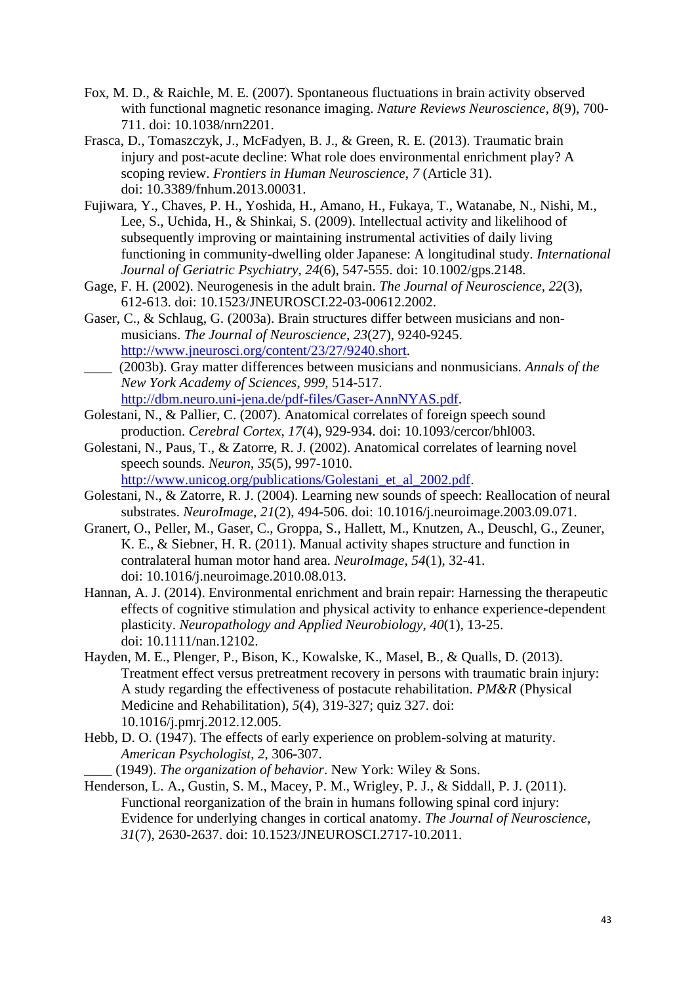- Fox, M. D., & Raichle, M. E. (2007). Spontaneous fluctuations in brain activity observed with functional magnetic resonance imaging. *Nature Reviews Neuroscience*, *8*(9), 700- 711. doi: 10.1038/nrn2201.
- Frasca, D., Tomaszczyk, J., McFadyen, B. J., & Green, R. E. (2013). Traumatic brain injury and post-acute decline: What role does environmental enrichment play? A scoping review. *Frontiers in Human Neuroscience*, *7* (Article 31). doi: 10.3389/fnhum.2013.00031.
- Fujiwara, Y., Chaves, P. H., Yoshida, H., Amano, H., Fukaya, T., Watanabe, N., Nishi, M., Lee, S., Uchida, H., & Shinkai, S. (2009). Intellectual activity and likelihood of subsequently improving or maintaining instrumental activities of daily living functioning in community-dwelling older Japanese: A longitudinal study. *International Journal of Geriatric Psychiatry*, *24*(6), 547-555. doi: 10.1002/gps.2148.
- Gage, F. H. (2002). Neurogenesis in the adult brain. *The Journal of Neuroscience*, *22*(3), 612-613. doi: 10.1523/JNEUROSCI.22-03-00612.2002.
- Gaser, C., & Schlaug, G. (2003a). Brain structures differ between musicians and nonmusicians. *The Journal of Neuroscience*, *23*(27), 9240-9245. [http://www.jneurosci.org/content/23/27/9240.short.](http://www.jneurosci.org/content/23/27/9240.short)
- \_\_\_\_ (2003b). Gray matter differences between musicians and nonmusicians. *Annals of the New York Academy of Sciences*, *999*, 514-517. [http://dbm.neuro.uni-jena.de/pdf-files/Gaser-AnnNYAS.pdf.](http://dbm.neuro.uni-jena.de/pdf-files/Gaser-AnnNYAS.pdf)
- Golestani, N., & Pallier, C. (2007). Anatomical correlates of foreign speech sound production. *Cerebral Cortex*, *17*(4), 929-934. doi: 10.1093/cercor/bhl003.
- Golestani, N., Paus, T., & Zatorre, R. J. (2002). Anatomical correlates of learning novel speech sounds. *Neuron*, *35*(5), 997-1010. http://www.unicog.org/publications/Golestani et al 2002.pdf.
- Golestani, N., & Zatorre, R. J. (2004). Learning new sounds of speech: Reallocation of neural substrates. *NeuroImage*, *21*(2), 494-506. doi: 10.1016/j.neuroimage.2003.09.071.
- Granert, O., Peller, M., Gaser, C., Groppa, S., Hallett, M., Knutzen, A., Deuschl, G., Zeuner, K. E., & Siebner, H. R. (2011). Manual activity shapes structure and function in contralateral human motor hand area. *NeuroImage*, *54*(1), 32-41. doi: 10.1016/j.neuroimage.2010.08.013.
- Hannan, A. J. (2014). Environmental enrichment and brain repair: Harnessing the therapeutic effects of cognitive stimulation and physical activity to enhance experience-dependent plasticity. *Neuropathology and Applied Neurobiology*, *40*(1), 13-25. doi: 10.1111/nan.12102.
- Hayden, M. E., Plenger, P., Bison, K., Kowalske, K., Masel, B., & Qualls, D. (2013). Treatment effect versus pretreatment recovery in persons with traumatic brain injury: A study regarding the effectiveness of postacute rehabilitation. *PM&R* (Physical Medicine and Rehabilitation), *5*(4), 319-327; quiz 327. doi: 10.1016/j.pmrj.2012.12.005.
- Hebb, D. O. (1947). The effects of early experience on problem-solving at maturity. *American Psychologist*, *2*, 306-307.

\_\_\_\_ (1949). *The organization of behavior*. New York: Wiley & Sons.

Henderson, L. A., Gustin, S. M., Macey, P. M., Wrigley, P. J., & Siddall, P. J. (2011). Functional reorganization of the brain in humans following spinal cord injury: Evidence for underlying changes in cortical anatomy. *The Journal of Neuroscience*, *31*(7), 2630-2637. doi: 10.1523/JNEUROSCI.2717-10.2011.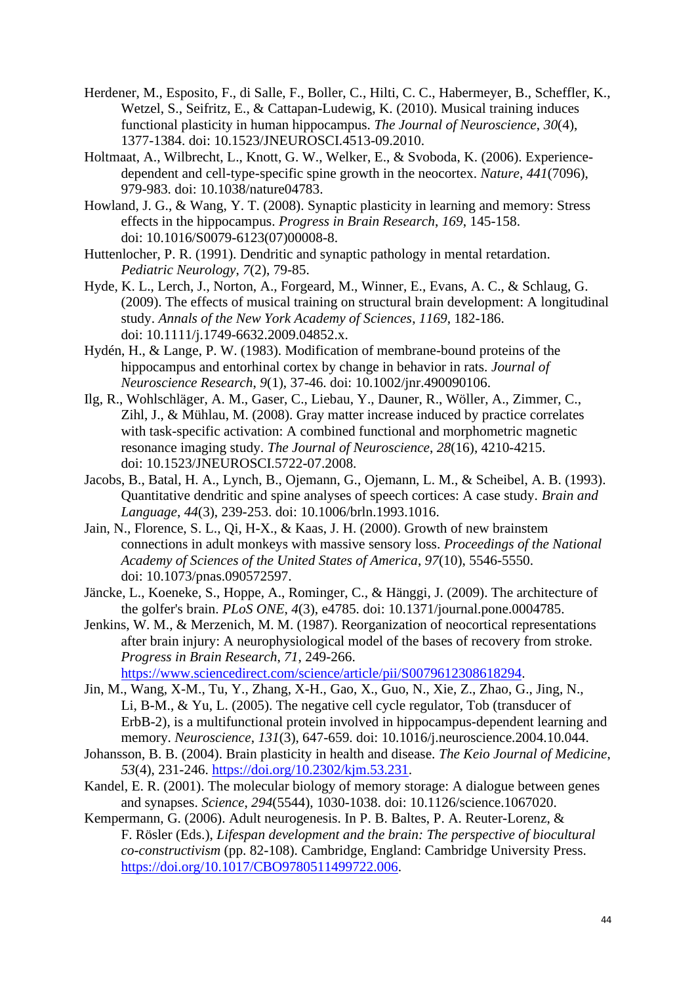- Herdener, M., Esposito, F., di Salle, F., Boller, C., Hilti, C. C., Habermeyer, B., Scheffler, K., Wetzel, S., Seifritz, E., & Cattapan-Ludewig, K. (2010). Musical training induces functional plasticity in human hippocampus. *The Journal of Neuroscience*, *30*(4), 1377-1384. doi: 10.1523/JNEUROSCI.4513-09.2010.
- Holtmaat, A., Wilbrecht, L., Knott, G. W., Welker, E., & Svoboda, K. (2006). Experiencedependent and cell-type-specific spine growth in the neocortex. *Nature*, *441*(7096), 979-983. doi: 10.1038/nature04783.
- Howland, J. G., & Wang, Y. T. (2008). Synaptic plasticity in learning and memory: Stress effects in the hippocampus. *Progress in Brain Research*, *169*, 145-158. doi: 10.1016/S0079-6123(07)00008-8.
- Huttenlocher, P. R. (1991). Dendritic and synaptic pathology in mental retardation. *Pediatric Neurology*, *7*(2), 79-85.
- Hyde, K. L., Lerch, J., Norton, A., Forgeard, M., Winner, E., Evans, A. C., & Schlaug, G. (2009). The effects of musical training on structural brain development: A longitudinal study. *Annals of the New York Academy of Sciences*, *1169*, 182-186. doi: 10.1111/j.1749-6632.2009.04852.x.
- Hydén, H., & Lange, P. W. (1983). Modification of membrane-bound proteins of the hippocampus and entorhinal cortex by change in behavior in rats. *Journal of Neuroscience Research*, *9*(1), 37-46. doi: 10.1002/jnr.490090106.
- Ilg, R., Wohlschläger, A. M., Gaser, C., Liebau, Y., Dauner, R., Wöller, A., Zimmer, C., Zihl, J., & Mühlau, M. (2008). Gray matter increase induced by practice correlates with task-specific activation: A combined functional and morphometric magnetic resonance imaging study. *The Journal of Neuroscience*, *28*(16), 4210-4215. doi: 10.1523/JNEUROSCI.5722-07.2008.
- Jacobs, B., Batal, H. A., Lynch, B., Ojemann, G., Ojemann, L. M., & Scheibel, A. B. (1993). Quantitative dendritic and spine analyses of speech cortices: A case study. *Brain and Language*, *44*(3), 239-253. doi: 10.1006/brln.1993.1016.
- Jain, N., Florence, S. L., Qi, H-X., & Kaas, J. H. (2000). Growth of new brainstem connections in adult monkeys with massive sensory loss. *Proceedings of the National Academy of Sciences of the United States of America*, *97*(10), 5546-5550. doi: 10.1073/pnas.090572597.
- Jäncke, L., Koeneke, S., Hoppe, A., Rominger, C., & Hänggi, J. (2009). The architecture of the golfer's brain. *PLoS ONE*, *4*(3), e4785. doi: 10.1371/journal.pone.0004785.
- Jenkins, W. M., & Merzenich, M. M. (1987). Reorganization of neocortical representations after brain injury: A neurophysiological model of the bases of recovery from stroke. *Progress in Brain Research*, *71*, 249-266.

[https://www.sciencedirect.com/science/article/pii/S0079612308618294.](https://www.sciencedirect.com/science/article/pii/S0079612308618294)

- Jin, M., Wang, X-M., Tu, Y., Zhang, X-H., Gao, X., Guo, N., Xie, Z., Zhao, G., Jing, N., Li, B-M., & Yu, L. (2005). The negative cell cycle regulator, Tob (transducer of ErbB-2), is a multifunctional protein involved in hippocampus-dependent learning and memory. *Neuroscience*, *131*(3), 647-659. doi: 10.1016/j.neuroscience.2004.10.044.
- Johansson, B. B. (2004). Brain plasticity in health and disease. *The Keio Journal of Medicine*, *53*(4), 231-246. [https://doi.org/10.2302/kjm.53.231.](https://doi.org/10.2302/kjm.53.231)
- Kandel, E. R. (2001). The molecular biology of memory storage: A dialogue between genes and synapses. *Science*, *294*(5544), 1030-1038. doi: 10.1126/science.1067020.
- Kempermann, G. (2006). Adult neurogenesis. In P. B. Baltes, P. A. Reuter-Lorenz, & F. Rösler (Eds.), *Lifespan development and the brain: The perspective of biocultural co-constructivism* (pp. 82-108). Cambridge, England: Cambridge University Press. [https://doi.org/10.1017/CBO9780511499722.006.](https://doi.org/10.1017/CBO9780511499722.006)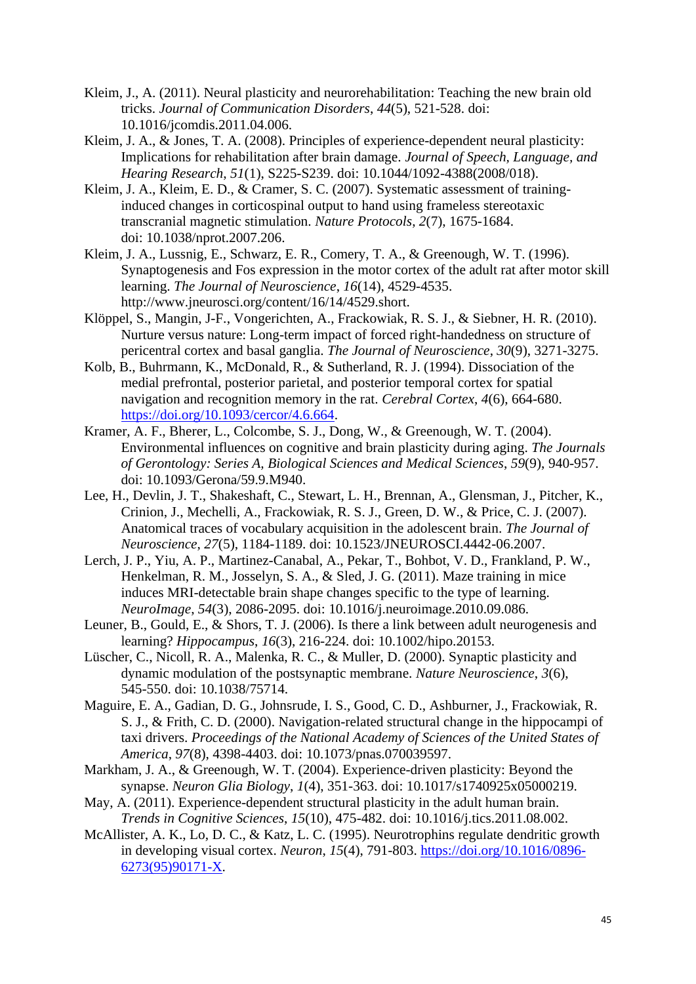- Kleim, J., A. (2011). Neural plasticity and neurorehabilitation: Teaching the new brain old tricks. *Journal of Communication Disorders*, *44*(5), 521-528. doi: 10.1016/jcomdis.2011.04.006.
- Kleim, J. A., & Jones, T. A. (2008). Principles of experience-dependent neural plasticity: Implications for rehabilitation after brain damage. *Journal of Speech, Language, and Hearing Research*, *51*(1), S225-S239. doi: 10.1044/1092-4388(2008/018).
- Kleim, J. A., Kleim, E. D., & Cramer, S. C. (2007). Systematic assessment of traininginduced changes in corticospinal output to hand using frameless stereotaxic transcranial magnetic stimulation. *Nature Protocols*, *2*(7), 1675-1684. doi: 10.1038/nprot.2007.206.
- Kleim, J. A., Lussnig, E., Schwarz, E. R., Comery, T. A., & Greenough, W. T. (1996). Synaptogenesis and Fos expression in the motor cortex of the adult rat after motor skill learning. *The Journal of Neuroscience*, *16*(14), 4529-4535. http://www.jneurosci.org/content/16/14/4529.short.
- Klöppel, S., Mangin, J-F., Vongerichten, A., Frackowiak, R. S. J., & Siebner, H. R. (2010). Nurture versus nature: Long-term impact of forced right-handedness on structure of pericentral cortex and basal ganglia. *The Journal of Neuroscience*, *30*(9), 3271-3275.
- Kolb, B., Buhrmann, K., McDonald, R., & Sutherland, R. J. (1994). Dissociation of the medial prefrontal, posterior parietal, and posterior temporal cortex for spatial navigation and recognition memory in the rat. *Cerebral Cortex*, *4*(6), 664-680. [https://doi.org/10.1093/cercor/4.6.664.](https://doi.org/10.1093/cercor/4.6.664)
- Kramer, A. F., Bherer, L., Colcombe, S. J., Dong, W., & Greenough, W. T. (2004). Environmental influences on cognitive and brain plasticity during aging. *The Journals of Gerontology: Series A, Biological Sciences and Medical Sciences*, *59*(9), 940-957. doi: 10.1093/Gerona/59.9.M940.
- Lee, H., Devlin, J. T., Shakeshaft, C., Stewart, L. H., Brennan, A., Glensman, J., Pitcher, K., Crinion, J., Mechelli, A., Frackowiak, R. S. J., Green, D. W., & Price, C. J. (2007). Anatomical traces of vocabulary acquisition in the adolescent brain. *The Journal of Neuroscience*, *27*(5), 1184-1189. doi: 10.1523/JNEUROSCI.4442-06.2007.
- Lerch, J. P., Yiu, A. P., Martinez-Canabal, A., Pekar, T., Bohbot, V. D., Frankland, P. W., Henkelman, R. M., Josselyn, S. A., & Sled, J. G. (2011). Maze training in mice induces MRI-detectable brain shape changes specific to the type of learning. *NeuroImage*, *54*(3), 2086-2095. doi: 10.1016/j.neuroimage.2010.09.086.
- Leuner, B., Gould, E., & Shors, T. J. (2006). Is there a link between adult neurogenesis and learning? *Hippocampus*, *16*(3), 216-224. doi: 10.1002/hipo.20153.
- Lüscher, C., Nicoll, R. A., Malenka, R. C., & Muller, D. (2000). Synaptic plasticity and dynamic modulation of the postsynaptic membrane. *Nature Neuroscience*, *3*(6), 545-550. doi: 10.1038/75714.
- Maguire, E. A., Gadian, D. G., Johnsrude, I. S., Good, C. D., Ashburner, J., Frackowiak, R. S. J., & Frith, C. D. (2000). Navigation-related structural change in the hippocampi of taxi drivers. *Proceedings of the National Academy of Sciences of the United States of America*, *97*(8), 4398-4403. doi: 10.1073/pnas.070039597.
- Markham, J. A., & Greenough, W. T. (2004). Experience-driven plasticity: Beyond the synapse. *Neuron Glia Biology*, *1*(4), 351-363. doi: 10.1017/s1740925x05000219.
- May, A. (2011). Experience-dependent structural plasticity in the adult human brain. *Trends in Cognitive Sciences*, *15*(10), 475-482. doi: 10.1016/j.tics.2011.08.002.
- McAllister, A. K., Lo, D. C., & Katz, L. C. (1995). Neurotrophins regulate dendritic growth in developing visual cortex. *Neuron*, *15*(4), 791-803. [https://doi.org/10.1016/0896-](https://doi.org/10.1016/0896-6273(95)90171-X) [6273\(95\)90171-X.](https://doi.org/10.1016/0896-6273(95)90171-X)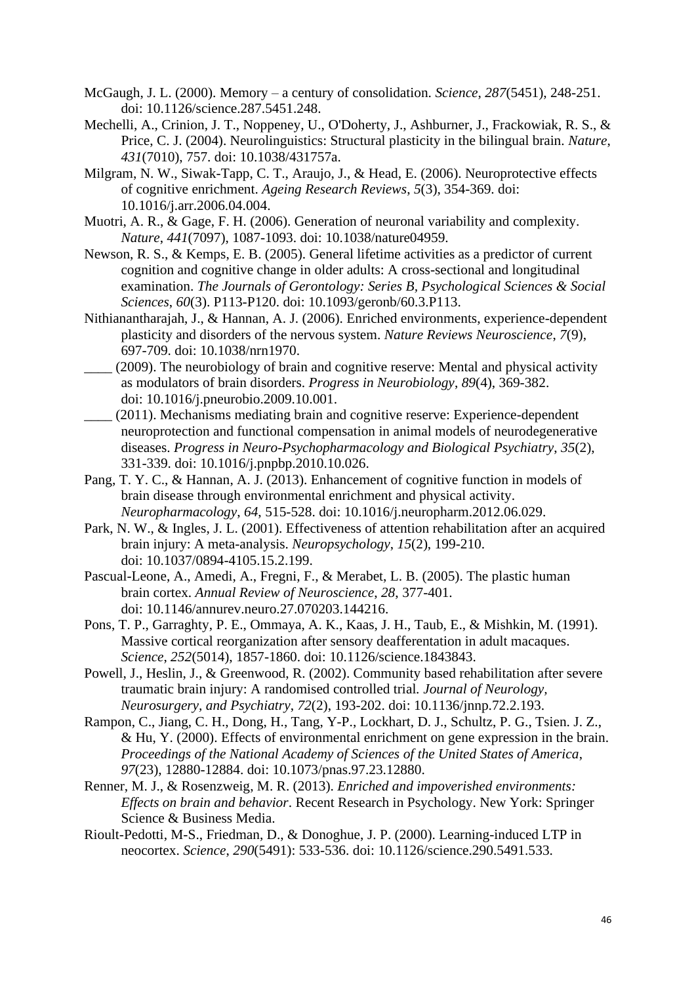- McGaugh, J. L. (2000). Memory a century of consolidation. *Science*, *287*(5451), 248-251. doi: 10.1126/science.287.5451.248.
- Mechelli, A., Crinion, J. T., Noppeney, U., O'Doherty, J., Ashburner, J., Frackowiak, R. S., & Price, C. J. (2004). Neurolinguistics: Structural plasticity in the bilingual brain. *Nature*, *431*(7010), 757. doi: 10.1038/431757a.
- Milgram, N. W., Siwak-Tapp, C. T., Araujo, J., & Head, E. (2006). Neuroprotective effects of cognitive enrichment. *Ageing Research Reviews*, *5*(3), 354-369. doi: 10.1016/j.arr.2006.04.004.
- Muotri, A. R., & Gage, F. H. (2006). Generation of neuronal variability and complexity. *Nature*, *441*(7097), 1087-1093. doi: 10.1038/nature04959.
- Newson, R. S., & Kemps, E. B. (2005). General lifetime activities as a predictor of current cognition and cognitive change in older adults: A cross-sectional and longitudinal examination. *The Journals of Gerontology: Series B, Psychological Sciences & Social Sciences*, *60*(3). P113-P120. doi: 10.1093/geronb/60.3.P113.
- Nithianantharajah, J., & Hannan, A. J. (2006). Enriched environments, experience-dependent plasticity and disorders of the nervous system. *Nature Reviews Neuroscience*, *7*(9), 697-709. doi: 10.1038/nrn1970.
- \_\_\_\_ (2009). The neurobiology of brain and cognitive reserve: Mental and physical activity as modulators of brain disorders. *Progress in Neurobiology*, *89*(4), 369-382. doi: 10.1016/j.pneurobio.2009.10.001.
- \_\_\_\_ (2011). Mechanisms mediating brain and cognitive reserve: Experience-dependent neuroprotection and functional compensation in animal models of neurodegenerative diseases. *Progress in Neuro-Psychopharmacology and Biological Psychiatry*, *35*(2), 331-339. doi: 10.1016/j.pnpbp.2010.10.026.
- Pang, T. Y. C., & Hannan, A. J. (2013). Enhancement of cognitive function in models of brain disease through environmental enrichment and physical activity. *Neuropharmacology*, *64*, 515-528. doi: 10.1016/j.neuropharm.2012.06.029.
- Park, N. W., & Ingles, J. L. (2001). Effectiveness of attention rehabilitation after an acquired brain injury: A meta-analysis. *Neuropsychology*, *15*(2), 199-210. doi: 10.1037/0894-4105.15.2.199.
- Pascual-Leone, A., Amedi, A., Fregni, F., & Merabet, L. B. (2005). The plastic human brain cortex. *Annual Review of Neuroscience*, *28*, 377-401. doi: 10.1146/annurev.neuro.27.070203.144216.
- Pons, T. P., Garraghty, P. E., Ommaya, A. K., Kaas, J. H., Taub, E., & Mishkin, M. (1991). Massive cortical reorganization after sensory deafferentation in adult macaques. *Science*, *252*(5014), 1857-1860. doi: 10.1126/science.1843843.
- Powell, J., Heslin, J., & Greenwood, R. (2002). Community based rehabilitation after severe traumatic brain injury: A randomised controlled trial*. Journal of Neurology, Neurosurgery, and Psychiatry*, *72*(2), 193-202. doi: 10.1136/jnnp.72.2.193.
- Rampon, C., Jiang, C. H., Dong, H., Tang, Y-P., Lockhart, D. J., Schultz, P. G., Tsien. J. Z., & Hu, Y. (2000). Effects of environmental enrichment on gene expression in the brain. *Proceedings of the National Academy of Sciences of the United States of America*, *97*(23), 12880-12884. doi: 10.1073/pnas.97.23.12880.
- Renner, M. J., & Rosenzweig, M. R. (2013). *Enriched and impoverished environments: Effects on brain and behavior*. Recent Research in Psychology. New York: Springer Science & Business Media.
- Rioult-Pedotti, M-S., Friedman, D., & Donoghue, J. P. (2000). Learning-induced LTP in neocortex. *Science*, *290*(5491): 533-536. doi: 10.1126/science.290.5491.533.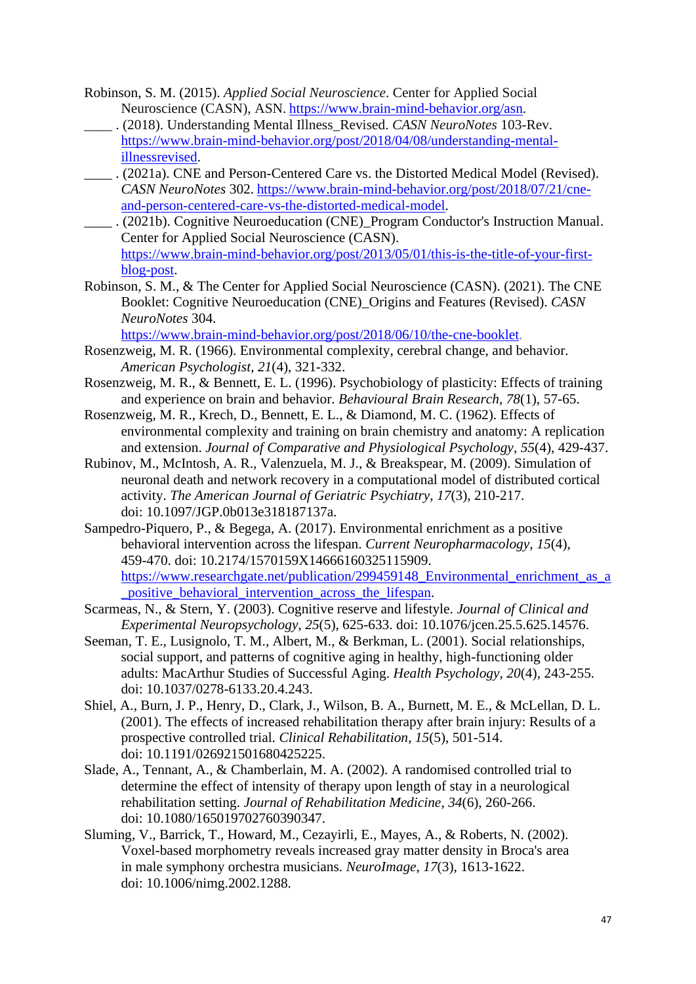- Robinson, S. M. (2015). *Applied Social Neuroscience*. Center for Applied Social Neuroscience (CASN), ASN. https://www.brain-mind-behavior.org/asn.
- \_\_\_\_ . (2018). Understanding Mental Illness\_Revised. *CASN NeuroNotes* 103-Rev. https://www.brain-mind-behavior.org/post/2018/04/08/understanding-mentalillnessrevised.
- \_\_\_\_ . (2021a). CNE and Person-Centered Care vs. the Distorted Medical Model (Revised). *CASN NeuroNotes* 302. https://www.brain-mind-behavior.org/post/2018/07/21/cneand-person-centered-care-vs-the-distorted-medical-model.
- \_\_\_\_ . (2021b). Cognitive Neuroeducation (CNE)\_Program Conductor's Instruction Manual. Center for Applied Social Neuroscience (CASN). https://www.brain-mind-behavior.org/post/2013/05/01/this-is-the-title-of-your-firstblog-post.
- Robinson, S. M., & The Center for Applied Social Neuroscience (CASN). (2021). The CNE Booklet: Cognitive Neuroeducation (CNE)\_Origins and Features (Revised). *CASN NeuroNotes* 304.

https://www.brain-mind-behavior.org/post/2018/06/10/the-cne-booklet.

- Rosenzweig, M. R. (1966). Environmental complexity, cerebral change, and behavior. *American Psychologist*, *21*(4), 321-332.
- Rosenzweig, M. R., & Bennett, E. L. (1996). Psychobiology of plasticity: Effects of training and experience on brain and behavior. *Behavioural Brain Research*, *78*(1), 57-65.
- Rosenzweig, M. R., Krech, D., Bennett, E. L., & Diamond, M. C. (1962). Effects of environmental complexity and training on brain chemistry and anatomy: A replication and extension. *Journal of Comparative and Physiological Psychology*, *55*(4), 429-437.
- Rubinov, M., McIntosh, A. R., Valenzuela, M. J., & Breakspear, M. (2009). Simulation of neuronal death and network recovery in a computational model of distributed cortical activity. *The American Journal of Geriatric Psychiatry*, *17*(3), 210-217. doi: 10.1097/JGP.0b013e318187137a.
- Sampedro-Piquero, P., & Begega, A. (2017). Environmental enrichment as a positive behavioral intervention across the lifespan. *Current Neuropharmacology*, *15*(4), 459-470. doi: 10.2174/1570159X14666160325115909. https://www.researchgate.net/publication/299459148\_Environmental\_enrichment\_as\_a \_positive\_behavioral\_intervention\_across\_the\_lifespan.
- Scarmeas, N., & Stern, Y. (2003). Cognitive reserve and lifestyle. *Journal of Clinical and Experimental Neuropsychology*, *25*(5), 625-633. doi: 10.1076/jcen.25.5.625.14576.
- Seeman, T. E., Lusignolo, T. M., Albert, M., & Berkman, L. (2001). Social relationships, social support, and patterns of cognitive aging in healthy, high-functioning older adults: MacArthur Studies of Successful Aging. *Health Psychology*, *20*(4), 243-255. doi: 10.1037/0278-6133.20.4.243.
- Shiel, A., Burn, J. P., Henry, D., Clark, J., Wilson, B. A., Burnett, M. E., & McLellan, D. L. (2001). The effects of increased rehabilitation therapy after brain injury: Results of a prospective controlled trial. *Clinical Rehabilitation*, *15*(5), 501-514. doi: 10.1191/026921501680425225.
- Slade, A., Tennant, A., & Chamberlain, M. A. (2002). A randomised controlled trial to determine the effect of intensity of therapy upon length of stay in a neurological rehabilitation setting. *Journal of Rehabilitation Medicine*, *34*(6), 260-266. doi: 10.1080/165019702760390347.
- Sluming, V., Barrick, T., Howard, M., Cezayirli, E., Mayes, A., & Roberts, N. (2002). Voxel-based morphometry reveals increased gray matter density in Broca's area in male symphony orchestra musicians. *NeuroImage*, *17*(3), 1613-1622. doi: 10.1006/nimg.2002.1288.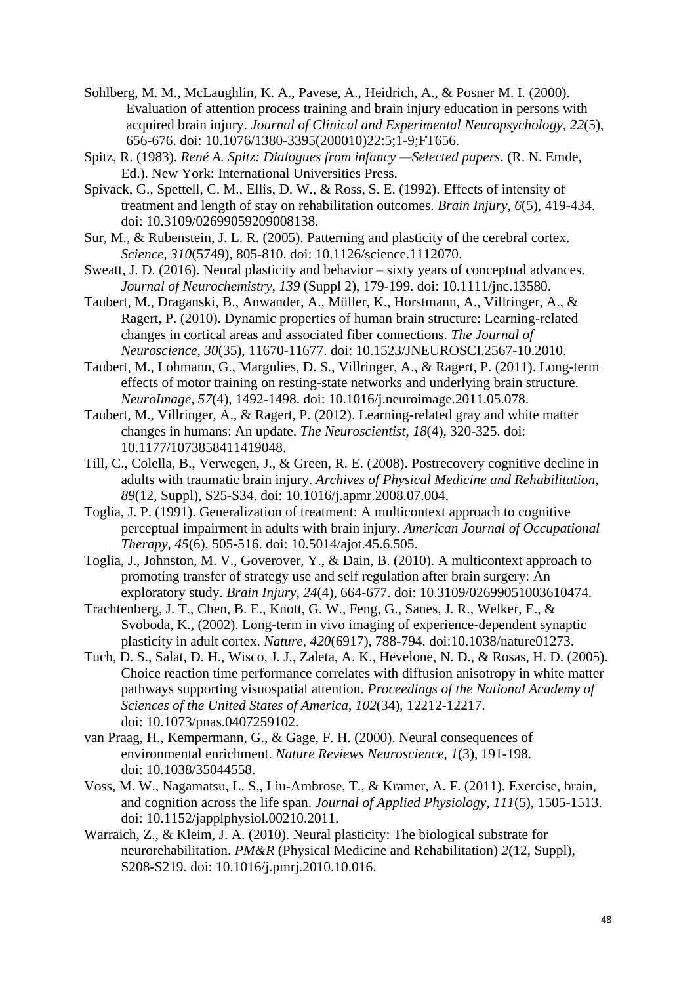- Sohlberg, M. M., McLaughlin, K. A., Pavese, A., Heidrich, A., & Posner M. I. (2000). Evaluation of attention process training and brain injury education in persons with acquired brain injury. *Journal of Clinical and Experimental Neuropsychology*, *22*(5), 656-676. doi: 10.1076/1380-3395(200010)22:5;1-9;FT656.
- Spitz, R. (1983). *René A. Spitz: Dialogues from infancy —Selected papers*. (R. N. Emde, Ed.). New York: International Universities Press.
- Spivack, G., Spettell, C. M., Ellis, D. W., & Ross, S. E. (1992). Effects of intensity of treatment and length of stay on rehabilitation outcomes. *Brain Injury*, *6*(5), 419-434. doi: 10.3109/02699059209008138.
- Sur, M., & Rubenstein, J. L. R. (2005). Patterning and plasticity of the cerebral cortex. *Science*, *310*(5749), 805-810. doi: 10.1126/science.1112070.
- Sweatt, J. D. (2016). Neural plasticity and behavior sixty years of conceptual advances. *Journal of Neurochemistry*, *139* (Suppl 2), 179-199. doi: 10.1111/jnc.13580.
- Taubert, M., Draganski, B., Anwander, A., Müller, K., Horstmann, A., Villringer, A., & Ragert, P. (2010). Dynamic properties of human brain structure: Learning-related changes in cortical areas and associated fiber connections. *The Journal of Neuroscience*, *30*(35), 11670-11677. doi: 10.1523/JNEUROSCI.2567-10.2010.
- Taubert, M., Lohmann, G., Margulies, D. S., Villringer, A., & Ragert, P. (2011). Long-term effects of motor training on resting-state networks and underlying brain structure. *NeuroImage*, *57*(4), 1492-1498. doi: 10.1016/j.neuroimage.2011.05.078.
- Taubert, M., Villringer, A., & Ragert, P. (2012). Learning-related gray and white matter changes in humans: An update. *The Neuroscientist*, *18*(4), 320-325. doi: 10.1177/1073858411419048.
- Till, C., Colella, B., Verwegen, J., & Green, R. E. (2008). Postrecovery cognitive decline in adults with traumatic brain injury. *Archives of Physical Medicine and Rehabilitation*, *89*(12, Suppl), S25-S34. doi: 10.1016/j.apmr.2008.07.004.
- Toglia, J. P. (1991). Generalization of treatment: A multicontext approach to cognitive perceptual impairment in adults with brain injury. *American Journal of Occupational Therapy*, *45*(6), 505-516. doi: 10.5014/ajot.45.6.505.
- Toglia, J., Johnston, M. V., Goverover, Y., & Dain, B. (2010). A multicontext approach to promoting transfer of strategy use and self regulation after brain surgery: An exploratory study. *Brain Injury*, *24*(4), 664-677. doi: 10.3109/02699051003610474.
- Trachtenberg, J. T., Chen, B. E., Knott, G. W., Feng, G., Sanes, J. R., Welker, E., & Svoboda, K., (2002). Long-term in vivo imaging of experience-dependent synaptic plasticity in adult cortex. *Nature*, *420*(6917), 788-794. doi:10.1038/nature01273.
- Tuch, D. S., Salat, D. H., Wisco, J. J., Zaleta, A. K., Hevelone, N. D., & Rosas, H. D. (2005). Choice reaction time performance correlates with diffusion anisotropy in white matter pathways supporting visuospatial attention. *Proceedings of the National Academy of Sciences of the United States of America*, *102*(34), 12212-12217. doi: 10.1073/pnas.0407259102.
- van Praag, H., Kempermann, G., & Gage, F. H. (2000). Neural consequences of environmental enrichment. *Nature Reviews Neuroscience*, *1*(3), 191-198. doi: 10.1038/35044558.
- Voss, M. W., Nagamatsu, L. S., Liu-Ambrose, T., & Kramer, A. F. (2011). Exercise, brain, and cognition across the life span. *Journal of Applied Physiology*, *111*(5), 1505-1513. doi: 10.1152/japplphysiol.00210.2011.
- Warraich, Z., & Kleim, J. A. (2010). Neural plasticity: The biological substrate for neurorehabilitation. *PM&R* (Physical Medicine and Rehabilitation) *2*(12, Suppl), S208-S219. doi: 10.1016/j.pmrj.2010.10.016.